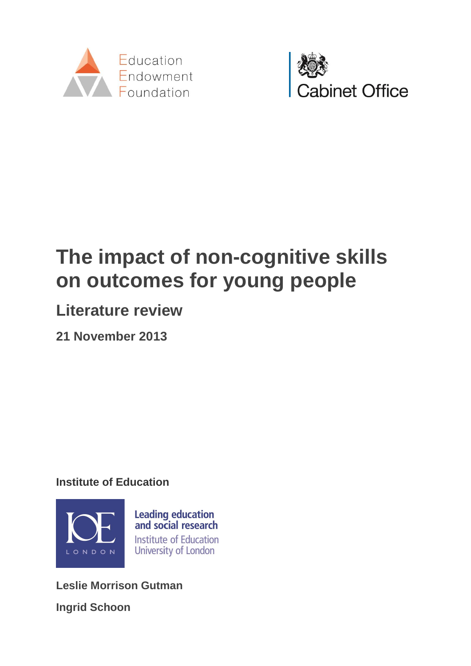



# **The impact of non-cognitive skills on outcomes for young people**

## **Literature review**

**21 November 2013**

**Institute of Education**



**Leslie Morrison Gutman Ingrid Schoon**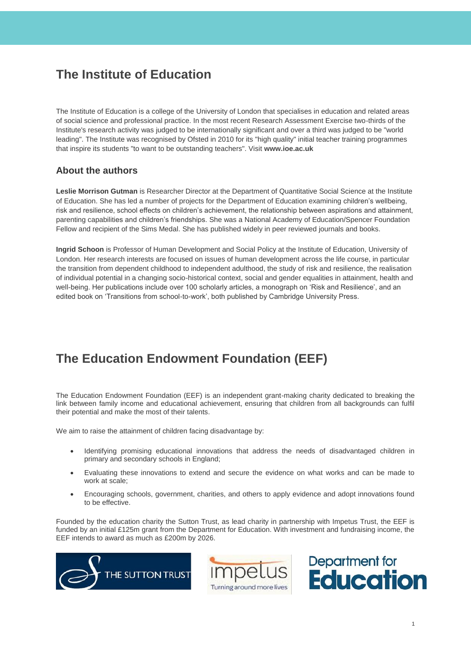## **The Institute of Education**

The Institute of Education is a college of the University of London that specialises in education and related areas of social science and professional practice. In the most recent Research Assessment Exercise two-thirds of the Institute's research activity was judged to be internationally significant and over a third was judged to be "world leading". The Institute was recognised by Ofsted in 2010 for its "high quality" initial teacher training programmes that inspire its students "to want to be outstanding teachers". Visit **[www.ioe.ac.uk](http://www.ioe.ac.uk/)**

### **About the authors**

**Leslie Morrison Gutman** is Researcher Director at the Department of Quantitative Social Science at the Institute of Education. She has led a number of projects for the Department of Education examining children's wellbeing, risk and resilience, school effects on children's achievement, the relationship between aspirations and attainment, parenting capabilities and children's friendships. She was a National Academy of Education/Spencer Foundation Fellow and recipient of the Sims Medal. She has published widely in peer reviewed journals and books.

**Ingrid Schoon** is Professor of Human Development and Social Policy at the Institute of Education, University of London. Her research interests are focused on issues of human development across the life course, in particular the transition from dependent childhood to independent adulthood, the study of risk and resilience, the realisation of individual potential in a changing socio-historical context, social and gender equalities in attainment, health and well-being. Her publications include over 100 scholarly articles, a monograph on 'Risk and Resilience', and an edited book on 'Transitions from school-to-work', both published by Cambridge University Press.

## **The Education Endowment Foundation (EEF)**

The Education Endowment Foundation (EEF) is an independent grant-making charity dedicated to breaking the link between family income and educational achievement, ensuring that children from all backgrounds can fulfil their potential and make the most of their talents.

We aim to raise the attainment of children facing disadvantage by:

- Identifying promising educational innovations that address the needs of disadvantaged children in primary and secondary schools in England;
- Evaluating these innovations to extend and secure the evidence on what works and can be made to work at scale;
- Encouraging schools, government, charities, and others to apply evidence and adopt innovations found to be effective.

Founded by the education charity the Sutton Trust, as lead charity in partnership with Impetus Trust, the EEF is funded by an initial £125m grant from the Department for Education. With investment and fundraising income, the EEF intends to award as much as £200m by 2026.





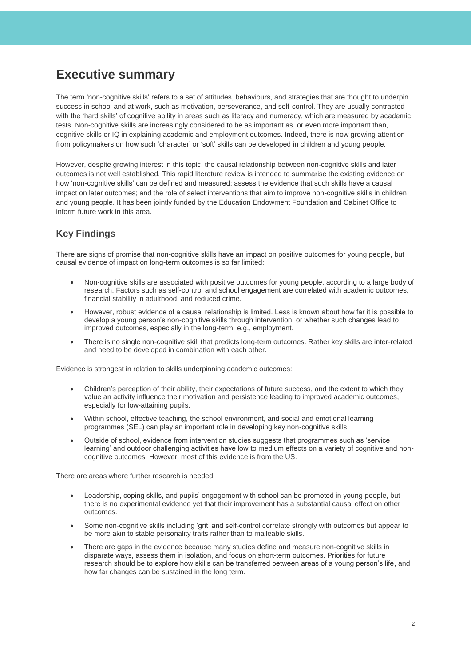## **Executive summary**

The term 'non-cognitive skills' refers to a set of attitudes, behaviours, and strategies that are thought to underpin success in school and at work, such as motivation, perseverance, and self-control. They are usually contrasted with the 'hard skills' of cognitive ability in areas such as literacy and numeracy, which are measured by academic tests. Non-cognitive skills are increasingly considered to be as important as, or even more important than, cognitive skills or IQ in explaining academic and employment outcomes. Indeed, there is now growing attention from policymakers on how such 'character' or 'soft' skills can be developed in children and young people.

However, despite growing interest in this topic, the causal relationship between non-cognitive skills and later outcomes is not well established. This rapid literature review is intended to summarise the existing evidence on how 'non-cognitive skills' can be defined and measured; assess the evidence that such skills have a causal impact on later outcomes; and the role of select interventions that aim to improve non-cognitive skills in children and young people. It has been jointly funded by the Education Endowment Foundation and Cabinet Office to inform future work in this area.

## **Key Findings**

There are signs of promise that non-cognitive skills have an impact on positive outcomes for young people, but causal evidence of impact on long-term outcomes is so far limited:

- Non-cognitive skills are associated with positive outcomes for young people, according to a large body of research. Factors such as self-control and school engagement are correlated with academic outcomes, financial stability in adulthood, and reduced crime.
- However, robust evidence of a causal relationship is limited. Less is known about how far it is possible to develop a young person's non-cognitive skills through intervention, or whether such changes lead to improved outcomes, especially in the long-term, e.g., employment.
- There is no single non-cognitive skill that predicts long-term outcomes. Rather key skills are inter-related and need to be developed in combination with each other.

Evidence is strongest in relation to skills underpinning academic outcomes:

- Children's perception of their ability, their expectations of future success, and the extent to which they value an activity influence their motivation and persistence leading to improved academic outcomes, especially for low-attaining pupils.
- Within school, effective teaching, the school environment, and social and emotional learning programmes (SEL) can play an important role in developing key non-cognitive skills.
- Outside of school, evidence from intervention studies suggests that programmes such as 'service learning' and outdoor challenging activities have low to medium effects on a variety of cognitive and noncognitive outcomes. However, most of this evidence is from the US.

There are areas where further research is needed:

- Leadership, coping skills, and pupils' engagement with school can be promoted in young people, but there is no experimental evidence yet that their improvement has a substantial causal effect on other outcomes.
- Some non-cognitive skills including 'grit' and self-control correlate strongly with outcomes but appear to be more akin to stable personality traits rather than to malleable skills.
- There are gaps in the evidence because many studies define and measure non-cognitive skills in disparate ways, assess them in isolation, and focus on short-term outcomes. Priorities for future research should be to explore how skills can be transferred between areas of a young person's life, and how far changes can be sustained in the long term.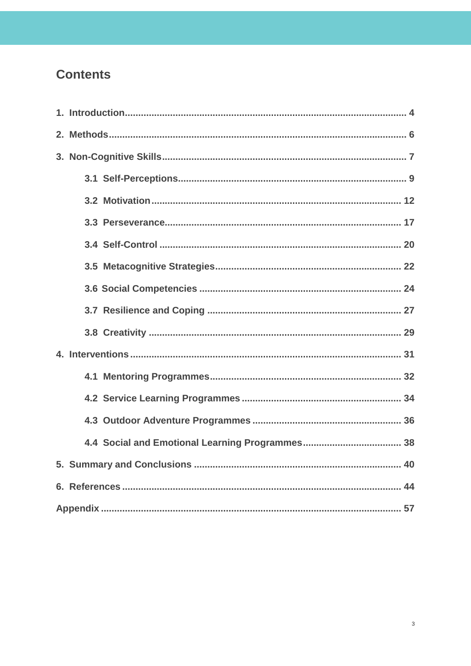## **Contents**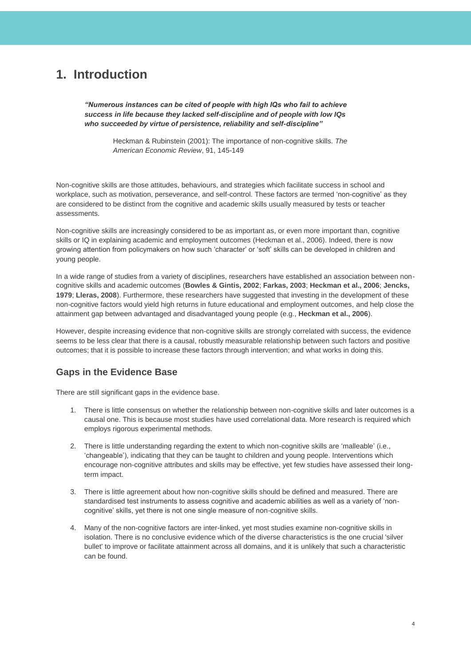## <span id="page-4-0"></span>**1. Introduction**

*"Numerous instances can be cited of people with high IQs who fail to achieve success in life because they lacked self-discipline and of people with low IQs who succeeded by virtue of persistence, reliability and self-discipline"* 

> Heckman & Rubinstein (2001): The importance of non-cognitive skills. *The American Economic Review*, 91, 145-149

Non-cognitive skills are those attitudes, behaviours, and strategies which facilitate success in school and workplace, such as motivation, perseverance, and self-control. These factors are termed 'non-cognitive' as they are considered to be distinct from the cognitive and academic skills usually measured by tests or teacher assessments.

Non-cognitive skills are increasingly considered to be as important as, or even more important than, cognitive skills or IQ in explaining academic and employment outcomes (Heckman et al., 2006). Indeed, there is now growing attention from policymakers on how such 'character' or 'soft' skills can be developed in children and young people.

In a wide range of studies from a variety of disciplines, researchers have established an association between noncognitive skills and academic outcomes (**Bowles & Gintis, 2002**; **Farkas, 2003**; **Heckman et al., 2006**; **Jencks, 1979**; **Lleras, 2008**). Furthermore, these researchers have suggested that investing in the development of these non-cognitive factors would yield high returns in future educational and employment outcomes, and help close the attainment gap between advantaged and disadvantaged young people (e.g., **Heckman et al., 2006**).

However, despite increasing evidence that non-cognitive skills are strongly correlated with success, the evidence seems to be less clear that there is a causal, robustly measurable relationship between such factors and positive outcomes; that it is possible to increase these factors through intervention; and what works in doing this.

### **Gaps in the Evidence Base**

There are still significant gaps in the evidence base.

- 1. There is little consensus on whether the relationship between non-cognitive skills and later outcomes is a causal one. This is because most studies have used correlational data. More research is required which employs rigorous experimental methods.
- 2. There is little understanding regarding the extent to which non-cognitive skills are 'malleable' (i.e., 'changeable'), indicating that they can be taught to children and young people. Interventions which encourage non-cognitive attributes and skills may be effective, yet few studies have assessed their longterm impact.
- 3. There is little agreement about how non-cognitive skills should be defined and measured. There are standardised test instruments to assess cognitive and academic abilities as well as a variety of 'noncognitive' skills, yet there is not one single measure of non-cognitive skills.
- 4. Many of the non-cognitive factors are inter-linked, yet most studies examine non-cognitive skills in isolation. There is no conclusive evidence which of the diverse characteristics is the one crucial 'silver bullet' to improve or facilitate attainment across all domains, and it is unlikely that such a characteristic can be found.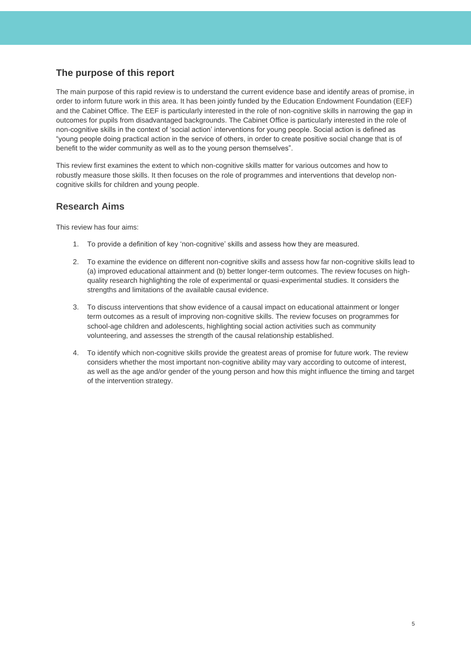### **The purpose of this report**

The main purpose of this rapid review is to understand the current evidence base and identify areas of promise, in order to inform future work in this area. It has been jointly funded by the Education Endowment Foundation (EEF) and the Cabinet Office. The EEF is particularly interested in the role of non-cognitive skills in narrowing the gap in outcomes for pupils from disadvantaged backgrounds. The Cabinet Office is particularly interested in the role of non-cognitive skills in the context of 'social action' interventions for young people. Social action is defined as "young people doing practical action in the service of others, in order to create positive social change that is of benefit to the wider community as well as to the young person themselves".

This review first examines the extent to which non-cognitive skills matter for various outcomes and how to robustly measure those skills. It then focuses on the role of programmes and interventions that develop noncognitive skills for children and young people.

### **Research Aims**

This review has four aims:

- 1. To provide a definition of key 'non-cognitive' skills and assess how they are measured.
- 2. To examine the evidence on different non-cognitive skills and assess how far non-cognitive skills lead to (a) improved educational attainment and (b) better longer-term outcomes. The review focuses on highquality research highlighting the role of experimental or quasi-experimental studies. It considers the strengths and limitations of the available causal evidence.
- 3. To discuss interventions that show evidence of a causal impact on educational attainment or longer term outcomes as a result of improving non-cognitive skills. The review focuses on programmes for school-age children and adolescents, highlighting social action activities such as community volunteering, and assesses the strength of the causal relationship established.
- 4. To identify which non-cognitive skills provide the greatest areas of promise for future work. The review considers whether the most important non-cognitive ability may vary according to outcome of interest, as well as the age and/or gender of the young person and how this might influence the timing and target of the intervention strategy.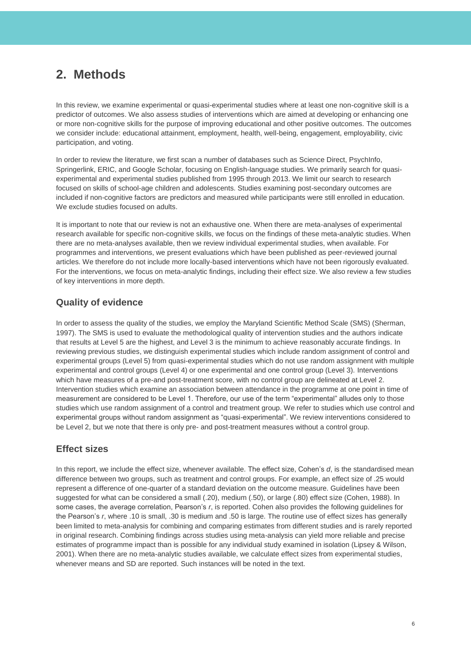## <span id="page-6-0"></span>**2. Methods**

In this review, we examine experimental or quasi-experimental studies where at least one non-cognitive skill is a predictor of outcomes. We also assess studies of interventions which are aimed at developing or enhancing one or more non-cognitive skills for the purpose of improving educational and other positive outcomes. The outcomes we consider include: educational attainment, employment, health, well-being, engagement, employability, civic participation, and voting.

In order to review the literature, we first scan a number of databases such as Science Direct, PsychInfo, Springerlink, ERIC, and Google Scholar, focusing on English-language studies. We primarily search for quasiexperimental and experimental studies published from 1995 through 2013. We limit our search to research focused on skills of school-age children and adolescents. Studies examining post-secondary outcomes are included if non-cognitive factors are predictors and measured while participants were still enrolled in education. We exclude studies focused on adults.

It is important to note that our review is not an exhaustive one. When there are meta-analyses of experimental research available for specific non-cognitive skills, we focus on the findings of these meta-analytic studies. When there are no meta-analyses available, then we review individual experimental studies, when available. For programmes and interventions, we present evaluations which have been published as peer-reviewed journal articles. We therefore do not include more locally-based interventions which have not been rigorously evaluated. For the interventions, we focus on meta-analytic findings, including their effect size. We also review a few studies of key interventions in more depth.

### **Quality of evidence**

In order to assess the quality of the studies, we employ the Maryland Scientific Method Scale (SMS) (Sherman, 1997). The SMS is used to evaluate the methodological quality of intervention studies and the authors indicate that results at Level 5 are the highest, and Level 3 is the minimum to achieve reasonably accurate findings. In reviewing previous studies, we distinguish experimental studies which include random assignment of control and experimental groups (Level 5) from quasi-experimental studies which do not use random assignment with multiple experimental and control groups (Level 4) or one experimental and one control group (Level 3). Interventions which have measures of a pre-and post-treatment score, with no control group are delineated at Level 2. Intervention studies which examine an association between attendance in the programme at one point in time of measurement are considered to be Level 1. Therefore, our use of the term "experimental" alludes only to those studies which use random assignment of a control and treatment group. We refer to studies which use control and experimental groups without random assignment as "quasi-experimental". We review interventions considered to be Level 2, but we note that there is only pre- and post-treatment measures without a control group.

### **Effect sizes**

In this report, we include the effect size, whenever available. The effect size, Cohen's *d*, is the standardised mean difference between two groups, such as treatment and control groups. For example, an effect size of .25 would represent a difference of one-quarter of a standard deviation on the outcome measure. Guidelines have been suggested for what can be considered a small (.20), medium (.50), or large (.80) effect size (Cohen, 1988). In some cases, the average correlation, Pearson's *r*, is reported. Cohen also provides the following guidelines for the Pearson's *r*, where .10 is small, .30 is medium and .50 is large. The routine use of effect sizes has generally been limited to meta-analysis for combining and comparing estimates from different studies and is rarely reported in original research. Combining findings across studies using meta-analysis can yield more reliable and precise estimates of programme impact than is possible for any individual study examined in isolation (Lipsey & Wilson, 2001). When there are no meta-analytic studies available, we calculate effect sizes from experimental studies, whenever means and SD are reported. Such instances will be noted in the text.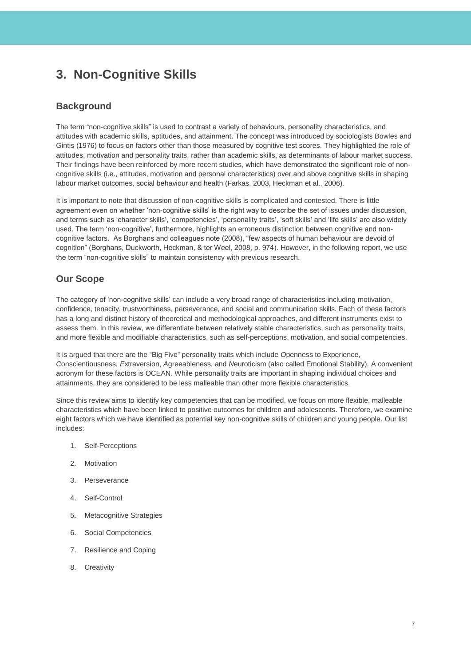## <span id="page-7-0"></span>**3. Non-Cognitive Skills**

### **Background**

The term "non-cognitive skills" is used to contrast a variety of behaviours, personality characteristics, and attitudes with academic skills, aptitudes, and attainment. The concept was introduced by sociologists Bowles and Gintis (1976) to focus on factors other than those measured by cognitive test scores. They highlighted the role of attitudes, motivation and personality traits, rather than academic skills, as determinants of labour market success. Their findings have been reinforced by more recent studies, which have demonstrated the significant role of noncognitive skills (i.e., attitudes, motivation and personal characteristics) over and above cognitive skills in shaping labour market outcomes, social behaviour and health (Farkas, 2003, Heckman et al., 2006).

It is important to note that discussion of non-cognitive skills is complicated and contested. There is little agreement even on whether 'non-cognitive skills' is the right way to describe the set of issues under discussion, and terms such as 'character skills', 'competencies', 'personality traits', 'soft skills' and 'life skills' are also widely used. The term 'non-cognitive', furthermore, highlights an erroneous distinction between cognitive and noncognitive factors. As Borghans and colleagues note (2008), "few aspects of human behaviour are devoid of cognition" (Borghans, Duckworth, Heckman, & ter Weel, 2008, p. 974). However, in the following report, we use the term "non-cognitive skills" to maintain consistency with previous research.

### **Our Scope**

The category of 'non-cognitive skills' can include a very broad range of characteristics including motivation, confidence, tenacity, trustworthiness, perseverance, and social and communication skills. Each of these factors has a long and distinct history of theoretical and methodological approaches, and different instruments exist to assess them. In this review, we differentiate between relatively stable characteristics, such as personality traits, and more flexible and modifiable characteristics, such as self-perceptions, motivation, and social competencies.

It is argued that there are the "Big Five" personality traits which include *O*penness to Experience, *C*onscientiousness, *E*xtraversion, *A*greeableness, and *N*euroticism (also called Emotional Stability). A convenient acronym for these factors is OCEAN. While personality traits are important in shaping individual choices and attainments, they are considered to be less malleable than other more flexible characteristics.

Since this review aims to identify key competencies that can be modified, we focus on more flexible, malleable characteristics which have been linked to positive outcomes for children and adolescents. Therefore, we examine eight factors which we have identified as potential key non-cognitive skills of children and young people. Our list includes:

- 1. Self-Perceptions
- 2. Motivation
- 3. Perseverance
- 4. Self-Control
- 5. Metacognitive Strategies
- 6. Social Competencies
- 7. Resilience and Coping
- 8. Creativity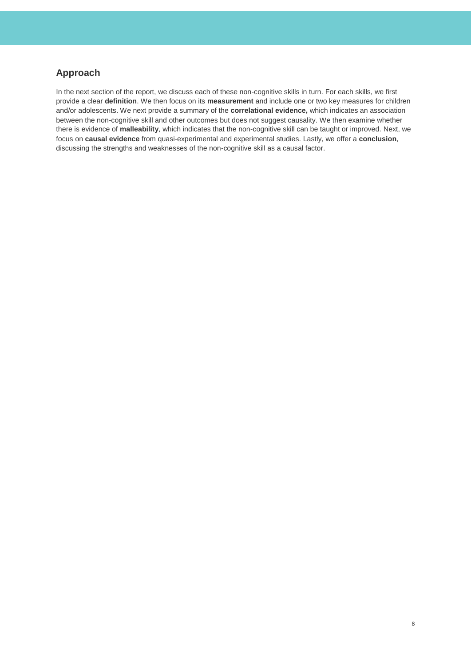### **Approach**

In the next section of the report, we discuss each of these non-cognitive skills in turn. For each skills, we first provide a clear **definition**. We then focus on its **measurement** and include one or two key measures for children and/or adolescents. We next provide a summary of the **correlational evidence,** which indicates an association between the non-cognitive skill and other outcomes but does not suggest causality. We then examine whether there is evidence of **malleability**, which indicates that the non-cognitive skill can be taught or improved. Next, we focus on **causal evidence** from quasi-experimental and experimental studies. Lastly, we offer a **conclusion**, discussing the strengths and weaknesses of the non-cognitive skill as a causal factor.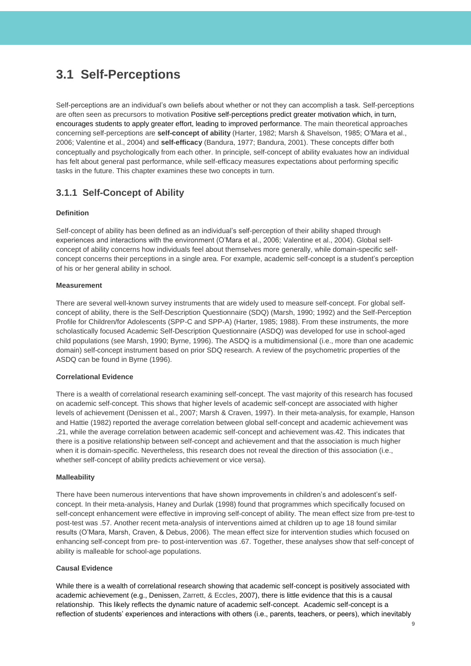## <span id="page-9-0"></span>**3.1 Self-Perceptions**

Self-perceptions are an individual's own beliefs about whether or not they can accomplish a task. Self-perceptions are often seen as precursors to motivation Positive self-perceptions predict greater motivation which, in turn, encourages students to apply greater effort, leading to improved performance. The main theoretical approaches concerning self-perceptions are **self-concept of ability** (Harter, 1982; Marsh & Shavelson, 1985; O'Mara et al., 2006; Valentine et al., 2004) and **self-efficacy** (Bandura, 1977; Bandura, 2001). These concepts differ both conceptually and psychologically from each other. In principle, self-concept of ability evaluates how an individual has felt about general past performance, while self-efficacy measures expectations about performing specific tasks in the future. This chapter examines these two concepts in turn.

### **3.1.1 Self-Concept of Ability**

### **Definition**

Self-concept of ability has been defined as an individual's self-perception of their ability shaped through experiences and interactions with the environment (O'Mara et al., 2006; Valentine et al., 2004). Global selfconcept of ability concerns how individuals feel about themselves more generally, while domain-specific selfconcept concerns their perceptions in a single area. For example, academic self-concept is a student's perception of his or her general ability in school.

### **Measurement**

There are several well-known survey instruments that are widely used to measure self-concept. For global selfconcept of ability, there is the Self-Description Questionnaire (SDQ) (Marsh, 1990; 1992) and the Self-Perception Profile for Children/for Adolescents (SPP-C and SPP-A) (Harter, 1985; 1988). From these instruments, the more scholastically focused Academic Self-Description Questionnaire (ASDQ) was developed for use in school-aged child populations (see Marsh, 1990; Byrne, 1996). The ASDQ is a multidimensional (i.e., more than one academic domain) self-concept instrument based on prior SDQ research. A review of the psychometric properties of the ASDQ can be found in Byrne (1996).

### **Correlational Evidence**

There is a wealth of correlational research examining self-concept. The vast majority of this research has focused on academic self-concept. This shows that higher levels of academic self-concept are associated with higher levels of achievement (Denissen et al., 2007; Marsh & Craven, 1997). In their meta-analysis, for example, Hanson and Hattie (1982) reported the average correlation between global self-concept and academic achievement was .21, while the average correlation between academic self-concept and achievement was.42. This indicates that there is a positive relationship between self-concept and achievement and that the association is much higher when it is domain-specific. Nevertheless, this research does not reveal the direction of this association (i.e., whether self-concept of ability predicts achievement or vice versa).

### **Malleability**

There have been numerous interventions that have shown improvements in children's and adolescent's selfconcept. In their meta-analysis, Haney and Durlak (1998) found that programmes which specifically focused on self-concept enhancement were effective in improving self-concept of ability. The mean effect size from pre-test to post-test was .57. Another recent meta-analysis of interventions aimed at children up to age 18 found similar results (O'Mara, Marsh, Craven, & Debus, 2006). The mean effect size for intervention studies which focused on enhancing self-concept from pre- to post-intervention was .67. Together, these analyses show that self-concept of ability is malleable for school-age populations.

### **Causal Evidence**

While there is a wealth of correlational research showing that academic self-concept is positively associated with academic achievement (e.g., Denissen, Zarrett, & Eccles, 2007), there is little evidence that this is a causal relationship. This likely reflects the dynamic nature of academic self-concept. Academic self-concept is a reflection of students' experiences and interactions with others (i.e., parents, teachers, or peers), which inevitably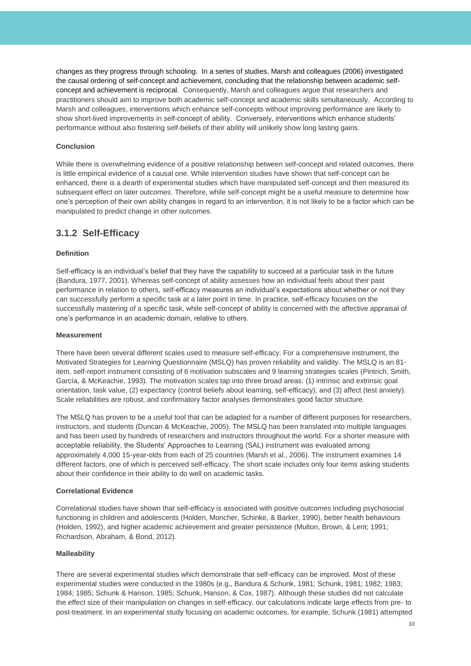changes as they progress through schooling. In a series of studies, Marsh and colleagues (2006) investigated the causal ordering of self-concept and achievement, concluding that the relationship between academic selfconcept and achievement is reciprocal. Consequently, Marsh and colleagues argue that researchers and practitioners should aim to improve both academic self-concept and academic skills simultaneously. According to Marsh and colleagues, interventions which enhance self-concepts without improving performance are likely to show short-lived improvements in self-concept of ability. Conversely, interventions which enhance students' performance without also fostering self-beliefs of their ability will unlikely show long lasting gains.

### **Conclusion**

While there is overwhelming evidence of a positive relationship between self-concept and related outcomes, there is little empirical evidence of a causal one. While intervention studies have shown that self-concept can be enhanced, there is a dearth of experimental studies which have manipulated self-concept and then measured its subsequent effect on later outcomes. Therefore, while self-concept might be a useful measure to determine how one's perception of their own ability changes in regard to an intervention, it is not likely to be a factor which can be manipulated to predict change in other outcomes.

### **3.1.2 Self-Efficacy**

### **Definition**

Self-efficacy is an individual's belief that they have the capability to succeed at a particular task in the future (Bandura, 1977, 2001). Whereas self-concept of ability assesses how an individual feels about their past performance in relation to others, self-efficacy measures an individual's expectations about whether or not they can successfully perform a specific task at a later point in time. In practice, self-efficacy focuses on the successfully mastering of a specific task, while self-concept of ability is concerned with the affective appraisal of one's performance in an academic domain, relative to others.

#### **Measurement**

There have been several different scales used to measure self-efficacy. For a comprehensive instrument, the Motivated Strategies for Learning Questionnaire (MSLQ) has proven reliability and validity. The MSLQ is an 81 item, self-report instrument consisting of 6 motivation subscales and 9 learning strategies scales (Pintrich, Smith, García, & McKeachie, 1993). The motivation scales tap into three broad areas: (1) intrinsic and extrinsic goal orientation, task value, (2) expectancy (control beliefs about learning, self-efficacy); and (3) affect (test anxiety). Scale reliabilities are robust, and confirmatory factor analyses demonstrates good factor structure.

The MSLQ has proven to be a useful tool that can be adapted for a number of different purposes for researchers, instructors, and students (Duncan & McKeachie, 2005). The MSLQ has been translated into multiple languages and has been used by hundreds of researchers and instructors throughout the world. For a shorter measure with acceptable reliability, the Students' Approaches to Learning (SAL) instrument was evaluated among approximately 4,000 15-year-olds from each of 25 countries (Marsh et al., 2006). The instrument examines 14 different factors, one of which is perceived self-efficacy. The short scale includes only four items asking students about their confidence in their ability to do well on academic tasks.

### **Correlational Evidence**

Correlational studies have shown that self-efficacy is associated with positive outcomes including psychosocial functioning in children and adolescents (Holden, Moncher, Schinke, & Barker, 1990), better health behaviours (Holden, 1992), and higher academic achievement and greater persistence (Multon, Brown, & Lent; 1991; Richardson, Abraham, & Bond, 2012).

### **Malleability**

There are several experimental studies which demonstrate that self-efficacy can be improved. Most of these experimental studies were conducted in the 1980s (e.g., Bandura & Schunk, 1981; Schunk, 1981; 1982; 1983; 1984; 1985; Schunk & Hanson, 1985; Schunk, Hanson, & Cox, 1987). Although these studies did not calculate the effect size of their manipulation on changes in self-efficacy, our calculations indicate large effects from pre- to post-treatment. In an experimental study focusing on academic outcomes, for example, Schunk (1981) attempted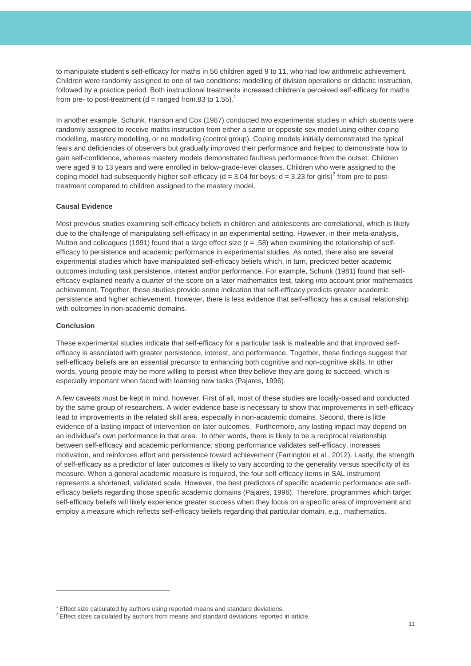to manipulate student's self-efficacy for maths in 56 children aged 9 to 11, who had low arithmetic achievement. Children were randomly assigned to one of two conditions: modelling of division operations or didactic instruction, followed by a practice period. Both instructional treatments increased children's perceived self-efficacy for maths from pre- to post-treatment (d = ranged from.83 to 1.55).<sup>1</sup>

In another example, Schunk, Hanson and Cox (1987) conducted two experimental studies in which students were randomly assigned to receive maths instruction from either a same or opposite sex model using either coping modelling, mastery modelling, or no modelling (control group). Coping models initially demonstrated the typical fears and deficiencies of observers but gradually improved their performance and helped to demonstrate how to gain self-confidence, whereas mastery models demonstrated faultless performance from the outset. Children were aged 9 to 13 years and were enrolled in below-grade-level classes. Children who were assigned to the coping model had subsequently higher self-efficacy (d = 3.04 for boys; d = 3.23 for girls)<sup>2</sup> from pre to posttreatment compared to children assigned to the mastery model.

### **Causal Evidence**

Most previous studies examining self-efficacy beliefs in children and adolescents are correlational, which is likely due to the challenge of manipulating self-efficacy in an experimental setting. However, in their meta-analysis, Multon and colleagues (1991) found that a large effect size (r = .58) when examining the relationship of selfefficacy to persistence and academic performance in experimental studies. As noted, there also are several experimental studies which have manipulated self-efficacy beliefs which, in turn, predicted better academic outcomes including task persistence, interest and/or performance. For example, Schunk (1981) found that selfefficacy explained nearly a quarter of the score on a later mathematics test, taking into account prior mathematics achievement. Together, these studies provide some indication that self-efficacy predicts greater academic persistence and higher achievement. However, there is less evidence that self-efficacy has a causal relationship with outcomes in non-academic domains.

### **Conclusion**

<span id="page-11-0"></span> $\overline{a}$ 

These experimental studies indicate that self-efficacy for a particular task is malleable and that improved selfefficacy is associated with greater persistence, interest, and performance. Together, these findings suggest that self-efficacy beliefs are an essential precursor to enhancing both cognitive and non-cognitive skills. In other words, young people may be more willing to persist when they believe they are going to succeed, which is especially important when faced with learning new tasks (Pajares, 1996).

A few caveats must be kept in mind, however. First of all, most of these studies are locally-based and conducted by the same group of researchers. A wider evidence base is necessary to show that improvements in self-efficacy lead to improvements in the related skill area, especially in non-academic domains. Second, there is little evidence of a lasting impact of intervention on later outcomes. Furthermore, any lasting impact may depend on an individual's own performance in that area. In other words, there is likely to be a reciprocal relationship between self-efficacy and academic performance: strong performance validates self-efficacy, increases motivation, and reinforces effort and persistence toward achievement (Farrington et al., 2012). Lastly, the strength of self-efficacy as a predictor of later outcomes is likely to vary according to the generality versus specificity of its measure. When a general academic measure is required, the four self-efficacy items in SAL instrument represents a shortened, validated scale. However, the best predictors of specific academic performance are selfefficacy beliefs regarding those specific academic domains (Pajares, 1996). Therefore, programmes which target self-efficacy beliefs will likely experience greater success when they focus on a specific area of improvement and employ a measure which reflects self-efficacy beliefs regarding that particular domain, e.g., mathematics.

 $1$  Effect size calculated by authors using reported means and standard deviations.

 $2$  Effect sizes calculated by authors from means and standard deviations reported in article.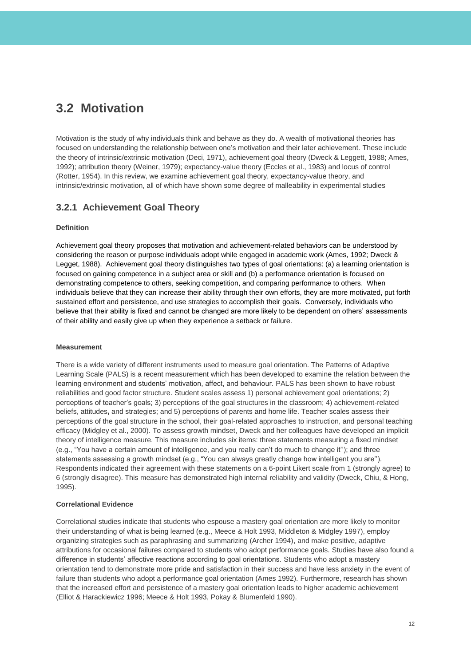## **3.2 Motivation**

Motivation is the study of why individuals think and behave as they do. A wealth of motivational theories has focused on understanding the relationship between one's motivation and their later achievement. These include the theory of intrinsic/extrinsic motivation (Deci, 1971), achievement goal theory (Dweck & Leggett, 1988; Ames, 1992); attribution theory (Weiner, 1979); expectancy-value theory (Eccles et al., 1983) and locus of control (Rotter, 1954). In this review, we examine achievement goal theory, expectancy-value theory, and intrinsic/extrinsic motivation, all of which have shown some degree of malleability in experimental studies

### **3.2.1 Achievement Goal Theory**

### **Definition**

Achievement goal theory proposes that motivation and achievement-related behaviors can be understood by considering the reason or purpose individuals adopt while engaged in academic work (Ames, 1992; Dweck & Legget, 1988). Achievement goal theory distinguishes two types of goal orientations: (a) a learning orientation is focused on gaining competence in a subject area or skill and (b) a performance orientation is focused on demonstrating competence to others, seeking competition, and comparing performance to others. When individuals believe that they can increase their ability through their own efforts, they are more motivated, put forth sustained effort and persistence, and use strategies to accomplish their goals. Conversely, individuals who believe that their ability is fixed and cannot be changed are more likely to be dependent on others' assessments of their ability and easily give up when they experience a setback or failure.

### **Measurement**

There is a wide variety of different instruments used to measure goal orientation. The Patterns of Adaptive Learning Scale (PALS) is a recent measurement which has been developed to examine the relation between the learning environment and students' motivation, affect, and behaviour. PALS has been shown to have robust reliabilities and good factor structure. Student scales assess 1) personal achievement goal orientations; 2) perceptions of teacher's goals; 3) perceptions of the goal structures in the classroom; 4) achievement-related beliefs, attitudes**,** and strategies; and 5) perceptions of parents and home life. Teacher scales assess their perceptions of the goal structure in the school, their goal-related approaches to instruction, and personal teaching efficacy (Midgley et al., 2000). To assess growth mindset, Dweck and her colleagues have developed an implicit theory of intelligence measure. This measure includes six items: three statements measuring a fixed mindset (e.g., "You have a certain amount of intelligence, and you really can't do much to change it''); and three statements assessing a growth mindset (e.g., "You can always greatly change how intelligent you are''). Respondents indicated their agreement with these statements on a 6-point Likert scale from 1 (strongly agree) to 6 (strongly disagree). This measure has demonstrated high internal reliability and validity (Dweck, Chiu, & Hong, 1995).

### **Correlational Evidence**

Correlational studies indicate that students who espouse a mastery goal orientation are more likely to monitor their understanding of what is being learned (e.g., Meece & Holt 1993, Middleton & Midgley 1997), employ organizing strategies such as paraphrasing and summarizing (Archer 1994), and make positive, adaptive attributions for occasional failures compared to students who adopt performance goals. Studies have also found a difference in students' affective reactions according to goal orientations. Students who adopt a mastery orientation tend to demonstrate more pride and satisfaction in their success and have less anxiety in the event of failure than students who adopt a performance goal orientation (Ames 1992). Furthermore, research has shown that the increased effort and persistence of a mastery goal orientation leads to higher academic achievement (Elliot & Harackiewicz 1996; Meece & Holt 1993, Pokay & Blumenfeld 1990).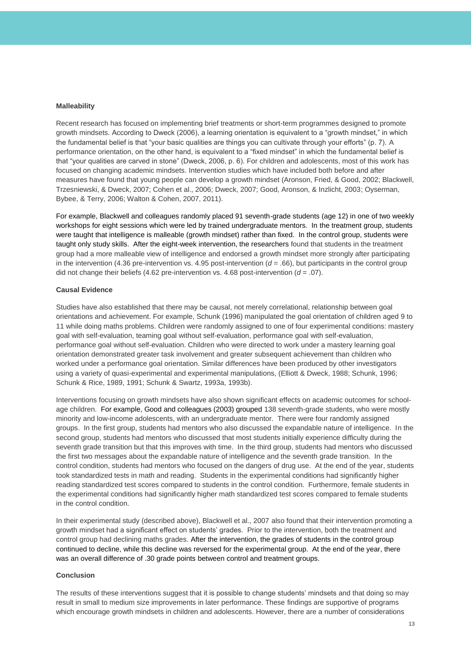#### **Malleability**

Recent research has focused on implementing brief treatments or short-term programmes designed to promote growth mindsets. According to Dweck (2006), a learning orientation is equivalent to a "growth mindset," in which the fundamental belief is that "your basic qualities are things you can cultivate through your efforts" (p. 7). A performance orientation, on the other hand, is equivalent to a "fixed mindset" in which the fundamental belief is that "your qualities are carved in stone" (Dweck, 2006, p. 6). For children and adolescents, most of this work has focused on changing academic mindsets. Intervention studies which have included both before and after measures have found that young people can develop a growth mindset (Aronson, Fried, & Good, 2002; Blackwell, Trzesniewski, & Dweck, 2007; Cohen et al., 2006; Dweck, 2007; Good, Aronson, & Inzlicht, 2003; Oyserman, Bybee, & Terry, 2006; Walton & Cohen, 2007, 2011).

For example, Blackwell and colleagues randomly placed 91 seventh-grade students (age 12) in one of two weekly workshops for eight sessions which were led by trained undergraduate mentors. In the treatment group, students were taught that intelligence is malleable (growth mindset) rather than fixed. In the control group, students were taught only study skills. After the eight-week intervention, the researchers found that students in the treatment group had a more malleable view of intelligence and endorsed a growth mindset more strongly after participating in the intervention (4.36 pre-intervention vs. 4.95 post-intervention  $(d = .66)$ , but participants in the control group did not change their beliefs (4.62 pre-intervention vs. 4.68 post-intervention (*d* = .07).

### **Causal Evidence**

Studies have also established that there may be causal, not merely correlational, relationship between goal orientations and achievement. For example, Schunk (1996) manipulated the goal orientation of children aged 9 to 11 while doing maths problems. Children were randomly assigned to one of four experimental conditions: mastery goal with self-evaluation, teaming goal without self-evaluation, performance goal with self-evaluation, performance goal without self-evaluation. Children who were directed to work under a mastery learning goal orientation demonstrated greater task involvement and greater subsequent achievement than children who worked under a performance goal orientation. Similar differences have been produced by other investigators using a variety of quasi-experimental and experimental manipulations, (Elliott & Dweck, 1988; Schunk, 1996; Schunk & Rice, 1989, 1991; Schunk & Swartz, 1993a, 1993b).

Interventions focusing on growth mindsets have also shown significant effects on academic outcomes for schoolage children. For example, Good and colleagues (2003) grouped 138 seventh-grade students, who were mostly minority and low-income adolescents, with an undergraduate mentor. There were four randomly assigned groups. In the first group, students had mentors who also discussed the expandable nature of intelligence. In the second group, students had mentors who discussed that most students initially experience difficulty during the seventh grade transition but that this improves with time. In the third group, students had mentors who discussed the first two messages about the expandable nature of intelligence and the seventh grade transition. In the control condition, students had mentors who focused on the dangers of drug use. At the end of the year, students took standardized tests in math and reading. Students in the experimental conditions had significantly higher reading standardized test scores compared to students in the control condition. Furthermore, female students in the experimental conditions had significantly higher math standardized test scores compared to female students in the control condition.

In their experimental study (described above), Blackwell et al., 2007 also found that their intervention promoting a growth mindset had a significant effect on students' grades. Prior to the intervention, both the treatment and control group had declining maths grades. After the intervention, the grades of students in the control group continued to decline, while this decline was reversed for the experimental group. At the end of the year, there was an overall difference of .30 grade points between control and treatment groups.

### **Conclusion**

The results of these interventions suggest that it is possible to change students' mindsets and that doing so may result in small to medium size improvements in later performance. These findings are supportive of programs which encourage growth mindsets in children and adolescents. However, there are a number of considerations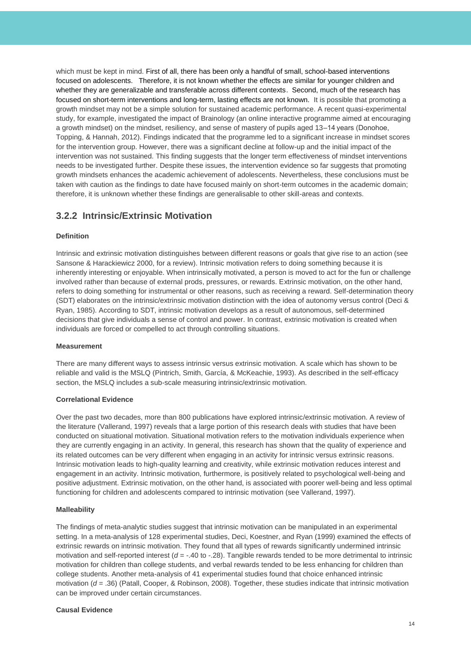which must be kept in mind. First of all, there has been only a handful of small, school-based interventions focused on adolescents. Therefore, it is not known whether the effects are similar for younger children and whether they are generalizable and transferable across different contexts. Second, much of the research has focused on short-term interventions and long-term, lasting effects are not known. It is possible that promoting a growth mindset may not be a simple solution for sustained academic performance. A recent quasi-experimental study, for example, investigated the impact of Brainology (an online interactive programme aimed at encouraging a growth mindset) on the mindset, resiliency, and sense of mastery of pupils aged 13–14 years (Donohoe, Topping, & Hannah, 2012). Findings indicated that the programme led to a significant increase in mindset scores for the intervention group. However, there was a significant decline at follow-up and the initial impact of the intervention was not sustained. This finding suggests that the longer term effectiveness of mindset interventions needs to be investigated further. Despite these issues, the intervention evidence so far suggests that promoting growth mindsets enhances the academic achievement of adolescents. Nevertheless, these conclusions must be taken with caution as the findings to date have focused mainly on short-term outcomes in the academic domain; therefore, it is unknown whether these findings are generalisable to other skill-areas and contexts.

### **3.2.2 Intrinsic/Extrinsic Motivation**

### **Definition**

Intrinsic and extrinsic motivation distinguishes between different reasons or goals that give rise to an action (see Sansone & Harackiewicz 2000, for a review). Intrinsic motivation refers to doing something because it is inherently interesting or enjoyable. When intrinsically motivated, a person is moved to act for the fun or challenge involved rather than because of external prods, pressures, or rewards. Extrinsic motivation, on the other hand, refers to doing something for instrumental or other reasons, such as receiving a reward. Self-determination theory (SDT) elaborates on the intrinsic/extrinsic motivation distinction with the idea of autonomy versus control (Deci & Ryan, 1985). According to SDT, intrinsic motivation develops as a result of autonomous, self-determined decisions that give individuals a sense of control and power. In contrast, extrinsic motivation is created when individuals are forced or compelled to act through controlling situations.

### **Measurement**

There are many different ways to assess intrinsic versus extrinsic motivation. A scale which has shown to be reliable and valid is the MSLQ (Pintrich, Smith, García, & McKeachie, 1993). As described in the self-efficacy section, the MSLQ includes a sub-scale measuring intrinsic/extrinsic motivation.

### **Correlational Evidence**

Over the past two decades, more than 800 publications have explored intrinsic/extrinsic motivation. A review of the literature (Vallerand, 1997) reveals that a large portion of this research deals with studies that have been conducted on situational motivation. Situational motivation refers to the motivation individuals experience when they are currently engaging in an activity. In general, this research has shown that the quality of experience and its related outcomes can be very different when engaging in an activity for intrinsic versus extrinsic reasons. Intrinsic motivation leads to high-quality learning and creativity, while extrinsic motivation reduces interest and engagement in an activity. Intrinsic motivation, furthermore, is positively related to psychological well-being and positive adjustment. Extrinsic motivation, on the other hand, is associated with poorer well-being and less optimal functioning for children and adolescents compared to intrinsic motivation (see Vallerand, 1997).

### **Malleability**

The findings of meta-analytic studies suggest that intrinsic motivation can be manipulated in an experimental setting. In a meta-analysis of 128 experimental studies, Deci, Koestner, and Ryan (1999) examined the effects of extrinsic rewards on intrinsic motivation. They found that all types of rewards significantly undermined intrinsic motivation and self-reported interest ( $d = -0.40$  to  $-0.28$ ). Tangible rewards tended to be more detrimental to intrinsic motivation for children than college students, and verbal rewards tended to be less enhancing for children than college students. Another meta-analysis of 41 experimental studies found that choice enhanced intrinsic motivation (*d* = .36) (Patall, Cooper, & Robinson, 2008). Together, these studies indicate that intrinsic motivation can be improved under certain circumstances.

### **Causal Evidence**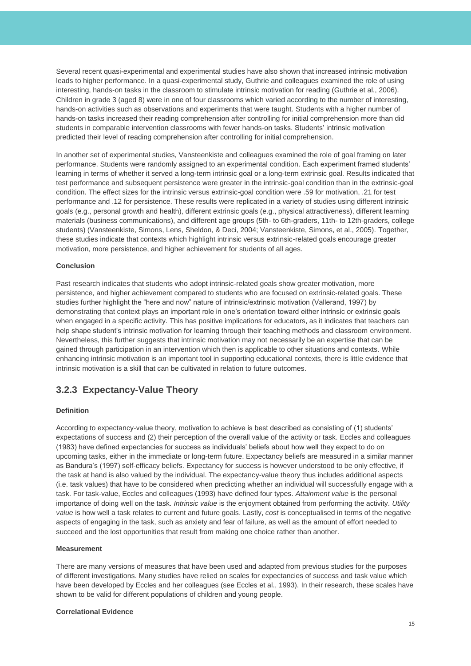Several recent quasi-experimental and experimental studies have also shown that increased intrinsic motivation leads to higher performance. In a quasi-experimental study, Guthrie and colleagues examined the role of using interesting, hands-on tasks in the classroom to stimulate intrinsic motivation for reading (Guthrie et al., 2006). Children in grade 3 (aged 8) were in one of four classrooms which varied according to the number of interesting, hands-on activities such as observations and experiments that were taught. Students with a higher number of hands-on tasks increased their reading comprehension after controlling for initial comprehension more than did students in comparable intervention classrooms with fewer hands-on tasks. Students' intrinsic motivation predicted their level of reading comprehension after controlling for initial comprehension.

In another set of experimental studies, Vansteenkiste and colleagues examined the role of goal framing on later performance. Students were randomly assigned to an experimental condition. Each experiment framed students' learning in terms of whether it served a long-term intrinsic goal or a long-term extrinsic goal. Results indicated that test performance and subsequent persistence were greater in the intrinsic-goal condition than in the extrinsic-goal condition. The effect sizes for the intrinsic versus extrinsic-goal condition were .59 for motivation, .21 for test performance and .12 for persistence. These results were replicated in a variety of studies using different intrinsic goals (e.g., personal growth and health), different extrinsic goals (e.g., physical attractiveness), different learning materials (business communications), and different age groups (5th- to 6th-graders, 11th- to 12th-graders, college students) (Vansteenkiste, Simons, Lens, Sheldon, & Deci, 2004; Vansteenkiste, Simons, et al., 2005). Together, these studies indicate that contexts which highlight intrinsic versus extrinsic-related goals encourage greater motivation, more persistence, and higher achievement for students of all ages.

### **Conclusion**

Past research indicates that students who adopt intrinsic-related goals show greater motivation, more persistence, and higher achievement compared to students who are focused on extrinsic-related goals. These studies further highlight the "here and now" nature of intrinsic/extrinsic motivation (Vallerand, 1997) by demonstrating that context plays an important role in one's orientation toward either intrinsic or extrinsic goals when engaged in a specific activity. This has positive implications for educators, as it indicates that teachers can help shape student's intrinsic motivation for learning through their teaching methods and classroom environment. Nevertheless, this further suggests that intrinsic motivation may not necessarily be an expertise that can be gained through participation in an intervention which then is applicable to other situations and contexts. While enhancing intrinsic motivation is an important tool in supporting educational contexts, there is little evidence that intrinsic motivation is a skill that can be cultivated in relation to future outcomes.

### **3.2.3 Expectancy-Value Theory**

### **Definition**

According to expectancy-value theory, motivation to achieve is best described as consisting of (1) students' expectations of success and (2) their perception of the overall value of the activity or task. Eccles and colleagues (1983) have defined expectancies for success as individuals' beliefs about how well they expect to do on upcoming tasks, either in the immediate or long-term future. Expectancy beliefs are measured in a similar manner as Bandura's (1997) self-efficacy beliefs. Expectancy for success is however understood to be only effective, if the task at hand is also valued by the individual. The expectancy-value theory thus includes additional aspects (i.e. task values) that have to be considered when predicting whether an individual will successfully engage with a task. For task-value, Eccles and colleagues (1993) have defined four types. *Attainment value* is the personal importance of doing well on the task. *Intrinsic value* is the enjoyment obtained from performing the activity. *Utility value* is how well a task relates to current and future goals. Lastly, *cost* is conceptualised in terms of the negative aspects of engaging in the task, such as anxiety and fear of failure, as well as the amount of effort needed to succeed and the lost opportunities that result from making one choice rather than another.

#### **Measurement**

There are many versions of measures that have been used and adapted from previous studies for the purposes of different investigations. Many studies have relied on scales for expectancies of success and task value which have been developed by Eccles and her colleagues (see Eccles et al., 1993). In their research, these scales have shown to be valid for different populations of children and young people.

### **Correlational Evidence**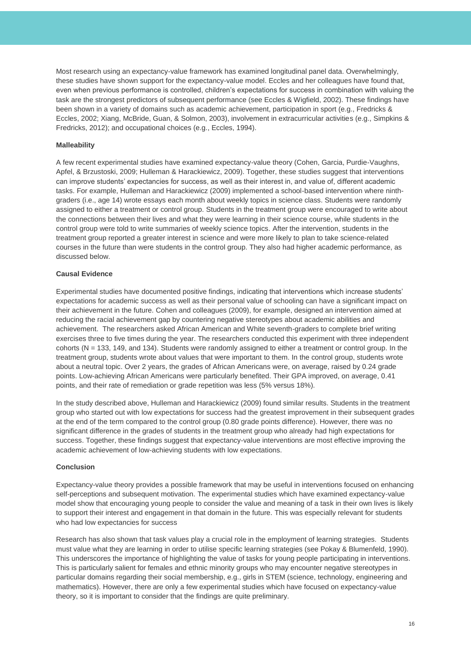Most research using an expectancy-value framework has examined longitudinal panel data. Overwhelmingly, these studies have shown support for the expectancy-value model. Eccles and her colleagues have found that, even when previous performance is controlled, children's expectations for success in combination with valuing the task are the strongest predictors of subsequent performance (see Eccles & Wigfield, 2002). These findings have been shown in a variety of domains such as academic achievement, participation in sport (e.g., Fredricks & Eccles, 2002; Xiang, McBride, Guan, & Solmon, 2003), involvement in extracurricular activities (e.g., Simpkins & Fredricks, 2012); and occupational choices (e.g., Eccles, 1994).

### **Malleability**

A few recent experimental studies have examined expectancy-value theory (Cohen, Garcia, Purdie-Vaughns, Apfel, & Brzustoski, 2009; Hulleman & Harackiewicz, 2009). Together, these studies suggest that interventions can improve students' expectancies for success, as well as their interest in, and value of, different academic tasks. For example, Hulleman and Harackiewicz (2009) implemented a school-based intervention where ninthgraders (i.e., age 14) wrote essays each month about weekly topics in science class. Students were randomly assigned to either a treatment or control group. Students in the treatment group were encouraged to write about the connections between their lives and what they were learning in their science course, while students in the control group were told to write summaries of weekly science topics. After the intervention, students in the treatment group reported a greater interest in science and were more likely to plan to take science-related courses in the future than were students in the control group. They also had higher academic performance, as discussed below.

### **Causal Evidence**

Experimental studies have documented positive findings, indicating that interventions which increase students' expectations for academic success as well as their personal value of schooling can have a significant impact on their achievement in the future. Cohen and colleagues (2009), for example, designed an intervention aimed at reducing the racial achievement gap by countering negative stereotypes about academic abilities and achievement. The researchers asked African American and White seventh-graders to complete brief writing exercises three to five times during the year. The researchers conducted this experiment with three independent cohorts (N = 133, 149, and 134). Students were randomly assigned to either a treatment or control group. In the treatment group, students wrote about values that were important to them. In the control group, students wrote about a neutral topic. Over 2 years, the grades of African Americans were, on average, raised by 0.24 grade points. Low-achieving African Americans were particularly benefited. Their GPA improved, on average, 0.41 points, and their rate of remediation or grade repetition was less (5% versus 18%).

In the study described above, Hulleman and Harackiewicz (2009) found similar results. Students in the treatment group who started out with low expectations for success had the greatest improvement in their subsequent grades at the end of the term compared to the control group (0.80 grade points difference). However, there was no significant difference in the grades of students in the treatment group who already had high expectations for success. Together, these findings suggest that expectancy-value interventions are most effective improving the academic achievement of low-achieving students with low expectations.

### **Conclusion**

Expectancy-value theory provides a possible framework that may be useful in interventions focused on enhancing self-perceptions and subsequent motivation. The experimental studies which have examined expectancy-value model show that encouraging young people to consider the value and meaning of a task in their own lives is likely to support their interest and engagement in that domain in the future. This was especially relevant for students who had low expectancies for success

Research has also shown that task values play a crucial role in the employment of learning strategies. Students must value what they are learning in order to utilise specific learning strategies (see Pokay & Blumenfeld, 1990). This underscores the importance of highlighting the value of tasks for young people participating in interventions. This is particularly salient for females and ethnic minority groups who may encounter negative stereotypes in particular domains regarding their social membership, e.g., girls in STEM (science, technology, engineering and mathematics). However, there are only a few experimental studies which have focused on expectancy-value theory, so it is important to consider that the findings are quite preliminary.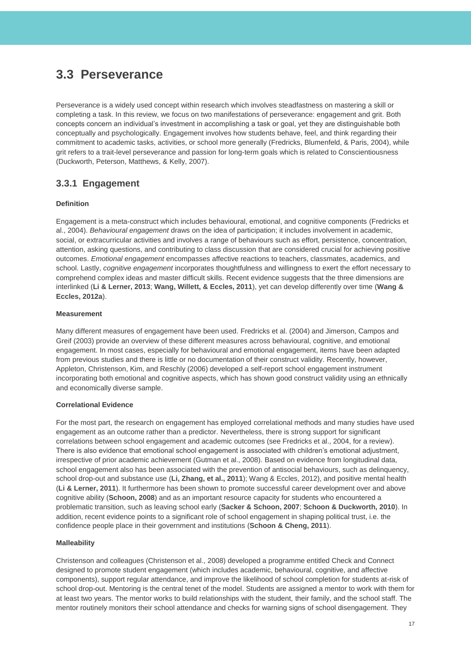## <span id="page-17-0"></span>**3.3 Perseverance**

Perseverance is a widely used concept within research which involves steadfastness on mastering a skill or completing a task. In this review, we focus on two manifestations of perseverance: engagement and grit. Both concepts concern an individual's investment in accomplishing a task or goal, yet they are distinguishable both conceptually and psychologically. Engagement involves how students behave, feel, and think regarding their commitment to academic tasks, activities, or school more generally (Fredricks, Blumenfeld, & Paris, 2004), while grit refers to a trait-level perseverance and passion for long-term goals which is related to Conscientiousness (Duckworth, Peterson, Matthews, & Kelly, 2007).

### **3.3.1 Engagement**

### **Definition**

Engagement is a meta-construct which includes behavioural, emotional, and cognitive components (Fredricks et al., 2004). *Behavioural engagement* draws on the idea of participation; it includes involvement in academic, social, or extracurricular activities and involves a range of behaviours such as effort, persistence, concentration, attention, asking questions, and contributing to class discussion that are considered crucial for achieving positive outcomes. *Emotional engagement* encompasses affective reactions to teachers, classmates, academics, and school. Lastly, *cognitive engagement* incorporates thoughtfulness and willingness to exert the effort necessary to comprehend complex ideas and master difficult skills. Recent evidence suggests that the three dimensions are interlinked (**Li & Lerner, 2013**; **Wang, Willett, & Eccles, 2011**), yet can develop differently over time (**Wang & Eccles, 2012a**).

### **Measurement**

Many different measures of engagement have been used. Fredricks et al. (2004) and Jimerson, Campos and Greif (2003) provide an overview of these different measures across behavioural, cognitive, and emotional engagement. In most cases, especially for behavioural and emotional engagement, items have been adapted from previous studies and there is little or no documentation of their construct validity. Recently, however, Appleton, Christenson, Kim, and Reschly (2006) developed a self-report school engagement instrument incorporating both emotional and cognitive aspects, which has shown good construct validity using an ethnically and economically diverse sample.

### **Correlational Evidence**

For the most part, the research on engagement has employed correlational methods and many studies have used engagement as an outcome rather than a predictor. Nevertheless, there is strong support for significant correlations between school engagement and academic outcomes (see Fredricks et al., 2004, for a review). There is also evidence that emotional school engagement is associated with children's emotional adjustment, irrespective of prior academic achievement (Gutman et al., 2008). Based on evidence from longitudinal data, school engagement also has been associated with the prevention of antisocial behaviours, such as delinquency, school drop-out and substance use (**Li, Zhang, et al., 2011**); Wang & Eccles, 2012), and positive mental health (**Li & Lerner, 2011**). It furthermore has been shown to promote successful career development over and above cognitive ability (**Schoon, 2008**) and as an important resource capacity for students who encountered a problematic transition, such as leaving school early (**Sacker & Schoon, 2007**; **Schoon & Duckworth, 2010**). In addition, recent evidence points to a significant role of school engagement in shaping political trust, i.e. the confidence people place in their government and institutions (**Schoon & Cheng, 2011**).

### **Malleability**

Christenson and colleagues (Christenson et al., 2008) developed a programme entitled Check and Connect designed to promote student engagement (which includes academic, behavioural, cognitive, and affective components), support regular attendance, and improve the likelihood of school completion for students at-risk of school drop-out. Mentoring is the central tenet of the model. Students are assigned a mentor to work with them for at least two years. The mentor works to build relationships with the student, their family, and the school staff. The mentor routinely monitors their school attendance and checks for warning signs of school disengagement. They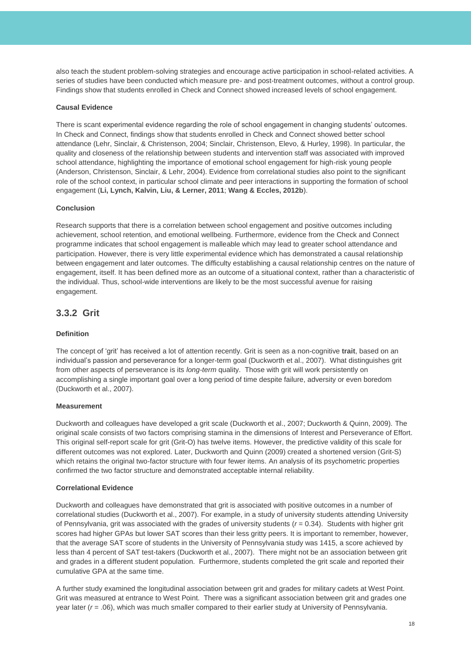also teach the student problem-solving strategies and encourage active participation in school-related activities. A series of studies have been conducted which measure pre- and post-treatment outcomes, without a control group. Findings show that students enrolled in Check and Connect showed increased levels of school engagement.

### **Causal Evidence**

There is scant experimental evidence regarding the role of school engagement in changing students' outcomes. In Check and Connect, findings show that students enrolled in Check and Connect showed better school attendance (Lehr, Sinclair, & Christenson, 2004; Sinclair, Christenson, Elevo, & Hurley, 1998). In particular, the quality and closeness of the relationship between students and intervention staff was associated with improved school attendance, highlighting the importance of emotional school engagement for high-risk young people (Anderson, Christenson, Sinclair, & Lehr, 2004). Evidence from correlational studies also point to the significant role of the school context, in particular school climate and peer interactions in supporting the formation of school engagement (**Li, Lynch, Kalvin, Liu, & Lerner, 2011**; **Wang & Eccles, 2012b**).

### **Conclusion**

Research supports that there is a correlation between school engagement and positive outcomes including achievement, school retention, and emotional wellbeing. Furthermore, evidence from the Check and Connect programme indicates that school engagement is malleable which may lead to greater school attendance and participation. However, there is very little experimental evidence which has demonstrated a causal relationship between engagement and later outcomes. The difficulty establishing a causal relationship centres on the nature of engagement, itself. It has been defined more as an outcome of a situational context, rather than a characteristic of the individual. Thus, school-wide interventions are likely to be the most successful avenue for raising engagement.

### **3.3.2 Grit**

### **Definition**

The concept of 'grit' has received a lot of attention recently. Grit is seen as a non-cognitive **[trait](http://en.wikipedia.org/wiki/Trait_theory)**, based on an individual's passion and perseverance for a longer-term goal (Duckworth et al., 2007). What distinguishes grit from other aspects of perseverance is its *long-term* quality. Those with grit will work persistently on accomplishing a single important goal over a long period of time despite failure, adversity or even boredom (Duckworth et al., 2007).

### **Measurement**

Duckworth and colleagues have developed a grit scale (Duckworth et al., 2007; Duckworth & Quinn, 2009). The original scale consists of two factors comprising stamina in the dimensions of Interest and Perseverance of Effort. This original self-report scale for grit (Grit-O) has twelve items. However, the predictive validity of this scale for different outcomes was not explored. Later, Duckworth and Quinn (2009) created a shortened version (Grit-S) which retains the original two-factor structure with four fewer items. An analysis of its psychometric properties confirmed the two factor structure and demonstrated acceptable internal reliability.

### **Correlational Evidence**

Duckworth and colleagues have demonstrated that grit is associated with positive outcomes in a number of correlational studies (Duckworth et al., 2007). For example, in a study of university students attending University of Pennsylvania, grit was associated with the grades of university students (*r* = 0.34). Students with higher grit scores had higher GPAs but lower SAT scores than their less gritty peers. It is important to remember, however, that the average SAT score of students in the University of Pennsylvania study was 1415, a score achieved by less than 4 percent of SAT test-takers (Duckworth et al., 2007). There might not be an association between grit and grades in a different student population. Furthermore, students completed the grit scale and reported their cumulative GPA at the same time.

A further study examined the longitudinal association between grit and grades for military cadets at West Point. Grit was measured at entrance to West Point. There was a significant association between grit and grades one year later ( $r = .06$ ), which was much smaller compared to their earlier study at University of Pennsylvania.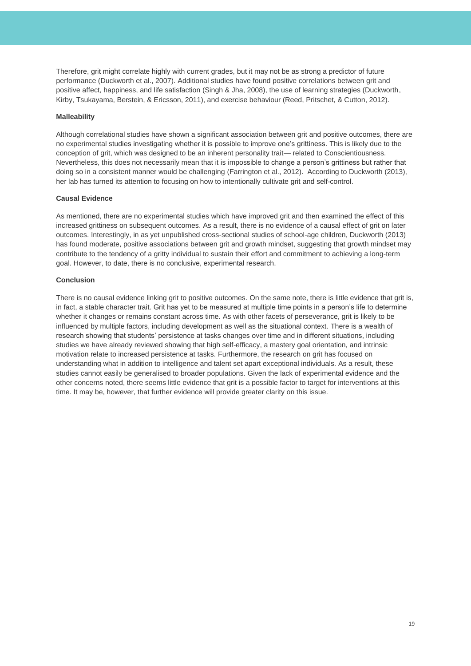Therefore, grit might correlate highly with current grades, but it may not be as strong a predictor of future performance (Duckworth et al., 2007). Additional studies have found positive correlations between grit and positive affect, happiness, and life satisfaction (Singh & Jha, 2008), the use of learning strategies (Duckworth, Kirby, Tsukayama, Berstein, & Ericsson, 2011), and exercise behaviour (Reed, Pritschet, & Cutton, 2012).

### **Malleability**

Although correlational studies have shown a significant association between grit and positive outcomes, there are no experimental studies investigating whether it is possible to improve one's grittiness. This is likely due to the conception of grit, which was designed to be an inherent personality trait— related to Conscientiousness. Nevertheless, this does not necessarily mean that it is impossible to change a person's grittiness but rather that doing so in a consistent manner would be challenging (Farrington et al., 2012). According to Duckworth (2013), her lab has turned its attention to focusing on how to intentionally cultivate grit and self-control.

### **Causal Evidence**

As mentioned, there are no experimental studies which have improved grit and then examined the effect of this increased grittiness on subsequent outcomes. As a result, there is no evidence of a causal effect of grit on later outcomes. Interestingly, in as yet unpublished cross-sectional studies of school-age children, Duckworth (2013) has found moderate, positive associations between grit and growth mindset, suggesting that growth mindset may contribute to the tendency of a gritty individual to sustain their effort and commitment to achieving a long-term goal. However, to date, there is no conclusive, experimental research.

### **Conclusion**

There is no causal evidence linking grit to positive outcomes. On the same note, there is little evidence that grit is, in fact, a stable character trait. Grit has yet to be measured at multiple time points in a person's life to determine whether it changes or remains constant across time. As with other facets of perseverance, grit is likely to be influenced by multiple factors, including development as well as the situational context. There is a wealth of research showing that students' persistence at tasks changes over time and in different situations, including studies we have already reviewed showing that high self-efficacy, a mastery goal orientation, and intrinsic motivation relate to increased persistence at tasks. Furthermore, the research on grit has focused on understanding what in addition to intelligence and talent set apart exceptional individuals. As a result, these studies cannot easily be generalised to broader populations. Given the lack of experimental evidence and the other concerns noted, there seems little evidence that grit is a possible factor to target for interventions at this time. It may be, however, that further evidence will provide greater clarity on this issue.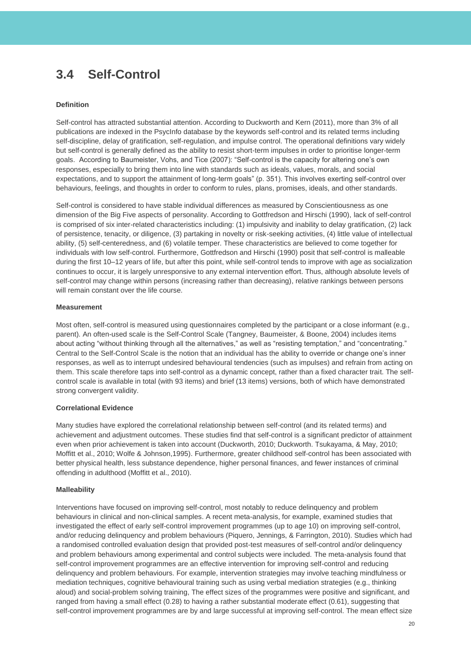## <span id="page-20-0"></span>**3.4 Self-Control**

### **Definition**

Self-control has attracted substantial attention. According to Duckworth and Kern (2011), more than 3% of all publications are indexed in the PsycInfo database by the keywords self-control and its related terms including self-discipline, delay of gratification, self-regulation, and impulse control. The operational definitions vary widely but self-control is generally defined as the ability to resist short-term impulses in order to prioritise longer-term goals. According to Baumeister, Vohs, and Tice (2007): "Self-control is the capacity for altering one's own responses, especially to bring them into line with standards such as ideals, values, morals, and social expectations, and to support the attainment of long-term goals" (p. 351). This involves exerting self-control over behaviours, feelings, and thoughts in order to conform to rules, plans, promises, ideals, and other standards.

Self-control is considered to have stable individual differences as measured by Conscientiousness as one dimension of the Big Five aspects of personality. According to Gottfredson and Hirschi (1990), lack of self-control is comprised of six inter-related characteristics including: (1) impulsivity and inability to delay gratification, (2) lack of persistence, tenacity, or diligence, (3) partaking in novelty or risk-seeking activities, (4) little value of intellectual ability, (5) self-centeredness, and (6) volatile temper. These characteristics are believed to come together for individuals with low self-control. Furthermore, Gottfredson and Hirschi (1990) posit that self-control is malleable during the first 10–12 years of life, but after this point, while self-control tends to improve with age as socialization continues to occur, it is largely unresponsive to any external intervention effort. Thus, although absolute levels of self-control may change within persons (increasing rather than decreasing), relative rankings between persons will remain constant over the life course.

### **Measurement**

Most often, self-control is measured using questionnaires completed by the participant or a close informant (e.g., parent). An often-used scale is the Self-Control Scale (Tangney, Baumeister, & Boone, 2004) includes items about acting "without thinking through all the alternatives," as well as "resisting temptation," and "concentrating." Central to the Self-Control Scale is the notion that an individual has the ability to override or change one's inner responses, as well as to interrupt undesired behavioural tendencies (such as impulses) and refrain from acting on them. This scale therefore taps into self-control as a dynamic concept, rather than a fixed character trait. The selfcontrol scale is available in total (with 93 items) and brief (13 items) versions, both of which have demonstrated strong convergent validity.

#### **Correlational Evidence**

Many studies have explored the correlational relationship between self-control (and its related terms) and achievement and adjustment outcomes. These studies find that self-control is a significant predictor of attainment even when prior achievement is taken into account (Duckworth, 2010; Duckworth. Tsukayama, & May, 2010; Moffitt et al., 2010; Wolfe & Johnson,1995). Furthermore, greater childhood self-control has been associated with better physical health, less substance dependence, higher personal finances, and fewer instances of criminal offending in adulthood (Moffitt et al., 2010).

#### **Malleability**

Interventions have focused on improving self-control, most notably to reduce delinquency and problem behaviours in clinical and non-clinical samples. A recent meta-analysis, for example, examined studies that investigated the effect of early self-control improvement programmes (up to age 10) on improving self-control, and/or reducing delinquency and problem behaviours (Piquero, Jennings, & Farrington, 2010). Studies which had a randomised controlled evaluation design that provided post-test measures of self-control and/or delinquency and problem behaviours among experimental and control subjects were included. The meta-analysis found that self-control improvement programmes are an effective intervention for improving self-control and reducing delinquency and problem behaviours. For example, intervention strategies may involve teaching mindfulness or mediation techniques, cognitive behavioural training such as using verbal mediation strategies (e.g., thinking aloud) and social-problem solving training, The effect sizes of the programmes were positive and significant, and ranged from having a small effect (0.28) to having a rather substantial moderate effect (0.61), suggesting that self-control improvement programmes are by and large successful at improving self-control. The mean effect size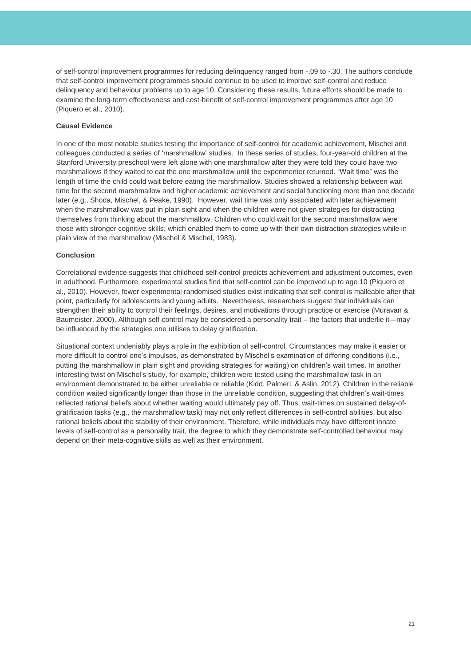of self-control improvement programmes for reducing delinquency ranged from -.09 to -.30. The authors conclude that self-control improvement programmes should continue to be used to improve self-control and reduce delinquency and behaviour problems up to age 10. Considering these results, future efforts should be made to examine the long-term effectiveness and cost-benefit of self-control improvement programmes after age 10 (Piquero et al., 2010).

### **Causal Evidence**

In one of the most notable studies testing the importance of self-control for academic achievement, Mischel and colleagues conducted a series of 'marshmallow' studies. In these series of studies, four-year-old children at the Stanford University preschool were left alone with one marshmallow after they were told they could have two marshmallows if they waited to eat the one marshmallow until the experimenter returned. "Wait time" was the length of time the child could wait before eating the marshmallow. Studies showed a relationship between wait time for the second marshmallow and higher academic achievement and social functioning more than one decade later (e.g., Shoda, Mischel, & Peake, 1990). However, wait time was only associated with later achievement when the marshmallow was put in plain sight and when the children were not given strategies for distracting themselves from thinking about the marshmallow. Children who could wait for the second marshmallow were those with stronger cognitive skills; which enabled them to come up with their own distraction strategies while in plain view of the marshmallow (Mischel & Mischel, 1983).

### **Conclusion**

Correlational evidence suggests that childhood self-control predicts achievement and adjustment outcomes, even in adulthood. Furthermore, experimental studies find that self-control can be improved up to age 10 (Piquero et al., 2010). However, fewer experimental randomised studies exist indicating that self-control is malleable after that point, particularly for adolescents and young adults. Nevertheless, researchers suggest that individuals can strengthen their ability to control their feelings, desires, and motivations through practice or exercise (Muravan & Baumeister, 2000). Although self-control may be considered a personality trait – the factors that underlie it—may be influenced by the strategies one utilises to delay gratification.

Situational context undeniably plays a role in the exhibition of self-control. Circumstances may make it easier or more difficult to control one's impulses, as demonstrated by Mischel's examination of differing conditions (i.e., putting the marshmallow in plain sight and providing strategies for waiting) on children's wait times. In another interesting twist on Mischel's study, for example, children were tested using the marshmallow task in an environment demonstrated to be either unreliable or reliable (Kidd, Palmeri, & Aslin, 2012). Children in the reliable condition waited significantly longer than those in the unreliable condition, suggesting that children's wait-times reflected rational beliefs about whether waiting would ultimately pay off. Thus, wait-times on sustained delay-ofgratification tasks (e.g., the marshmallow task) may not only reflect differences in self-control abilities, but also rational beliefs about the stability of their environment. Therefore, while individuals may have different innate levels of self-control as a personality trait, the degree to which they demonstrate self-controlled behaviour may depend on their meta-cognitive skills as well as their environment.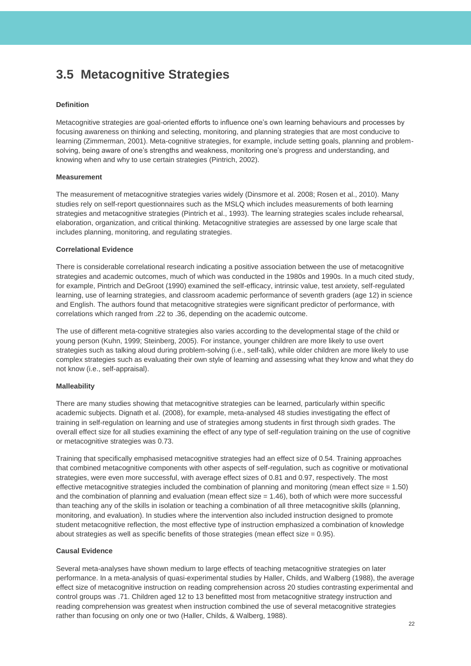## <span id="page-22-0"></span>**3.5 Metacognitive Strategies**

### **Definition**

Metacognitive strategies are goal-oriented efforts to influence one's own learning behaviours and processes by focusing awareness on thinking and selecting, monitoring, and planning strategies that are most conducive to learning (Zimmerman, 2001). Meta-cognitive strategies, for example, include setting goals, planning and problemsolving, being aware of one's strengths and weakness, monitoring one's progress and understanding, and knowing when and why to use certain strategies (Pintrich, 2002).

#### **Measurement**

The measurement of metacognitive strategies varies widely (Dinsmore et al. 2008; Rosen et al., 2010). Many studies rely on self-report questionnaires such as the MSLQ which includes measurements of both learning strategies and metacognitive strategies (Pintrich et al., 1993). The learning strategies scales include rehearsal, elaboration, organization, and critical thinking. Metacognitive strategies are assessed by one large scale that includes planning, monitoring, and regulating strategies.

### **Correlational Evidence**

There is considerable correlational research indicating a positive association between the use of metacognitive strategies and academic outcomes, much of which was conducted in the 1980s and 1990s. In a much cited study, for example, Pintrich and DeGroot (1990) examined the self-efficacy, intrinsic value, test anxiety, self-regulated learning, use of learning strategies, and classroom academic performance of seventh graders (age 12) in science and English. The authors found that metacognitive strategies were significant predictor of performance, with correlations which ranged from .22 to .36, depending on the academic outcome.

The use of different meta-cognitive strategies also varies according to the developmental stage of the child or young person (Kuhn, 1999; Steinberg, 2005). For instance, younger children are more likely to use overt strategies such as talking aloud during problem-solving (i.e., self-talk), while older children are more likely to use complex strategies such as evaluating their own style of learning and assessing what they know and what they do not know (i.e., self-appraisal).

### **Malleability**

There are many studies showing that metacognitive strategies can be learned, particularly within specific academic subjects. Dignath et al. (2008), for example, meta-analysed 48 studies investigating the effect of training in self-regulation on learning and use of strategies among students in first through sixth grades. The overall effect size for all studies examining the effect of any type of self-regulation training on the use of cognitive or metacognitive strategies was 0.73.

Training that specifically emphasised metacognitive strategies had an effect size of 0.54. Training approaches that combined metacognitive components with other aspects of self-regulation, such as cognitive or motivational strategies, were even more successful, with average effect sizes of 0.81 and 0.97, respectively. The most effective metacognitive strategies included the combination of planning and monitoring (mean effect size = 1.50) and the combination of planning and evaluation (mean effect size = 1.46), both of which were more successful than teaching any of the skills in isolation or teaching a combination of all three metacognitive skills (planning, monitoring, and evaluation). In studies where the intervention also included instruction designed to promote student metacognitive reflection, the most effective type of instruction emphasized a combination of knowledge about strategies as well as specific benefits of those strategies (mean effect size  $= 0.95$ ).

### **Causal Evidence**

Several meta-analyses have shown medium to large effects of teaching metacognitive strategies on later performance. In a meta-analysis of quasi-experimental studies by Haller, Childs, and Walberg (1988), the average effect size of metacognitive instruction on reading comprehension across 20 studies contrasting experimental and control groups was .71. Children aged 12 to 13 benefitted most from metacognitive strategy instruction and reading comprehension was greatest when instruction combined the use of several metacognitive strategies rather than focusing on only one or two (Haller, Childs, & Walberg, 1988).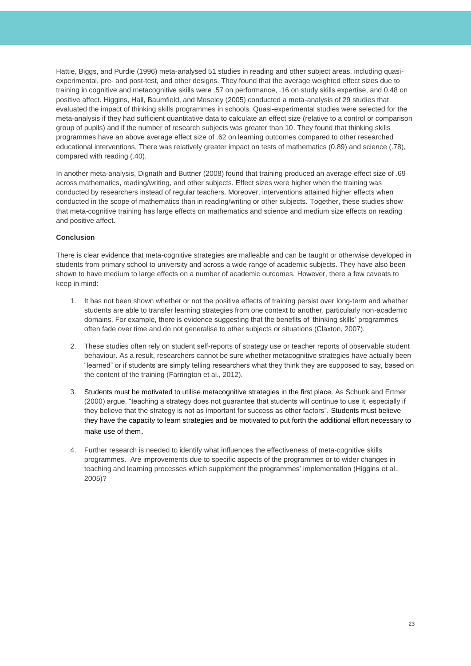Hattie, Biggs, and Purdie (1996) meta-analysed 51 studies in reading and other subject areas, including quasiexperimental, pre- and post-test, and other designs. They found that the average weighted effect sizes due to training in cognitive and metacognitive skills were .57 on performance, .16 on study skills expertise, and 0.48 on positive affect. Higgins, Hall, Baumfield, and Moseley (2005) conducted a meta-analysis of 29 studies that evaluated the impact of thinking skills programmes in schools. Quasi-experimental studies were selected for the meta-analysis if they had sufficient quantitative data to calculate an effect size (relative to a control or comparison group of pupils) and if the number of research subjects was greater than 10. They found that thinking skills programmes have an above average effect size of .62 on learning outcomes compared to other researched educational interventions. There was relatively greater impact on tests of mathematics (0.89) and science (.78), compared with reading (.40).

In another meta-analysis, Dignath and Buttner (2008) found that training produced an average effect size of .69 across mathematics, reading/writing, and other subjects. Effect sizes were higher when the training was conducted by researchers instead of regular teachers. Moreover, interventions attained higher effects when conducted in the scope of mathematics than in reading/writing or other subjects. Together, these studies show that meta-cognitive training has large effects on mathematics and science and medium size effects on reading and positive affect.

### **Conclusion**

There is clear evidence that meta-cognitive strategies are malleable and can be taught or otherwise developed in students from primary school to university and across a wide range of academic subjects. They have also been shown to have medium to large effects on a number of academic outcomes. However, there a few caveats to keep in mind:

- 1. It has not been shown whether or not the positive effects of training persist over long-term and whether students are able to transfer learning strategies from one context to another, particularly non-academic domains. For example, there is evidence suggesting that the benefits of 'thinking skills' programmes often fade over time and do not generalise to other subjects or situations (Claxton, 2007).
- 2. These studies often rely on student self-reports of strategy use or teacher reports of observable student behaviour. As a result, researchers cannot be sure whether metacognitive strategies have actually been "learned" or if students are simply telling researchers what they think they are supposed to say, based on the content of the training (Farrington et al., 2012).
- 3. Students must be motivated to utilise metacognitive strategies in the first place. As Schunk and Ertmer (2000) argue, "teaching a strategy does not guarantee that students will continue to use it, especially if they believe that the strategy is not as important for success as other factors". Students must believe they have the capacity to learn strategies and be motivated to put forth the additional effort necessary to make use of them.
- 4. Further research is needed to identify what influences the effectiveness of meta-cognitive skills programmes. Are improvements due to specific aspects of the programmes or to wider changes in teaching and learning processes which supplement the programmes' implementation (Higgins et al., 2005)?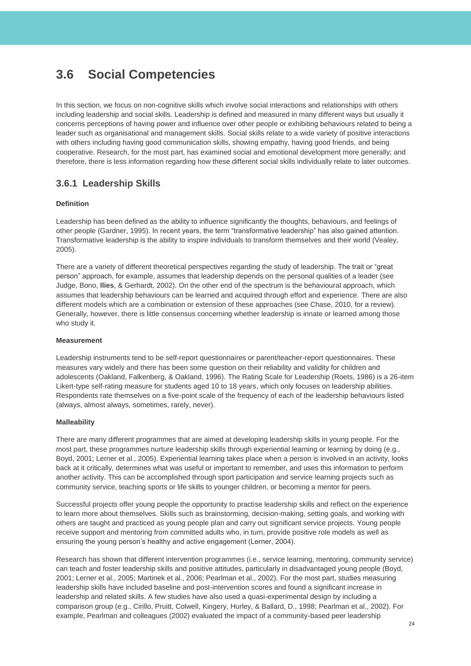## <span id="page-24-0"></span>**3.6 Social Competencies**

In this section, we focus on non-cognitive skills which involve social interactions and relationships with others including leadership and social skills. Leadership is defined and measured in many different ways but usually it concerns perceptions of having power and influence over other people or exhibiting behaviours related to being a leader such as organisational and management skills. Social skills relate to a wide variety of positive interactions with others including having good communication skills, showing empathy, having good friends, and being cooperative. Research, for the most part, has examined social and emotional development more generally; and therefore, there is less information regarding how these different social skills individually relate to later outcomes.

### **3.6.1 Leadership Skills**

### **Definition**

Leadership has been defined as the ability to influence significantly the thoughts, behaviours, and feelings of other people (Gardner, 1995). In recent years, the term "transformative leadership" has also gained attention. Transformative leadership is the ability to inspire individuals to transform themselves and their world (Vealey, 2005).

There are a variety of different theoretical perspectives regarding the study of leadership. The trait or "great person" approach, for example, assumes that leadership depends on the personal qualities of a leader (see Judge, Bono, **[Ilies](http://scholar.google.co.uk/citations?user=SNM9OtoAAAAJ&hl=en&oi=sra)**, & Gerhardt, 2002). On the other end of the spectrum is the behavioural approach, which assumes that leadership behaviours can be learned and acquired through effort and experience. There are also different models which are a combination or extension of these approaches (see Chase, 2010, for a review). Generally, however, there is little consensus concerning whether leadership is innate or learned among those who study it.

### **Measurement**

Leadership instruments tend to be self-report questionnaires or parent/teacher-report questionnaires. These measures vary widely and there has been some question on their reliability and validity for children and adolescents (Oakland, Falkenberg, & Oakland, 1996). The Rating Scale for Leadership (Roets, 1986) is a 26-item Likert-type self-rating measure for students aged 10 to 18 years, which only focuses on leadership abilities. Respondents rate themselves on a five-point scale of the frequency of each of the leadership behaviours listed (always, almost always, sometimes, rarely, never).

### **Malleability**

There are many different programmes that are aimed at developing leadership skills in young people. For the most part, these programmes nurture leadership skills through experiential learning or learning by doing (e.g., Boyd, 2001; Lerner et al., 2005). Experiential learning takes place when a person is involved in an activity, looks back at it critically, determines what was useful or important to remember, and uses this information to perform another activity. This can be accomplished through sport participation and service learning projects such as community service, teaching sports or life skills to younger children, or becoming a mentor for peers.

Successful projects offer young people the opportunity to practise leadership skills and reflect on the experience to learn more about themselves. Skills such as brainstorming, decision-making, setting goals, and working with others are taught and practiced as young people plan and carry out significant service projects. Young people receive support and mentoring from committed adults who, in turn, provide positive role models as well as ensuring the young person's healthy and active engagement (Lerner, 2004).

Research has shown that different intervention programmes (i.e., service learning, mentoring, community service) can teach and foster leadership skills and positive attitudes, particularly in disadvantaged young people (Boyd, 2001; Lerner et al., 2005; Martinek et al., 2006; Pearlman et al., 2002). For the most part, studies measuring leadership skills have included baseline and post-intervention scores and found a significant increase in leadership and related skills. A few studies have also used a quasi-experimental design by including a comparison group (e.g., Cirillo, Pruitt, Colwell, Kingery, Hurley, & Ballard, D., 1998; Pearlman et al., 2002). For example, Pearlman and colleagues (2002) evaluated the impact of a community-based peer leadership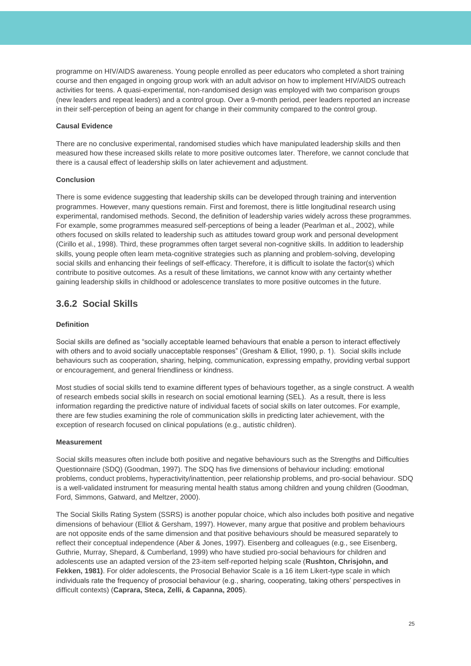programme on HIV/AIDS awareness. Young people enrolled as peer educators who completed a short training course and then engaged in ongoing group work with an adult advisor on how to implement HIV/AIDS outreach activities for teens. A quasi-experimental, non-randomised design was employed with two comparison groups (new leaders and repeat leaders) and a control group. Over a 9-month period, peer leaders reported an increase in their self-perception of being an agent for change in their community compared to the control group.

### **Causal Evidence**

There are no conclusive experimental, randomised studies which have manipulated leadership skills and then measured how these increased skills relate to more positive outcomes later. Therefore, we cannot conclude that there is a causal effect of leadership skills on later achievement and adjustment.

### **Conclusion**

There is some evidence suggesting that leadership skills can be developed through training and intervention programmes. However, many questions remain. First and foremost, there is little longitudinal research using experimental, randomised methods. Second, the definition of leadership varies widely across these programmes. For example, some programmes measured self-perceptions of being a leader (Pearlman et al., 2002), while others focused on skills related to leadership such as attitudes toward group work and personal development (Cirillo et al., 1998). Third, these programmes often target several non-cognitive skills. In addition to leadership skills, young people often learn meta-cognitive strategies such as planning and problem-solving, developing social skills and enhancing their feelings of self-efficacy. Therefore, it is difficult to isolate the factor(s) which contribute to positive outcomes. As a result of these limitations, we cannot know with any certainty whether gaining leadership skills in childhood or adolescence translates to more positive outcomes in the future.

### **3.6.2 Social Skills**

### **Definition**

Social skills are defined as "socially acceptable learned behaviours that enable a person to interact effectively with others and to avoid socially unacceptable responses" (Gresham & Elliot, 1990, p. 1). Social skills include behaviours such as cooperation, sharing, helping, communication, expressing empathy, providing verbal support or encouragement, and general friendliness or kindness.

Most studies of social skills tend to examine different types of behaviours together, as a single construct. A wealth of research embeds social skills in research on social emotional learning (SEL). As a result, there is less information regarding the predictive nature of individual facets of social skills on later outcomes. For example, there are few studies examining the role of communication skills in predicting later achievement, with the exception of research focused on clinical populations (e.g., autistic children).

### **Measurement**

Social skills measures often include both positive and negative behaviours such as the Strengths and Difficulties Questionnaire (SDQ) (Goodman, 1997). The SDQ has five dimensions of behaviour including: emotional problems, conduct problems, hyperactivity/inattention, peer relationship problems, and pro-social behaviour. SDQ is a well-validated instrument for measuring mental health status among children and young children (Goodman, Ford, Simmons, Gatward, and Meltzer, 2000).

The Social Skills Rating System (SSRS) is another popular choice, which also includes both positive and negative dimensions of behaviour (Elliot & Gersham, 1997). However, many argue that positive and problem behaviours are not opposite ends of the same dimension and that positive behaviours should be measured separately to reflect their conceptual independence (Aber & Jones, 1997). Eisenberg and colleagues (e.g., see Eisenberg, Guthrie, Murray, Shepard, & Cumberland, 1999) who have studied pro-social behaviours for children and adolescents use an adapted version of the 23-item self-reported helping scale (**[Rushton, Chrisjohn, and](http://www.ncbi.nlm.nih.gov/pmc/articles/PMC2893741/#R54)  [Fekken, 1981\)](http://www.ncbi.nlm.nih.gov/pmc/articles/PMC2893741/#R54)**. For older adolescents, the Prosocial Behavior Scale is a 16 item Likert-type scale in which individuals rate the frequency of prosocial behaviour (e.g., sharing, cooperating, taking others' perspectives in difficult contexts) (**[Caprara, Steca, Zelli, & Capanna, 2005](http://www.ncbi.nlm.nih.gov/pmc/articles/PMC3139820/#R10)**).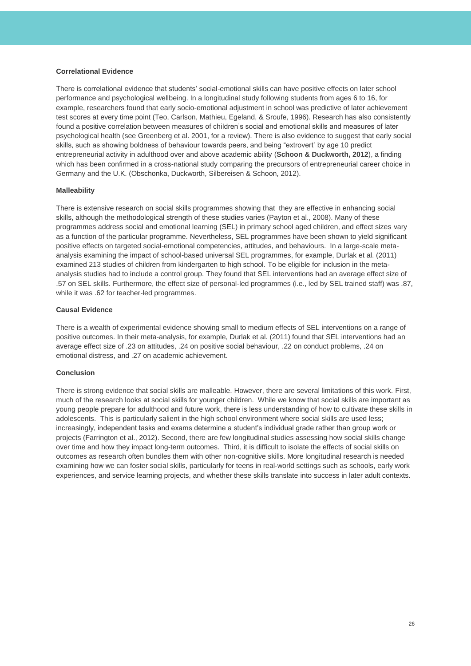### **Correlational Evidence**

There is correlational evidence that students' social-emotional skills can have positive effects on later school performance and psychological wellbeing. In a longitudinal study following students from ages 6 to 16, for example, researchers found that early socio-emotional adjustment in school was predictive of later achievement test scores at every time point (Teo, Carlson, Mathieu, Egeland, & Sroufe, 1996). Research has also consistently found a positive correlation between measures of children's social and emotional skills and measures of later psychological health (see Greenberg et al. 2001, for a review). There is also evidence to suggest that early social skills, such as showing boldness of behaviour towards peers, and being "extrovert' by age 10 predict entrepreneurial activity in adulthood over and above academic ability (**Schoon & Duckworth, 2012**), a finding which has been confirmed in a cross-national study comparing the precursors of entrepreneurial career choice in Germany and the U.K. (Obschonka, Duckworth, Silbereisen & Schoon, 2012).

### **Malleability**

There is extensive research on social skills programmes showing that they are effective in enhancing social skills, although the methodological strength of these studies varies (Payton et al., 2008). Many of these programmes address social and emotional learning (SEL) in primary school aged children, and effect sizes vary as a function of the particular programme. Nevertheless, SEL programmes have been shown to yield significant positive effects on targeted social-emotional competencies, attitudes, and behaviours. In a large-scale metaanalysis examining the impact of school-based universal SEL programmes, for example, Durlak et al. (2011) examined 213 studies of children from kindergarten to high school. To be eligible for inclusion in the metaanalysis studies had to include a control group. They found that SEL interventions had an average effect size of .57 on SEL skills. Furthermore, the effect size of personal-led programmes (i.e., led by SEL trained staff) was .87, while it was .62 for teacher-led programmes.

### **Causal Evidence**

There is a wealth of experimental evidence showing small to medium effects of SEL interventions on a range of positive outcomes. In their meta-analysis, for example, Durlak et al. (2011) found that SEL interventions had an average effect size of .23 on attitudes, .24 on positive social behaviour, .22 on conduct problems, .24 on emotional distress, and .27 on academic achievement.

### **Conclusion**

There is strong evidence that social skills are malleable. However, there are several limitations of this work. First, much of the research looks at social skills for younger children. While we know that social skills are important as young people prepare for adulthood and future work, there is less understanding of how to cultivate these skills in adolescents. This is particularly salient in the high school environment where social skills are used less; increasingly, independent tasks and exams determine a student's individual grade rather than group work or projects (Farrington et al., 2012). Second, there are few longitudinal studies assessing how social skills change over time and how they impact long-term outcomes. Third, it is difficult to isolate the effects of social skills on outcomes as research often bundles them with other non-cognitive skills. More longitudinal research is needed examining how we can foster social skills, particularly for teens in real-world settings such as schools, early work experiences, and service learning projects, and whether these skills translate into success in later adult contexts.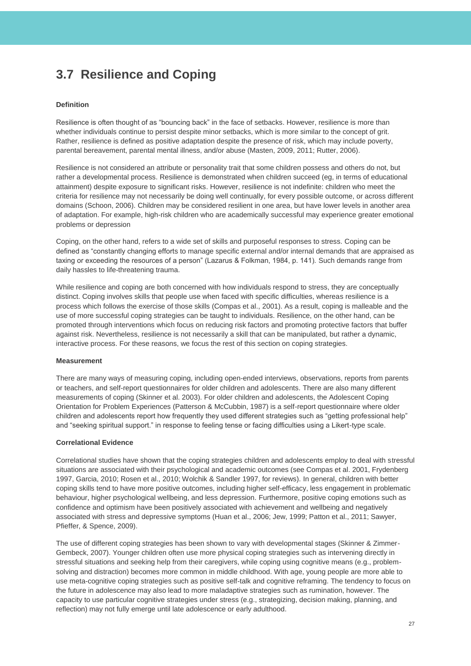## <span id="page-27-0"></span>**3.7 Resilience and Coping**

### **Definition**

Resilience is often thought of as "bouncing back" in the face of setbacks. However, resilience is more than whether individuals continue to persist despite minor setbacks, which is more similar to the concept of grit. Rather, resilience is defined as positive adaptation despite the presence of risk, which may include poverty, parental bereavement, parental mental illness, and/or abuse (Masten, 2009, 2011; Rutter, 2006).

Resilience is not considered an attribute or personality trait that some children possess and others do not, but rather a developmental process. Resilience is demonstrated when children succeed (eg, in terms of educational attainment) despite exposure to significant risks. However, resilience is not indefinite: children who meet the criteria for resilience may not necessarily be doing well continually, for every possible outcome, or across different domains (Schoon, 2006). Children may be considered resilient in one area, but have lower levels in another area of adaptation. For example, high-risk children who are academically successful may experience greater emotional problems or depression

Coping, on the other hand, refers to a wide set of skills and purposeful responses to stress. Coping can be defined as "constantly changing efforts to manage specific external and/or internal demands that are appraised as taxing or exceeding the resources of a person" (Lazarus & Folkman, 1984, p. 141). Such demands range from daily hassles to life-threatening trauma.

While resilience and coping are both concerned with how individuals respond to stress, they are conceptually distinct. Coping involves skills that people use when faced with specific difficulties, whereas resilience is a process which follows the exercise of those skills (Compas et al., 2001). As a result, coping is malleable and the use of more successful coping strategies can be taught to individuals. Resilience, on the other hand, can be promoted through interventions which focus on reducing risk factors and promoting protective factors that buffer against risk. Nevertheless, resilience is not necessarily a skill that can be manipulated, but rather a dynamic, interactive process. For these reasons, we focus the rest of this section on coping strategies.

### **Measurement**

There are many ways of measuring coping, including open-ended interviews, observations, reports from parents or teachers, and self-report questionnaires for older children and adolescents. There are also many different measurements of coping (Skinner et al. 2003). For older children and adolescents, the Adolescent Coping Orientation for Problem Experiences (Patterson & McCubbin, 1987) is a self-report questionnaire where older children and adolescents report how frequently they used different strategies such as "getting professional help" and "seeking spiritual support." in response to feeling tense or facing difficulties using a Likert-type scale.

### **Correlational Evidence**

Correlational studies have shown that the coping strategies children and adolescents employ to deal with stressful situations are associated with their psychological and academic outcomes (see Compas et al. 2001, Frydenberg 1997, Garcia, 2010; Rosen et al., 2010; Wolchik & Sandler 1997, for reviews). In general, children with better coping skills tend to have more positive outcomes, including higher self-efficacy, less engagement in problematic behaviour, higher psychological wellbeing, and less depression. Furthermore, positive coping emotions such as confidence and optimism have been positively associated with achievement and wellbeing and negatively associated with stress and depressive symptoms (Huan et al., 2006; Jew, 1999; Patton et al., 2011; Sawyer, Pfieffer, & Spence, 2009).

The use of different coping strategies has been shown to vary with developmental stages (Skinner & Zimmer-Gembeck, 2007). Younger children often use more physical coping strategies such as intervening directly in stressful situations and seeking help from their caregivers, while coping using cognitive means (e.g., problemsolving and distraction) becomes more common in middle childhood. With age, young people are more able to use meta-cognitive coping strategies such as positive self-talk and cognitive reframing. The tendency to focus on the future in adolescence may also lead to more maladaptive strategies such as rumination, however. The capacity to use particular cognitive strategies under stress (e.g., strategizing, decision making, planning, and reflection) may not fully emerge until late adolescence or early adulthood.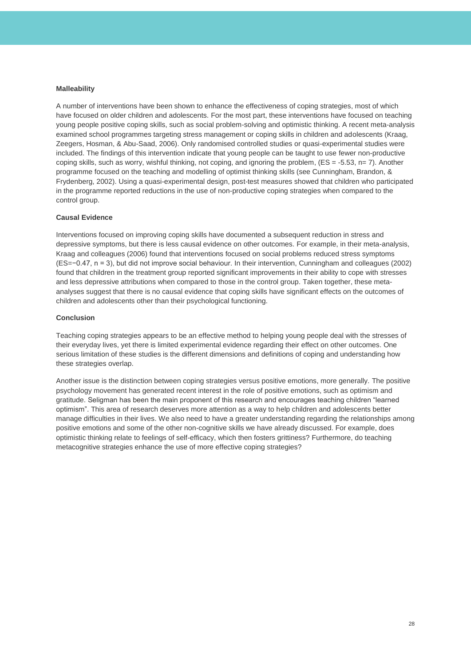#### **Malleability**

A number of interventions have been shown to enhance the effectiveness of coping strategies, most of which have focused on older children and adolescents. For the most part, these interventions have focused on teaching young people positive coping skills, such as social problem-solving and optimistic thinking. A recent meta-analysis examined school programmes targeting stress management or coping skills in children and adolescents (Kraag, Zeegers, Hosman, & Abu-Saad, 2006). Only randomised controlled studies or quasi-experimental studies were included. The findings of this intervention indicate that young people can be taught to use fewer non-productive coping skills, such as worry, wishful thinking, not coping, and ignoring the problem,  $(ES = -5.53, n= 7)$ . Another programme focused on the teaching and modelling of optimist thinking skills (see Cunningham, Brandon, & Frydenberg, 2002). Using a quasi-experimental design, post-test measures showed that children who participated in the programme reported reductions in the use of non-productive coping strategies when compared to the control group.

#### **Causal Evidence**

Interventions focused on improving coping skills have documented a subsequent reduction in stress and depressive symptoms, but there is less causal evidence on other outcomes. For example, in their meta-analysis, Kraag and colleagues (2006) found that interventions focused on social problems reduced stress symptoms (ES=−0.47, n = 3), but did not improve social behaviour. In their intervention, Cunningham and colleagues (2002) found that children in the treatment group reported significant improvements in their ability to cope with stresses and less depressive attributions when compared to those in the control group. Taken together, these metaanalyses suggest that there is no causal evidence that coping skills have significant effects on the outcomes of children and adolescents other than their psychological functioning.

#### **Conclusion**

Teaching coping strategies appears to be an effective method to helping young people deal with the stresses of their everyday lives, yet there is limited experimental evidence regarding their effect on other outcomes. One serious limitation of these studies is the different dimensions and definitions of coping and understanding how these strategies overlap.

Another issue is the distinction between coping strategies versus positive emotions, more generally. The positive psychology movement has generated recent interest in the role of positive emotions, such as optimism and gratitude. Seligman has been the main proponent of this research and encourages teaching children "learned optimism". This area of research deserves more attention as a way to help children and adolescents better manage difficulties in their lives. We also need to have a greater understanding regarding the relationships among positive emotions and some of the other non-cognitive skills we have already discussed. For example, does optimistic thinking relate to feelings of self-efficacy, which then fosters grittiness? Furthermore, do teaching metacognitive strategies enhance the use of more effective coping strategies?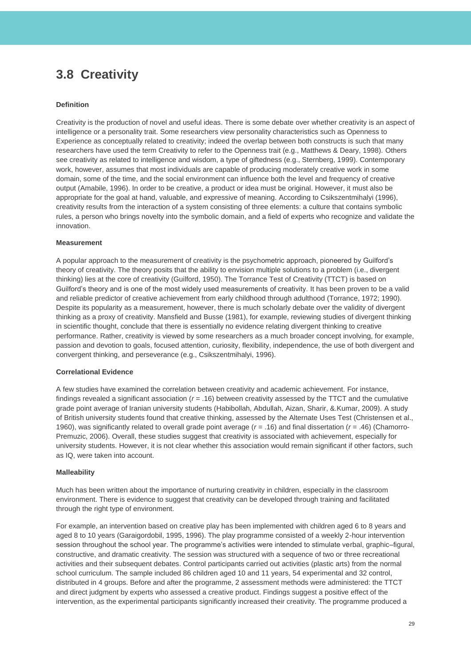## <span id="page-29-0"></span>**3.8 Creativity**

### **Definition**

Creativity is the production of novel and useful ideas. There is some debate over whether creativity is an aspect of intelligence or a personality trait. Some researchers view personality characteristics such as Openness to Experience as conceptually related to creativity; indeed the overlap between both constructs is such that many researchers have used the term Creativity to refer to the Openness trait (e.g., Matthews & Deary, 1998). Others see creativity as related to intelligence and wisdom, a type of giftedness (e.g., Sternberg, 1999). Contemporary work, however, assumes that most individuals are capable of producing moderately creative work in some domain, some of the time, and the social environment can influence both the level and frequency of creative output (Amabile, 1996). In order to be creative, a product or idea must be original. However, it must also be appropriate for the goal at hand, valuable, and expressive of meaning. According to Csikszentmihalyi (1996), creativity results from the interaction of a system consisting of three elements: a culture that contains symbolic rules, a person who brings novelty into the symbolic domain, and a field of experts who recognize and validate the innovation.

### **Measurement**

A popular approach to the measurement of creativity is the psychometric approach, pioneered by Guilford's theory of creativity. The theory posits that the ability to envision multiple solutions to a problem (i.e., divergent thinking) lies at the core of creativity (Guilford, 1950). The Torrance Test of Creativity (TTCT) is based on Guilford's theory and is one of the most widely used measurements of creativity. It has been proven to be a valid and reliable predictor of creative achievement from early childhood through adulthood (Torrance, 1972; 1990). Despite its popularity as a measurement, however, there is much scholarly debate over the validity of divergent thinking as a proxy of creativity. Mansfield and Busse (1981), for example, reviewing studies of divergent thinking in scientific thought, conclude that there is essentially no evidence relating divergent thinking to creative performance. Rather, creativity is viewed by some researchers as a much broader concept involving, for example, passion and devotion to goals, focused attention, curiosity, flexibility, independence, the use of both divergent and convergent thinking, and perseverance (e.g., Csikszentmihalyi, 1996).

#### **Correlational Evidence**

A few studies have examined the correlation between creativity and academic achievement. For instance, findings revealed a significant association ( $r = .16$ ) between creativity assessed by the TTCT and the cumulative grade point average of Iranian university students (Habibollah, Abdullah, Aizan, Sharir, &.Kumar, 2009). A study of British university students found that creative thinking, assessed by the Alternate Uses Test (Christensen et al., 1960), was significantly related to overall grade point average (*r* = .16) and final dissertation (*r* = .46) (Chamorro-Premuzic, 2006). Overall, these studies suggest that creativity is associated with achievement, especially for university students. However, it is not clear whether this association would remain significant if other factors, such as IQ, were taken into account.

#### **Malleability**

Much has been written about the importance of nurturing creativity in children, especially in the classroom environment. There is evidence to suggest that creativity can be developed through training and facilitated through the right type of environment.

For example, an intervention based on creative play has been implemented with children aged 6 to 8 years and aged 8 to 10 years (Garaigordobil, 1995, 1996). The play programme consisted of a weekly 2-hour intervention session throughout the school year. The programme's activities were intended to stimulate verbal, graphic–figural, constructive, and dramatic creativity. The session was structured with a sequence of two or three recreational activities and their subsequent debates. Control participants carried out activities (plastic arts) from the normal school curriculum. The sample included 86 children aged 10 and 11 years, 54 experimental and 32 control, distributed in 4 groups. Before and after the programme, 2 assessment methods were administered: the TTCT and direct judgment by experts who assessed a creative product. Findings suggest a positive effect of the intervention, as the experimental participants significantly increased their creativity. The programme produced a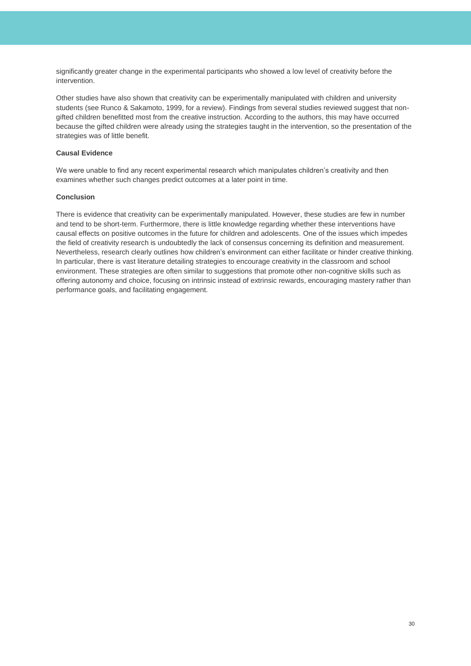significantly greater change in the experimental participants who showed a low level of creativity before the intervention.

Other studies have also shown that creativity can be experimentally manipulated with children and university students (see Runco & Sakamoto, 1999, for a review). Findings from several studies reviewed suggest that nongifted children benefitted most from the creative instruction. According to the authors, this may have occurred because the gifted children were already using the strategies taught in the intervention, so the presentation of the strategies was of little benefit.

### **Causal Evidence**

We were unable to find any recent experimental research which manipulates children's creativity and then examines whether such changes predict outcomes at a later point in time.

### **Conclusion**

There is evidence that creativity can be experimentally manipulated. However, these studies are few in number and tend to be short-term. Furthermore, there is little knowledge regarding whether these interventions have causal effects on positive outcomes in the future for children and adolescents. One of the issues which impedes the field of creativity research is undoubtedly the lack of consensus concerning its definition and measurement. Nevertheless, research clearly outlines how children's environment can either facilitate or hinder creative thinking. In particular, there is vast literature detailing strategies to encourage creativity in the classroom and school environment. These strategies are often similar to suggestions that promote other non-cognitive skills such as offering autonomy and choice, focusing on intrinsic instead of extrinsic rewards, encouraging mastery rather than performance goals, and facilitating engagement.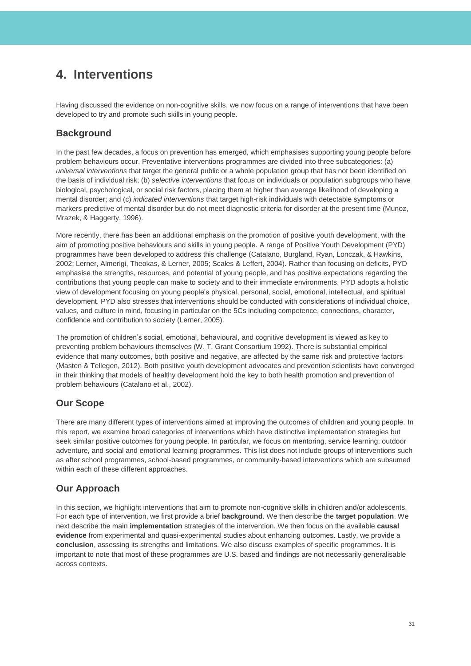## <span id="page-31-0"></span>**4. Interventions**

Having discussed the evidence on non-cognitive skills, we now focus on a range of interventions that have been developed to try and promote such skills in young people.

### **Background**

In the past few decades, a focus on prevention has emerged, which emphasises supporting young people before problem behaviours occur. Preventative interventions programmes are divided into three subcategories: (a) *universal interventions* that target the general public or a whole population group that has not been identified on the basis of individual risk; (b) *selective interventions* that focus on individuals or population subgroups who have biological, psychological, or social risk factors, placing them at higher than average likelihood of developing a mental disorder; and (c) *indicated interventions* that target high-risk individuals with detectable symptoms or markers predictive of mental disorder but do not meet diagnostic criteria for disorder at the present time (Munoz, Mrazek, & Haggerty, 1996).

More recently, there has been an additional emphasis on the promotion of positive youth development, with the aim of promoting positive behaviours and skills in young people. A range of Positive Youth Development (PYD) programmes have been developed to address this challenge (Catalano, Burgland, Ryan, Lonczak, & Hawkins, 2002; Lerner, Almerigi, Theokas, & Lerner, 2005; Scales & Leffert, 2004). Rather than focusing on deficits, PYD emphasise the strengths, resources, and potential of young people, and has positive expectations regarding the contributions that young people can make to society and to their immediate environments. PYD adopts a holistic view of development focusing on young people's physical, personal, social, emotional, intellectual, and spiritual development. PYD also stresses that interventions should be conducted with considerations of individual choice, values, and culture in mind, focusing in particular on the 5Cs including competence, connections, character, confidence and contribution to society (Lerner, 2005).

The promotion of children's social, emotional, behavioural, and cognitive development is viewed as key to preventing problem behaviours themselves (W. T. Grant Consortium 1992). There is substantial empirical evidence that many outcomes, both positive and negative, are affected by the same risk and protective factors (Masten & Tellegen, 2012). Both positive youth development advocates and prevention scientists have converged in their thinking that models of healthy development hold the key to both health promotion and prevention of problem behaviours (Catalano et al., 2002).

## **Our Scope**

There are many different types of interventions aimed at improving the outcomes of children and young people. In this report, we examine broad categories of interventions which have distinctive implementation strategies but seek similar positive outcomes for young people. In particular, we focus on mentoring, service learning, outdoor adventure, and social and emotional learning programmes. This list does not include groups of interventions such as after school programmes, school-based programmes, or community-based interventions which are subsumed within each of these different approaches.

## **Our Approach**

In this section, we highlight interventions that aim to promote non-cognitive skills in children and/or adolescents. For each type of intervention, we first provide a brief **background**. We then describe the **target population**. We next describe the main **implementation** strategies of the intervention. We then focus on the available **causal evidence** from experimental and quasi-experimental studies about enhancing outcomes. Lastly, we provide a **conclusion**, assessing its strengths and limitations. We also discuss examples of specific programmes. It is important to note that most of these programmes are U.S. based and findings are not necessarily generalisable across contexts.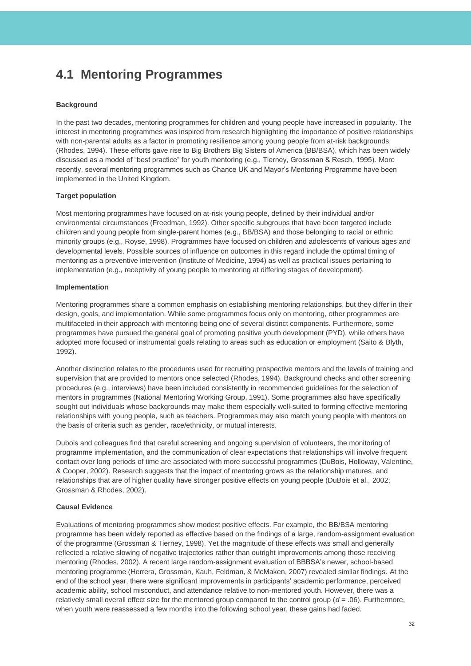## <span id="page-32-0"></span>**4.1 Mentoring Programmes**

### **Background**

In the past two decades, mentoring programmes for children and young people have increased in popularity. The interest in mentoring programmes was inspired from research highlighting the importance of positive relationships with non-parental adults as a factor in promoting resilience among young people from at-risk backgrounds (Rhodes, 1994). These efforts gave rise to Big Brothers Big Sisters of America (BB/BSA), which has been widely discussed as a model of "best practice" for youth mentoring (e.g., Tierney, Grossman & Resch, 1995). More recently, several mentoring programmes such as Chance UK and Mayor's Mentoring Programme have been implemented in the United Kingdom.

### **Target population**

Most mentoring programmes have focused on at-risk young people, defined by their individual and/or environmental circumstances (Freedman, 1992). Other specific subgroups that have been targeted include children and young people from single-parent homes (e.g., BB/BSA) and those belonging to racial or ethnic minority groups (e.g., Royse, 1998). Programmes have focused on children and adolescents of various ages and developmental levels. Possible sources of influence on outcomes in this regard include the optimal timing of mentoring as a preventive intervention (Institute of Medicine, 1994) as well as practical issues pertaining to implementation (e.g., receptivity of young people to mentoring at differing stages of development).

### **Implementation**

Mentoring programmes share a common emphasis on establishing mentoring relationships, but they differ in their design, goals, and implementation. While some programmes focus only on mentoring, other programmes are multifaceted in their approach with mentoring being one of several distinct components. Furthermore, some programmes have pursued the general goal of promoting positive youth development (PYD), while others have adopted more focused or instrumental goals relating to areas such as education or employment (Saito & Blyth, 1992).

Another distinction relates to the procedures used for recruiting prospective mentors and the levels of training and supervision that are provided to mentors once selected (Rhodes, 1994). Background checks and other screening procedures (e.g., interviews) have been included consistently in recommended guidelines for the selection of mentors in programmes (National Mentoring Working Group, 1991). Some programmes also have specifically sought out individuals whose backgrounds may make them especially well-suited to forming effective mentoring relationships with young people, such as teachers. Programmes may also match young people with mentors on the basis of criteria such as gender, race/ethnicity, or mutual interests.

Dubois and colleagues find that careful screening and ongoing supervision of volunteers, the monitoring of programme implementation, and the communication of clear expectations that relationships will involve frequent contact over long periods of time are associated with more successful programmes (DuBois, Holloway, Valentine, & Cooper, 2002). Research suggests that the impact of mentoring grows as the relationship matures, and relationships that are of higher quality have stronger positive effects on young people (DuBois et al., 2002; Grossman & Rhodes, 2002).

### **Causal Evidence**

Evaluations of mentoring programmes show modest positive effects. For example, the BB/BSA mentoring programme has been widely reported as effective based on the findings of a large, random-assignment evaluation of the programme (Grossman & Tierney, 1998). Yet the magnitude of these effects was small and generally reflected a relative slowing of negative trajectories rather than outright improvements among those receiving mentoring (Rhodes, 2002). A recent large random-assignment evaluation of BBBSA's newer, school-based mentoring programme (Herrera, Grossman, Kauh, Feldman, & McMaken, 2007) revealed similar findings. At the end of the school year, there were significant improvements in participants' academic performance, perceived academic ability, school misconduct, and attendance relative to non-mentored youth. However, there was a relatively small overall effect size for the mentored group compared to the control group (*d* = .06). Furthermore, when youth were reassessed a few months into the following school year, these gains had faded.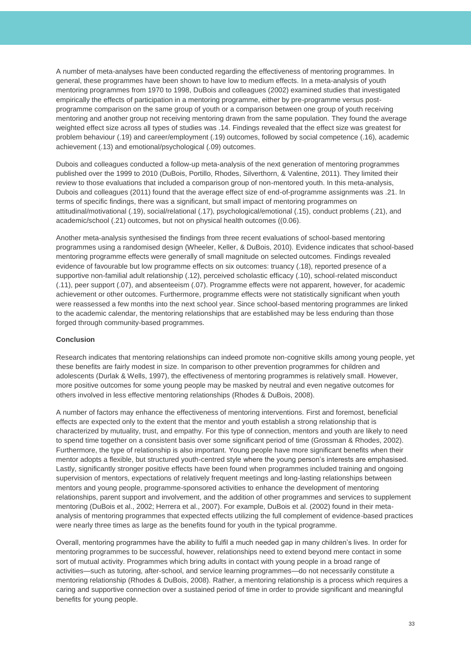A number of meta-analyses have been conducted regarding the effectiveness of mentoring programmes. In general, these programmes have been shown to have low to medium effects. In a meta-analysis of youth mentoring programmes from 1970 to 1998, DuBois and colleagues (2002) examined studies that investigated empirically the effects of participation in a mentoring programme, either by pre-programme versus postprogramme comparison on the same group of youth or a comparison between one group of youth receiving mentoring and another group not receiving mentoring drawn from the same population. They found the average weighted effect size across all types of studies was .14. Findings revealed that the effect size was greatest for problem behaviour (.19) and career/employment (.19) outcomes, followed by social competence (.16), academic achievement (.13) and emotional/psychological (.09) outcomes.

Dubois and colleagues conducted a follow-up meta-analysis of the next generation of mentoring programmes published over the 1999 to 2010 (DuBois, Portillo, Rhodes, Silverthorn, & Valentine, 2011). They limited their review to those evaluations that included a comparison group of non-mentored youth. In this meta-analysis, Dubois and colleagues (2011) found that the average effect size of end-of-programme assignments was .21. In terms of specific findings, there was a significant, but small impact of mentoring programmes on attitudinal/motivational (.19), social/relational (.17), psychological/emotional (.15), conduct problems (.21), and academic/school (.21) outcomes, but not on physical health outcomes ((0.06).

Another meta-analysis synthesised the findings from three recent evaluations of school-based mentoring programmes using a randomised design (Wheeler, Keller, & DuBois, 2010). Evidence indicates that school-based mentoring programme effects were generally of small magnitude on selected outcomes. Findings revealed evidence of favourable but low programme effects on six outcomes: truancy (.18), reported presence of a supportive non-familial adult relationship (.12), perceived scholastic efficacy (.10), school-related misconduct (.11), peer support (.07), and absenteeism (.07). Programme effects were not apparent, however, for academic achievement or other outcomes. Furthermore, programme effects were not statistically significant when youth were reassessed a few months into the next school year. Since school-based mentoring programmes are linked to the academic calendar, the mentoring relationships that are established may be less enduring than those forged through community-based programmes.

### **Conclusion**

Research indicates that mentoring relationships can indeed promote non-cognitive skills among young people, yet these benefits are fairly modest in size. In comparison to other prevention programmes for children and adolescents (Durlak & Wells, 1997), the effectiveness of mentoring programmes is relatively small. However, more positive outcomes for some young people may be masked by neutral and even negative outcomes for others involved in less effective mentoring relationships (Rhodes & DuBois, 2008).

A number of factors may enhance the effectiveness of mentoring interventions. First and foremost, beneficial effects are expected only to the extent that the mentor and youth establish a strong relationship that is characterized by mutuality, trust, and empathy. For this type of connection, mentors and youth are likely to need to spend time together on a consistent basis over some significant period of time (Grossman & Rhodes, 2002). Furthermore, the type of relationship is also important. Young people have more significant benefits when their mentor adopts a flexible, but structured youth-centred style where the young person's interests are emphasised. Lastly, significantly stronger positive effects have been found when programmes included training and ongoing supervision of mentors, expectations of relatively frequent meetings and long-lasting relationships between mentors and young people, programme-sponsored activities to enhance the development of mentoring relationships, parent support and involvement, and the addition of other programmes and services to supplement mentoring (DuBois et al., 2002; Herrera et al., 2007). For example, DuBois et al. (2002) found in their metaanalysis of mentoring programmes that expected effects utilizing the full complement of evidence-based practices were nearly three times as large as the benefits found for youth in the typical programme.

Overall, mentoring programmes have the ability to fulfil a much needed gap in many children's lives. In order for mentoring programmes to be successful, however, relationships need to extend beyond mere contact in some sort of mutual activity. Programmes which bring adults in contact with young people in a broad range of activities—such as tutoring, after-school, and service learning programmes—do not necessarily constitute a mentoring relationship (Rhodes & DuBois, 2008). Rather, a mentoring relationship is a process which requires a caring and supportive connection over a sustained period of time in order to provide significant and meaningful benefits for young people.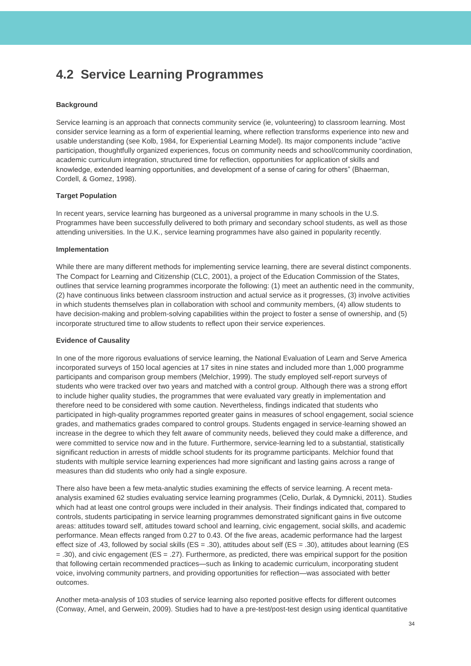## <span id="page-34-0"></span>**4.2 Service Learning Programmes**

### **Background**

Service learning is an approach that connects community service (ie, volunteering) to classroom learning. Most consider service learning as a form of experiential learning, where reflection transforms experience into new and usable understanding (see Kolb, 1984, for Experiential Learning Model). Its major components include "active participation, thoughtfully organized experiences, focus on community needs and school/community coordination, academic curriculum integration, structured time for reflection, opportunities for application of skills and knowledge, extended learning opportunities, and development of a sense of caring for others" (Bhaerman, Cordell, & Gomez, 1998).

### **Target Population**

In recent years, service learning has burgeoned as a universal programme in many schools in the U.S. Programmes have been successfully delivered to both primary and secondary school students, as well as those attending universities. In the U.K., service learning programmes have also gained in popularity recently.

#### **Implementation**

While there are many different methods for implementing service learning, there are several distinct components. The Compact for Learning and Citizenship (CLC, 2001), a project of the Education Commission of the States, outlines that service learning programmes incorporate the following: (1) meet an authentic need in the community, (2) have continuous links between classroom instruction and actual service as it progresses, (3) involve activities in which students themselves plan in collaboration with school and community members, (4) allow students to have decision-making and problem-solving capabilities within the project to foster a sense of ownership, and (5) incorporate structured time to allow students to reflect upon their service experiences.

#### **Evidence of Causality**

In one of the more rigorous evaluations of service learning, the National Evaluation of Learn and Serve America incorporated surveys of 150 local agencies at 17 sites in nine states and included more than 1,000 programme participants and comparison group members (Melchior, 1999). The study employed self-report surveys of students who were tracked over two years and matched with a control group. Although there was a strong effort to include higher quality studies, the programmes that were evaluated vary greatly in implementation and therefore need to be considered with some caution. Nevertheless, findings indicated that students who participated in high-quality programmes reported greater gains in measures of school engagement, social science grades, and mathematics grades compared to control groups. Students engaged in service-learning showed an increase in the degree to which they felt aware of community needs, believed they could make a difference, and were committed to service now and in the future. Furthermore, service-learning led to a substantial, statistically significant reduction in arrests of middle school students for its programme participants. Melchior found that students with multiple service learning experiences had more significant and lasting gains across a range of measures than did students who only had a single exposure.

There also have been a few meta-analytic studies examining the effects of service learning. A recent metaanalysis examined 62 studies evaluating service learning programmes (Celio, Durlak, & Dymnicki, 2011). Studies which had at least one control groups were included in their analysis. Their findings indicated that, compared to controls, students participating in service learning programmes demonstrated significant gains in five outcome areas: attitudes toward self, attitudes toward school and learning, civic engagement, social skills, and academic performance. Mean effects ranged from 0.27 to 0.43. Of the five areas, academic performance had the largest effect size of .43, followed by social skills (ES = .30), attitudes about self (ES = .30), attitudes about learning (ES = .30), and civic engagement (ES = .27). Furthermore, as predicted, there was empirical support for the position that following certain recommended practices—such as linking to academic curriculum, incorporating student voice, involving community partners, and providing opportunities for reflection—was associated with better outcomes.

Another meta-analysis of 103 studies of service learning also reported positive effects for different outcomes (Conway, Amel, and Gerwein, 2009). Studies had to have a pre-test/post-test design using identical quantitative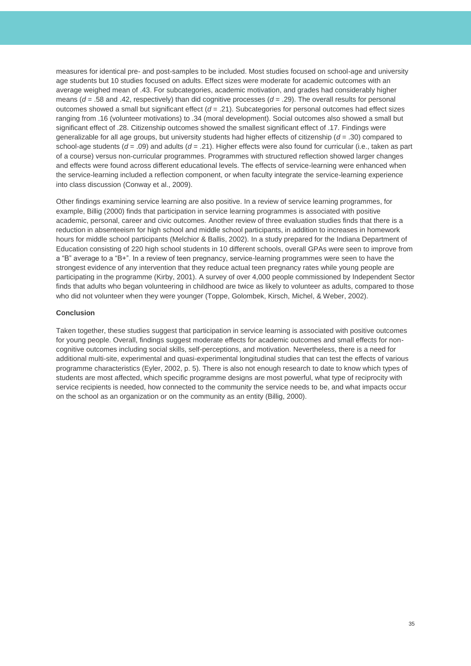measures for identical pre- and post-samples to be included. Most studies focused on school-age and university age students but 10 studies focused on adults. Effect sizes were moderate for academic outcomes with an average weighed mean of .43. For subcategories, academic motivation, and grades had considerably higher means (*d* = .58 and .42, respectively) than did cognitive processes (*d* = .29). The overall results for personal outcomes showed a small but significant effect (*d* = .21). Subcategories for personal outcomes had effect sizes ranging from .16 (volunteer motivations) to .34 (moral development). Social outcomes also showed a small but significant effect of .28. Citizenship outcomes showed the smallest significant effect of .17. Findings were generalizable for all age groups, but university students had higher effects of citizenship (*d* = .30) compared to school-age students (*d* = .09) and adults (*d* = .21). Higher effects were also found for curricular (i.e., taken as part of a course) versus non-curricular programmes. Programmes with structured reflection showed larger changes and effects were found across different educational levels. The effects of service-learning were enhanced when the service-learning included a reflection component, or when faculty integrate the service-learning experience into class discussion (Conway et al., 2009).

Other findings examining service learning are also positive. In a review of service learning programmes, for example, Billig (2000) finds that participation in service learning programmes is associated with positive academic, personal, career and civic outcomes. Another review of three evaluation studies finds that there is a reduction in absenteeism for high school and middle school participants, in addition to increases in homework hours for middle school participants (Melchior & Ballis, 2002). In a study prepared for the Indiana Department of Education consisting of 220 high school students in 10 different schools, overall GPAs were seen to improve from a "B" average to a "B+". In a review of teen pregnancy, service-learning programmes were seen to have the strongest evidence of any intervention that they reduce actual teen pregnancy rates while young people are participating in the programme (Kirby, 2001). A survey of over 4,000 people commissioned by Independent Sector finds that adults who began volunteering in childhood are twice as likely to volunteer as adults, compared to those who did not volunteer when they were younger (Toppe, Golombek, Kirsch, Michel, & Weber, 2002).

### **Conclusion**

Taken together, these studies suggest that participation in service learning is associated with positive outcomes for young people. Overall, findings suggest moderate effects for academic outcomes and small effects for noncognitive outcomes including social skills, self-perceptions, and motivation. Nevertheless, there is a need for additional multi-site, experimental and quasi-experimental longitudinal studies that can test the effects of various programme characteristics (Eyler, 2002, p. 5). There is also not enough research to date to know which types of students are most affected, which specific programme designs are most powerful, what type of reciprocity with service recipients is needed, how connected to the community the service needs to be, and what impacts occur on the school as an organization or on the community as an entity (Billig, 2000).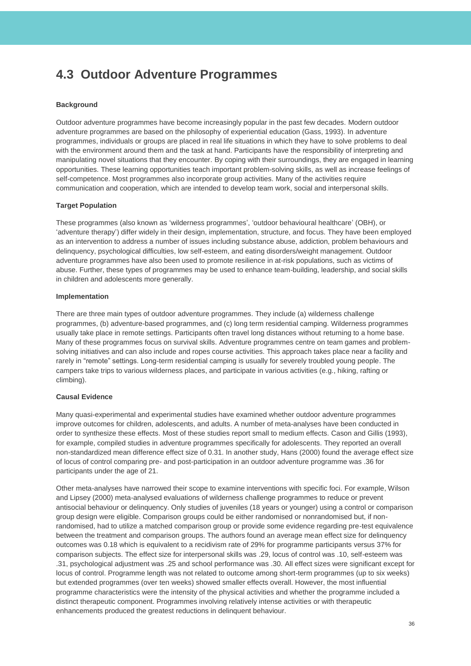## <span id="page-36-0"></span>**4.3 Outdoor Adventure Programmes**

### **Background**

Outdoor adventure programmes have become increasingly popular in the past few decades. Modern outdoor adventure programmes are based on the philosophy of experiential education (Gass, 1993). In adventure programmes, individuals or groups are placed in real life situations in which they have to solve problems to deal with the environment around them and the task at hand. Participants have the responsibility of interpreting and manipulating novel situations that they encounter. By coping with their surroundings, they are engaged in learning opportunities. These learning opportunities teach important problem-solving skills, as well as increase feelings of self-competence. Most programmes also incorporate group activities. Many of the activities require communication and cooperation, which are intended to develop team work, social and interpersonal skills.

### **Target Population**

These programmes (also known as 'wilderness programmes', 'outdoor behavioural healthcare' (OBH), or 'adventure therapy') differ widely in their design, implementation, structure, and focus. They have been employed as an intervention to address a number of issues including substance abuse, addiction, problem behaviours and delinquency, psychological difficulties, low self-esteem, and eating disorders/weight management. Outdoor adventure programmes have also been used to promote resilience in at-risk populations, such as victims of abuse. Further, these types of programmes may be used to enhance team-building, leadership, and social skills in children and adolescents more generally.

#### **Implementation**

There are three main types of outdoor adventure programmes. They include (a) wilderness challenge programmes, (b) adventure-based programmes, and (c) long term residential camping. Wilderness programmes usually take place in remote settings. Participants often travel long distances without returning to a home base. Many of these programmes focus on survival skills. Adventure programmes centre on team games and problemsolving initiatives and can also include and ropes course activities. This approach takes place near a facility and rarely in "remote" settings. Long-term residential camping is usually for severely troubled young people. The campers take trips to various wilderness places, and participate in various activities (e.g., hiking, rafting or climbing).

#### **Causal Evidence**

Many quasi-experimental and experimental studies have examined whether outdoor adventure programmes improve outcomes for children, adolescents, and adults. A number of meta-analyses have been conducted in order to synthesize these effects. Most of these studies report small to medium effects. Cason and Gillis (1993), for example, compiled studies in adventure programmes specifically for adolescents. They reported an overall non-standardized mean difference effect size of 0.31. In another study, Hans (2000) found the average effect size of locus of control comparing pre- and post-participation in an outdoor adventure programme was .36 for participants under the age of 21.

Other meta-analyses have narrowed their scope to examine interventions with specific foci. For example, Wilson and Lipsey (2000) meta-analysed evaluations of wilderness challenge programmes to reduce or prevent antisocial behaviour or delinquency. Only studies of juveniles (18 years or younger) using a control or comparison group design were eligible. Comparison groups could be either randomised or nonrandomised but, if nonrandomised, had to utilize a matched comparison group or provide some evidence regarding pre-test equivalence between the treatment and comparison groups. The authors found an average mean effect size for delinquency outcomes was 0.18 which is equivalent to a recidivism rate of 29% for programme participants versus 37% for comparison subjects. The effect size for interpersonal skills was .29, locus of control was .10, self-esteem was .31, psychological adjustment was .25 and school performance was .30. All effect sizes were significant except for locus of control. Programme length was not related to outcome among short-term programmes (up to six weeks) but extended programmes (over ten weeks) showed smaller effects overall. However, the most influential programme characteristics were the intensity of the physical activities and whether the programme included a distinct therapeutic component. Programmes involving relatively intense activities or with therapeutic enhancements produced the greatest reductions in delinquent behaviour.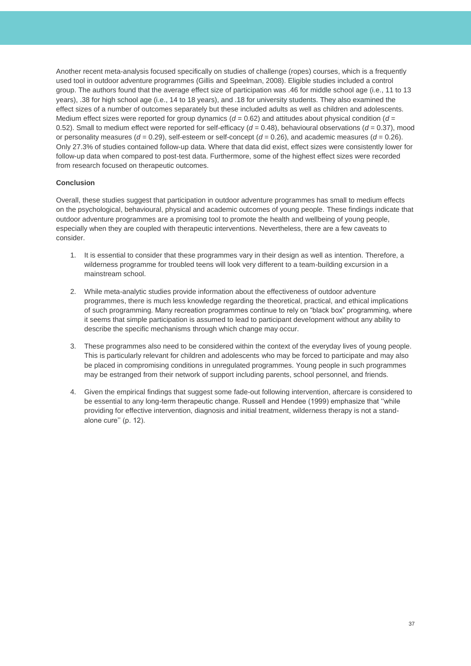Another recent meta-analysis focused specifically on studies of challenge (ropes) courses, which is a frequently used tool in outdoor adventure programmes (Gillis and Speelman, 2008). Eligible studies included a control group. The authors found that the average effect size of participation was .46 for middle school age (i.e., 11 to 13 years), .38 for high school age (i.e., 14 to 18 years), and .18 for university students. They also examined the effect sizes of a number of outcomes separately but these included adults as well as children and adolescents. Medium effect sizes were reported for group dynamics  $(d = 0.62)$  and attitudes about physical condition  $(d = 0.62)$ 0.52). Small to medium effect were reported for self-efficacy (*d* = 0.48), behavioural observations (*d* = 0.37), mood or personality measures (*d* = 0.29), self-esteem or self-concept (*d* = 0.26), and academic measures (*d* = 0.26). Only 27.3% of studies contained follow-up data. Where that data did exist, effect sizes were consistently lower for follow-up data when compared to post-test data. Furthermore, some of the highest effect sizes were recorded from research focused on therapeutic outcomes.

### **Conclusion**

Overall, these studies suggest that participation in outdoor adventure programmes has small to medium effects on the psychological, behavioural, physical and academic outcomes of young people. These findings indicate that outdoor adventure programmes are a promising tool to promote the health and wellbeing of young people, especially when they are coupled with therapeutic interventions. Nevertheless, there are a few caveats to consider.

- 1. It is essential to consider that these programmes vary in their design as well as intention. Therefore, a wilderness programme for troubled teens will look very different to a team-building excursion in a mainstream school.
- 2. While meta-analytic studies provide information about the effectiveness of outdoor adventure programmes, there is much less knowledge regarding the theoretical, practical, and ethical implications of such programming. Many recreation programmes continue to rely on "black box" programming, where it seems that simple participation is assumed to lead to participant development without any ability to describe the specific mechanisms through which change may occur.
- 3. These programmes also need to be considered within the context of the everyday lives of young people. This is particularly relevant for children and adolescents who may be forced to participate and may also be placed in compromising conditions in unregulated programmes. Young people in such programmes may be estranged from their network of support including parents, school personnel, and friends.
- 4. Given the empirical findings that suggest some fade-out following intervention, aftercare is considered to be essential to any long-term therapeutic change. Russell and Hendee (1999) emphasize that ''while providing for effective intervention, diagnosis and initial treatment, wilderness therapy is not a standalone cure'' (p. 12).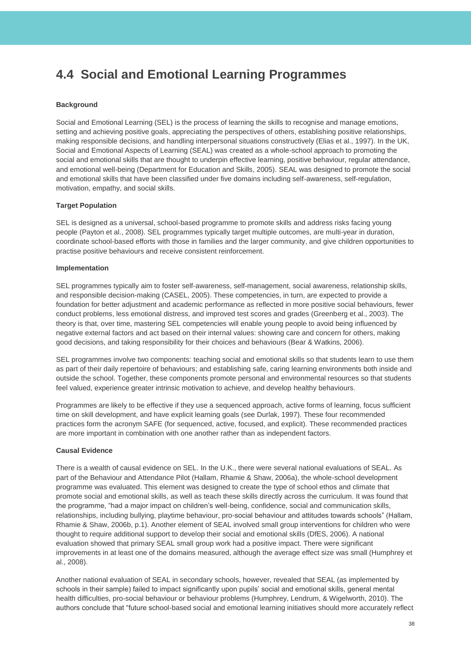## <span id="page-38-0"></span>**4.4 Social and Emotional Learning Programmes**

### **Background**

Social and Emotional Learning (SEL) is the process of learning the skills to recognise and manage emotions, setting and achieving positive goals, appreciating the perspectives of others, establishing positive relationships, making responsible decisions, and handling interpersonal situations constructively (Elias et al., 1997). In the UK, Social and Emotional Aspects of Learning (SEAL) was created as a whole-school approach to promoting the social and emotional skills that are thought to underpin effective learning, positive behaviour, regular attendance, and emotional well-being (Department for Education and Skills, 2005). SEAL was designed to promote the social and emotional skills that have been classified under five domains including self-awareness, self-regulation, motivation, empathy, and social skills.

### **Target Population**

SEL is designed as a universal, school-based programme to promote skills and address risks facing young people (Payton et al., 2008). SEL programmes typically target multiple outcomes, are multi-year in duration, coordinate school-based efforts with those in families and the larger community, and give children opportunities to practise positive behaviours and receive consistent reinforcement.

### **Implementation**

SEL programmes typically aim to foster self-awareness, self-management, social awareness, relationship skills, and responsible decision-making (CASEL, 2005). These competencies, in turn, are expected to provide a foundation for better adjustment and academic performance as reflected in more positive social behaviours, fewer conduct problems, less emotional distress, and improved test scores and grades (Greenberg et al., 2003). The theory is that, over time, mastering SEL competencies will enable young people to avoid being influenced by negative external factors and act based on their internal values: showing care and concern for others, making good decisions, and taking responsibility for their choices and behaviours (Bear & Watkins, 2006).

SEL programmes involve two components: teaching social and emotional skills so that students learn to use them as part of their daily repertoire of behaviours; and establishing safe, caring learning environments both inside and outside the school. Together, these components promote personal and environmental resources so that students feel valued, experience greater intrinsic motivation to achieve, and develop healthy behaviours.

Programmes are likely to be effective if they use a sequenced approach, active forms of learning, focus sufficient time on skill development, and have explicit learning goals (see Durlak, 1997). These four recommended practices form the acronym SAFE (for sequenced, active, focused, and explicit). These recommended practices are more important in combination with one another rather than as independent factors.

### **Causal Evidence**

There is a wealth of causal evidence on SEL. In the U.K., there were several national evaluations of SEAL. As part of the Behaviour and Attendance Pilot (Hallam, Rhamie & Shaw, 2006a), the whole-school development programme was evaluated. This element was designed to create the type of school ethos and climate that promote social and emotional skills, as well as teach these skills directly across the curriculum. It was found that the programme, "had a major impact on children's well-being, confidence, social and communication skills, relationships, including bullying, playtime behaviour, pro-social behaviour and attitudes towards schools" (Hallam, Rhamie & Shaw, 2006b, p.1). Another element of SEAL involved small group interventions for children who were thought to require additional support to develop their social and emotional skills (DfES, 2006). A national evaluation showed that primary SEAL small group work had a positive impact. There were significant improvements in at least one of the domains measured, although the average effect size was small (Humphrey et al., 2008).

Another national evaluation of SEAL in secondary schools, however, revealed that SEAL (as implemented by schools in their sample) failed to impact significantly upon pupils' social and emotional skills, general mental health difficulties, pro-social behaviour or behaviour problems (Humphrey, Lendrum, & Wigelworth, 2010). The authors conclude that "future school-based social and emotional learning initiatives should more accurately reflect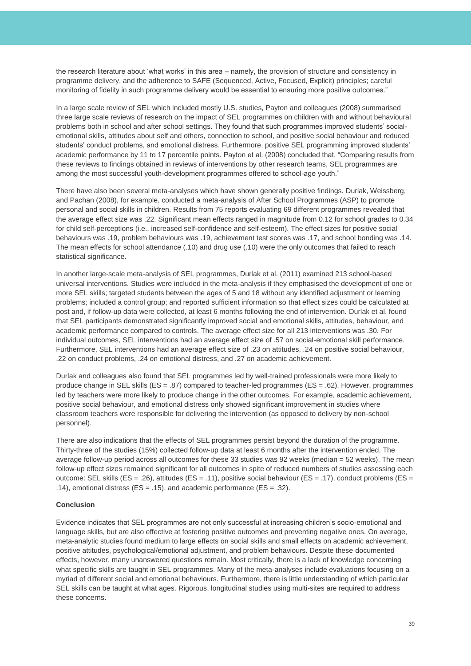the research literature about 'what works' in this area – namely, the provision of structure and consistency in programme delivery, and the adherence to SAFE (Sequenced, Active, Focused, Explicit) principles; careful monitoring of fidelity in such programme delivery would be essential to ensuring more positive outcomes."

In a large scale review of SEL which included mostly U.S. studies, Payton and colleagues (2008) summarised three large scale reviews of research on the impact of SEL programmes on children with and without behavioural problems both in school and after school settings. They found that such programmes improved students' socialemotional skills, attitudes about self and others, connection to school, and positive social behaviour and reduced students' conduct problems, and emotional distress. Furthermore, positive SEL programming improved students' academic performance by 11 to 17 percentile points. Payton et al. (2008) concluded that, "Comparing results from these reviews to findings obtained in reviews of interventions by other research teams, SEL programmes are among the most successful youth-development programmes offered to school-age youth."

There have also been several meta-analyses which have shown generally positive findings. Durlak, Weissberg, and Pachan (2008), for example, conducted a meta-analysis of After School Programmes (ASP) to promote personal and social skills in children. Results from 75 reports evaluating 69 different programmes revealed that the average effect size was .22. Significant mean effects ranged in magnitude from 0.12 for school grades to 0.34 for child self-perceptions (i.e., increased self-confidence and self-esteem). The effect sizes for positive social behaviours was .19, problem behaviours was .19, achievement test scores was .17, and school bonding was .14. The mean effects for school attendance (.10) and drug use (.10) were the only outcomes that failed to reach statistical significance.

In another large-scale meta-analysis of SEL programmes, Durlak et al. (2011) examined 213 school-based universal interventions. Studies were included in the meta-analysis if they emphasised the development of one or more SEL skills; targeted students between the ages of 5 and 18 without any identified adjustment or learning problems; included a control group; and reported sufficient information so that effect sizes could be calculated at post and, if follow-up data were collected, at least 6 months following the end of intervention. Durlak et al. found that SEL participants demonstrated significantly improved social and emotional skills, attitudes, behaviour, and academic performance compared to controls. The average effect size for all 213 interventions was .30. For individual outcomes, SEL interventions had an average effect size of .57 on social-emotional skill performance. Furthermore, SEL interventions had an average effect size of .23 on attitudes, .24 on positive social behaviour, .22 on conduct problems, .24 on emotional distress, and .27 on academic achievement.

Durlak and colleagues also found that SEL programmes led by well-trained professionals were more likely to produce change in SEL skills (ES = .87) compared to teacher-led programmes (ES = .62). However, programmes led by teachers were more likely to produce change in the other outcomes. For example, academic achievement, positive social behaviour, and emotional distress only showed significant improvement in studies where classroom teachers were responsible for delivering the intervention (as opposed to delivery by non-school personnel).

There are also indications that the effects of SEL programmes persist beyond the duration of the programme. Thirty-three of the studies (15%) collected follow-up data at least 6 months after the intervention ended. The average follow-up period across all outcomes for these 33 studies was 92 weeks (median = 52 weeks). The mean follow-up effect sizes remained significant for all outcomes in spite of reduced numbers of studies assessing each outcome: SEL skills (ES = .26), attitudes (ES = .11), positive social behaviour (ES = .17), conduct problems (ES = .14), emotional distress (ES = .15), and academic performance (ES = .32).

### **Conclusion**

Evidence indicates that SEL programmes are not only successful at increasing children's socio-emotional and language skills, but are also effective at fostering positive outcomes and preventing negative ones. On average, meta-analytic studies found medium to large effects on social skills and small effects on academic achievement, positive attitudes, psychological/emotional adjustment, and problem behaviours. Despite these documented effects, however, many unanswered questions remain. Most critically, there is a lack of knowledge concerning what specific skills are taught in SEL programmes. Many of the meta-analyses include evaluations focusing on a myriad of different social and emotional behaviours. Furthermore, there is little understanding of which particular SEL skills can be taught at what ages. Rigorous, longitudinal studies using multi-sites are required to address these concerns.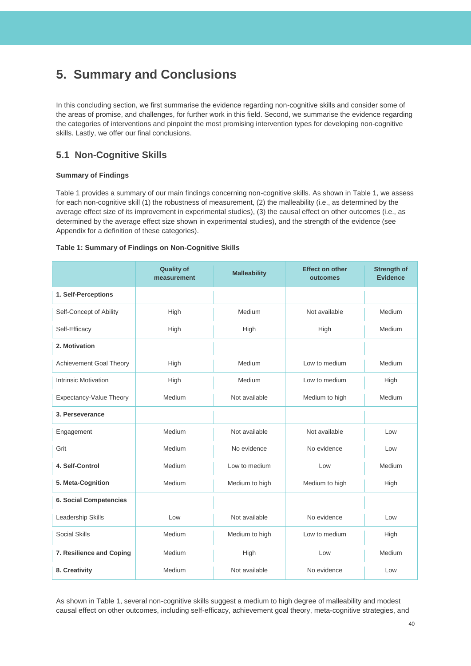## <span id="page-40-0"></span>**5. Summary and Conclusions**

In this concluding section, we first summarise the evidence regarding non-cognitive skills and consider some of the areas of promise, and challenges, for further work in this field. Second, we summarise the evidence regarding the categories of interventions and pinpoint the most promising intervention types for developing non-cognitive skills. Lastly, we offer our final conclusions.

## **5.1 Non-Cognitive Skills**

### **Summary of Findings**

Table 1 provides a summary of our main findings concerning non-cognitive skills. As shown in Table 1, we assess for each non-cognitive skill (1) the robustness of measurement, (2) the malleability (i.e., as determined by the average effect size of its improvement in experimental studies), (3) the causal effect on other outcomes (i.e., as determined by the average effect size shown in experimental studies), and the strength of the evidence (see Appendix for a definition of these categories).

### **Table 1: Summary of Findings on Non-Cognitive Skills**

|                                | <b>Quality of</b><br>measurement | <b>Malleability</b> | <b>Effect on other</b><br>outcomes | <b>Strength of</b><br><b>Evidence</b> |
|--------------------------------|----------------------------------|---------------------|------------------------------------|---------------------------------------|
| 1. Self-Perceptions            |                                  |                     |                                    |                                       |
| Self-Concept of Ability        | High                             | Medium              | Not available                      | Medium                                |
| Self-Efficacy                  | High                             | High                | High                               | Medium                                |
| 2. Motivation                  |                                  |                     |                                    |                                       |
| <b>Achievement Goal Theory</b> | High                             | Medium              | Low to medium                      | Medium                                |
| Intrinsic Motivation           | High                             | Medium              | Low to medium                      | High                                  |
| Expectancy-Value Theory        | Medium                           | Not available       | Medium to high                     | Medium                                |
| 3. Perseverance                |                                  |                     |                                    |                                       |
| Engagement                     | Medium                           | Not available       | Not available                      | Low                                   |
| Grit                           | Medium                           | No evidence         | No evidence                        | Low                                   |
| 4. Self-Control                | Medium                           | Low to medium       | Low                                | Medium                                |
| 5. Meta-Cognition              | Medium                           | Medium to high      | Medium to high                     | High                                  |
| <b>6. Social Competencies</b>  |                                  |                     |                                    |                                       |
| Leadership Skills              | Low                              | Not available       | No evidence                        | Low                                   |
| <b>Social Skills</b>           | Medium                           | Medium to high      | Low to medium                      | High                                  |
| 7. Resilience and Coping       | Medium                           | High                | Low                                | Medium                                |
| 8. Creativity                  | Medium                           | Not available       | No evidence                        | Low                                   |

As shown in Table 1, several non-cognitive skills suggest a medium to high degree of malleability and modest causal effect on other outcomes, including self-efficacy, achievement goal theory, meta-cognitive strategies, and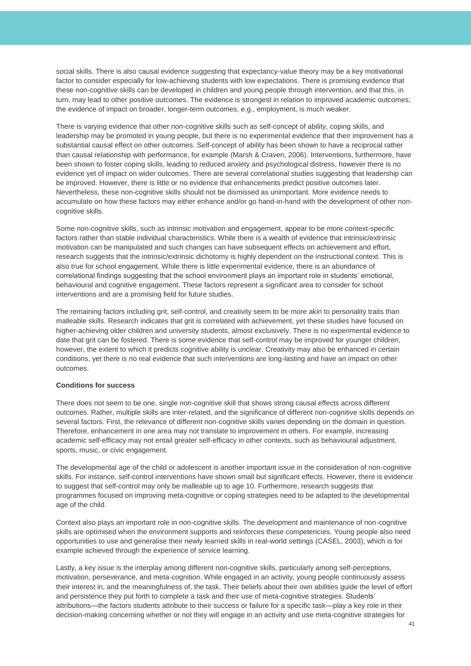social skills. There is also causal evidence suggesting that expectancy-value theory may be a key motivational factor to consider especially for low-achieving students with low expectations. There is promising evidence that these non-cognitive skills can be developed in children and young people through intervention, and that this, in turn, may lead to other positive outcomes. The evidence is strongest in relation to improved academic outcomes; the evidence of impact on broader, longer-term outcomes, e.g., employment, is much weaker.

There is varying evidence that other non-cognitive skills such as self-concept of ability, coping skills, and leadership may be promoted in young people, but there is no experimental evidence that their improvement has a substantial causal effect on other outcomes. Self-concept of ability has been shown to have a reciprocal rather than causal relationship with performance, for example (Marsh & Craven, 2006). Interventions, furthermore, have been shown to foster coping skills, leading to reduced anxiety and psychological distress, however there is no evidence yet of impact on wider outcomes. There are several correlational studies suggesting that leadership can be improved. However, there is little or no evidence that enhancements predict positive outcomes later. Nevertheless, these non-cognitive skills should not be dismissed as unimportant. More evidence needs to accumulate on how these factors may either enhance and/or go hand-in-hand with the development of other noncognitive skills.

Some non-cognitive skills, such as intrinsic motivation and engagement, appear to be more context-specific factors rather than stable individual characteristics. While there is a wealth of evidence that intrinsic/extrinsic motivation can be manipulated and such changes can have subsequent effects on achievement and effort, research suggests that the intrinsic/extrinsic dichotomy is highly dependent on the instructional context. This is also true for school engagement. While there is little experimental evidence, there is an abundance of correlational findings suggesting that the school environment plays an important role in students' emotional, behavioural and cognitive engagement. These factors represent a significant area to consider for school interventions and are a promising field for future studies.

The remaining factors including grit, self-control, and creativity seem to be more akin to personality traits than malleable skills. Research indicates that grit is correlated with achievement, yet these studies have focused on higher-achieving older children and university students, almost exclusively. There is no experimental evidence to date that grit can be fostered. There is some evidence that self-control may be improved for younger children, however, the extent to which it predicts cognitive ability is unclear. Creativity may also be enhanced in certain conditions, yet there is no real evidence that such interventions are long-lasting and have an impact on other outcomes.

### **Conditions for success**

There does not seem to be one, single non-cognitive skill that shows strong causal effects across different outcomes. Rather, multiple skills are inter-related, and the significance of different non-cognitive skills depends on several factors. First, the relevance of different non-cognitive skills varies depending on the domain in question. Therefore, enhancement in one area may not translate to improvement in others. For example, increasing academic self-efficacy may not entail greater self-efficacy in other contexts, such as behavioural adjustment, sports, music, or civic engagement.

The developmental age of the child or adolescent is another important issue in the consideration of non-cognitive skills. For instance, self-control interventions have shown small but significant effects. However, there is evidence to suggest that self-control may only be malleable up to age 10. Furthermore, research suggests that programmes focused on improving meta-cognitive or coping strategies need to be adapted to the developmental age of the child.

Context also plays an important role in non-cognitive skills. The development and maintenance of non-cognitive skills are optimised when the environment supports and reinforces these competencies. Young people also need opportunities to use and generalise their newly learned skills in real-world settings (CASEL, 2003), which is for example achieved through the experience of service learning.

Lastly, a key issue is the interplay among different non-cognitive skills, particularly among self-perceptions, motivation, perseverance, and meta-cognition. While engaged in an activity, young people continuously assess their interest in, and the meaningfulness of, the task. Their beliefs about their own abilities guide the level of effort and persistence they put forth to complete a task and their use of meta-cognitive strategies. Students' attributions—the factors students attribute to their success or failure for a specific task—play a key role in their decision-making concerning whether or not they will engage in an activity and use meta-cognitive strategies for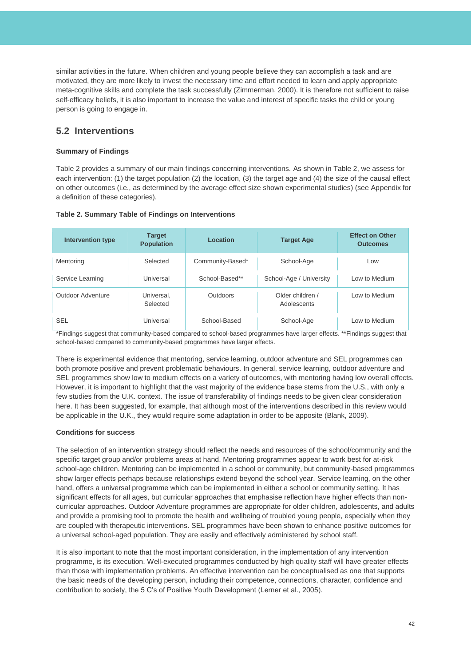similar activities in the future. When children and young people believe they can accomplish a task and are motivated, they are more likely to invest the necessary time and effort needed to learn and apply appropriate meta-cognitive skills and complete the task successfully (Zimmerman, 2000). It is therefore not sufficient to raise self-efficacy beliefs, it is also important to increase the value and interest of specific tasks the child or young person is going to engage in.

### **5.2 Interventions**

### **Summary of Findings**

Table 2 provides a summary of our main findings concerning interventions. As shown in Table 2, we assess for each intervention: (1) the target population (2) the location, (3) the target age and (4) the size of the causal effect on other outcomes (i.e., as determined by the average effect size shown experimental studies) (see Appendix for a definition of these categories).

| <b>Intervention type</b> | <b>Target</b><br><b>Population</b> | Location         | <b>Target Age</b>               | <b>Effect on Other</b><br><b>Outcomes</b> |
|--------------------------|------------------------------------|------------------|---------------------------------|-------------------------------------------|
| Mentoring                | Selected                           | Community-Based* | School-Age                      | Low                                       |
| Service Learning         | Universal                          | School-Based**   | School-Age / University         | Low to Medium                             |
| Outdoor Adventure        | Universal.<br>Selected             | Outdoors         | Older children /<br>Adolescents | Low to Medium                             |
| <b>SEL</b>               | Universal                          | School-Based     | School-Age                      | Low to Medium                             |

### **Table 2. Summary Table of Findings on Interventions**

\*Findings suggest that community-based compared to school-based programmes have larger effects. \*\*Findings suggest that school-based compared to community-based programmes have larger effects.

There is experimental evidence that mentoring, service learning, outdoor adventure and SEL programmes can both promote positive and prevent problematic behaviours. In general, service learning, outdoor adventure and SEL programmes show low to medium effects on a variety of outcomes, with mentoring having low overall effects. However, it is important to highlight that the vast majority of the evidence base stems from the U.S., with only a few studies from the U.K. context. The issue of transferability of findings needs to be given clear consideration here. It has been suggested, for example, that although most of the interventions described in this review would be applicable in the U.K., they would require some adaptation in order to be apposite (Blank, 2009).

### **Conditions for success**

The selection of an intervention strategy should reflect the needs and resources of the school/community and the specific target group and/or problems areas at hand. Mentoring programmes appear to work best for at-risk school-age children. Mentoring can be implemented in a school or community, but community-based programmes show larger effects perhaps because relationships extend beyond the school year. Service learning, on the other hand, offers a universal programme which can be implemented in either a school or community setting. It has significant effects for all ages, but curricular approaches that emphasise reflection have higher effects than noncurricular approaches. Outdoor Adventure programmes are appropriate for older children, adolescents, and adults and provide a promising tool to promote the health and wellbeing of troubled young people, especially when they are coupled with therapeutic interventions. SEL programmes have been shown to enhance positive outcomes for a universal school-aged population. They are easily and effectively administered by school staff.

It is also important to note that the most important consideration, in the implementation of any intervention programme, is its execution. Well-executed programmes conducted by high quality staff will have greater effects than those with implementation problems. An effective intervention can be conceptualised as one that supports the basic needs of the developing person, including their competence, connections, character, confidence and contribution to society, the 5 C's of Positive Youth Development (Lerner et al., 2005).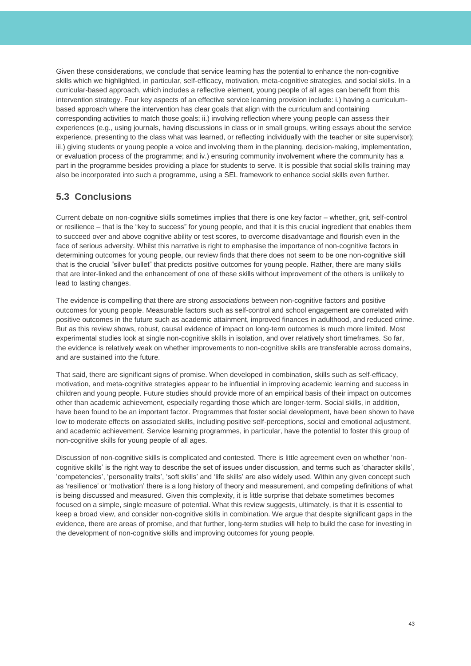Given these considerations, we conclude that service learning has the potential to enhance the non-cognitive skills which we highlighted, in particular, self-efficacy, motivation, meta-cognitive strategies, and social skills. In a curricular-based approach, which includes a reflective element, young people of all ages can benefit from this intervention strategy. Four key aspects of an effective service learning provision include: i.) having a curriculumbased approach where the intervention has clear goals that align with the curriculum and containing corresponding activities to match those goals; ii.) involving reflection where young people can assess their experiences (e.g., using journals, having discussions in class or in small groups, writing essays about the service experience, presenting to the class what was learned, or reflecting individually with the teacher or site supervisor); iii.) giving students or young people a voice and involving them in the planning, decision-making, implementation, or evaluation process of the programme; and iv.) ensuring community involvement where the community has a part in the programme besides providing a place for students to serve. It is possible that social skills training may also be incorporated into such a programme, using a SEL framework to enhance social skills even further.

### **5.3 Conclusions**

Current debate on non-cognitive skills sometimes implies that there is one key factor – whether, grit, self-control or resilience – that is the "key to success" for young people, and that it is this crucial ingredient that enables them to succeed over and above cognitive ability or test scores, to overcome disadvantage and flourish even in the face of serious adversity. Whilst this narrative is right to emphasise the importance of non-cognitive factors in determining outcomes for young people, our review finds that there does not seem to be one non-cognitive skill that is the crucial "silver bullet" that predicts positive outcomes for young people. Rather, there are many skills that are inter-linked and the enhancement of one of these skills without improvement of the others is unlikely to lead to lasting changes.

The evidence is compelling that there are strong *associations* between non-cognitive factors and positive outcomes for young people. Measurable factors such as self-control and school engagement are correlated with positive outcomes in the future such as academic attainment, improved finances in adulthood, and reduced crime. But as this review shows, robust, causal evidence of impact on long-term outcomes is much more limited. Most experimental studies look at single non-cognitive skills in isolation, and over relatively short timeframes. So far, the evidence is relatively weak on whether improvements to non-cognitive skills are transferable across domains, and are sustained into the future.

That said, there are significant signs of promise. When developed in combination, skills such as self-efficacy, motivation, and meta-cognitive strategies appear to be influential in improving academic learning and success in children and young people. Future studies should provide more of an empirical basis of their impact on outcomes other than academic achievement, especially regarding those which are longer-term. Social skills, in addition, have been found to be an important factor. Programmes that foster social development, have been shown to have low to moderate effects on associated skills, including positive self-perceptions, social and emotional adjustment, and academic achievement. Service learning programmes, in particular, have the potential to foster this group of non-cognitive skills for young people of all ages.

Discussion of non-cognitive skills is complicated and contested. There is little agreement even on whether 'noncognitive skills' is the right way to describe the set of issues under discussion, and terms such as 'character skills', 'competencies', 'personality traits', 'soft skills' and 'life skills' are also widely used. Within any given concept such as 'resilience' or 'motivation' there is a long history of theory and measurement, and competing definitions of what is being discussed and measured. Given this complexity, it is little surprise that debate sometimes becomes focused on a simple, single measure of potential. What this review suggests, ultimately, is that it is essential to keep a broad view, and consider non-cognitive skills in combination. We argue that despite significant gaps in the evidence, there are areas of promise, and that further, long-term studies will help to build the case for investing in the development of non-cognitive skills and improving outcomes for young people.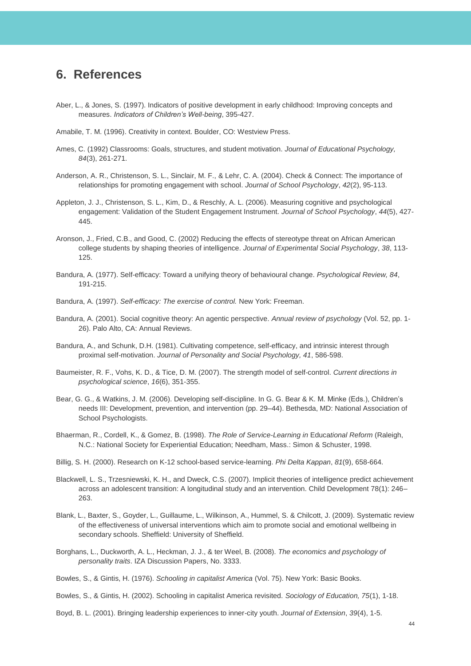## <span id="page-44-0"></span>**6. References**

- Aber, L., & Jones, S. (1997). Indicators of positive development in early childhood: Improving concepts and measures. *Indicators of Children's Well-being*, 395-427.
- Amabile, T. M. (1996). Creativity in context. Boulder, CO: Westview Press.
- Ames, C. (1992) Classrooms: Goals, structures, and student motivation. *Journal of Educational Psychology, 84*(3), 261-271.
- Anderson, A. R., Christenson, S. L., Sinclair, M. F., & Lehr, C. A. (2004). Check & Connect: The importance of relationships for promoting engagement with school. *Journal of School Psychology*, *42*(2), 95-113.
- Appleton, J. J., Christenson, S. L., Kim, D., & Reschly, A. L. (2006). Measuring cognitive and psychological engagement: Validation of the Student Engagement Instrument. *Journal of School Psychology*, *44*(5), 427- 445.
- Aronson, J., Fried, C.B., and Good, C. (2002) Reducing the effects of stereotype threat on African American college students by shaping theories of intelligence. *Journal of Experimental Social Psychology*, *38*, 113- 125.
- Bandura, A. (1977). Self-efficacy: Toward a unifying theory of behavioural change. *Psychological Review, 84*, 191-215.
- Bandura, A. (1997). *Self-efficacy: The exercise of control.* New York: Freeman.
- Bandura, A. (2001). Social cognitive theory: An agentic perspective. *Annual review of psychology* (Vol. 52, pp. 1- 26). Palo Alto, CA: Annual Reviews.
- Bandura, A., and Schunk, D.H. (1981). Cultivating competence, self-efficacy, and intrinsic interest through proximal self-motivation. *Journal of Personality and Social Psychology, 41*, 586-598.
- Baumeister, R. F., Vohs, K. D., & Tice, D. M. (2007). The strength model of self-control. *Current directions in psychological science*, *16*(6), 351-355.
- Bear, G. G., & Watkins, J. M. (2006). Developing self-discipline. In G. G. Bear & K. M. Minke (Eds.), Children's needs III: Development, prevention, and intervention (pp. 29–44). Bethesda, MD: National Association of School Psychologists.
- Bhaerman, R., Cordell, K., & Gomez, B. (1998). *The Role of Service-Learning in* Educa*tional Reform* (Raleigh, N.C.: National Society for Experiential Education; Needham, Mass.: Simon & Schuster, 1998.
- Billig, S. H. (2000). Research on K-12 school-based service-learning. *Phi Delta Kappan*, *81*(9), 658-664.
- Blackwell, L. S., Trzesniewski, K. H., and Dweck, C.S. (2007). Implicit theories of intelligence predict achievement across an adolescent transition: A longitudinal study and an intervention. Child Development 78(1): 246– 263.
- Blank, L., Baxter, S., Goyder, L., Guillaume, L., Wilkinson, A., Hummel, S. & Chilcott, J. (2009). Systematic review of the effectiveness of universal interventions which aim to promote social and emotional wellbeing in secondary schools. Sheffield: University of Sheffield.
- Borghans, L., Duckworth, A. L., Heckman, J. J., & ter Weel, B. (2008). *The economics and psychology of personality traits*. IZA Discussion Papers, No. 3333.

Bowles, S., & Gintis, H. (1976). *Schooling in capitalist America* (Vol. 75). New York: Basic Books.

Bowles, S., & Gintis, H. (2002). Schooling in capitalist America revisited. *Sociology of Education, 75*(1), 1-18.

Boyd, B. L. (2001). Bringing leadership experiences to inner-city youth. *Journal of Extension*, *39*(4), 1-5.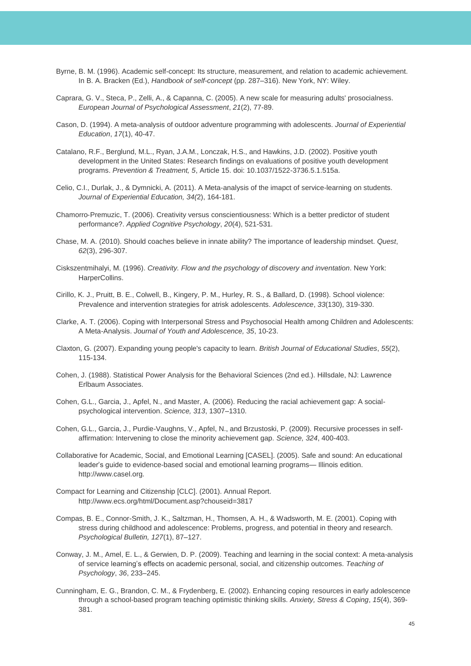- Byrne, B. M. (1996). Academic self-concept: Its structure, measurement, and relation to academic achievement. In B. A. Bracken (Ed.), *Handbook of self-concept* (pp. 287–316). New York, NY: Wiley.
- Caprara, G. V., Steca, P., Zelli, A., & Capanna, C. (2005). A new scale for measuring adults' prosocialness. *European Journal of Psychological Assessment*, *21*(2), 77-89.
- Cason, D. (1994). A meta-analysis of outdoor adventure programming with adolescents. *Journal of Experiential Education*, *17*(1), 40-47.
- Catalano, R.F., Berglund, M.L., Ryan, J.A.M., Lonczak, H.S., and Hawkins, J.D. (2002). Positive youth development in the United States: Research findings on evaluations of positive youth development programs. *Prevention & Treatment, 5*, Article 15. doi: 10.1037/1522-3736.5.1.515a.
- Celio, C.I., Durlak, J., & Dymnicki, A. (2011). A Meta-analysis of the imapct of service-learning on students. *Journal of Experiential Education, 34(*2), 164-181.
- Chamorro‐Premuzic, T. (2006). Creativity versus conscientiousness: Which is a better predictor of student performance?. *Applied Cognitive Psychology*, *20*(4), 521-531.
- Chase, M. A. (2010). Should coaches believe in innate ability? The importance of leadership mindset. *Quest*, *62*(3), 296-307.
- Ciskszentmihalyi, M. (1996). *Creativity. Flow and the psychology of discovery and inventation*. New York: HarperCollins.
- Cirillo, K. J., Pruitt, B. E., Colwell, B., Kingery, P. M., Hurley, R. S., & Ballard, D. (1998). School violence: Prevalence and intervention strategies for atrisk adolescents. *Adolescence*, *33*(130), 319-330.
- Clarke, A. T. (2006). Coping with Interpersonal Stress and Psychosocial Health among Children and Adolescents: A Meta-Analysis. *Journal of Youth and Adolescence, 35*, 10-23.
- Claxton, G. (2007). Expanding young people's capacity to learn. *British Journal of Educational Studies*, *55*(2), 115-134.
- Cohen, J. (1988). Statistical Power Analysis for the Behavioral Sciences (2nd ed.). Hillsdale, NJ: Lawrence Erlbaum Associates.
- Cohen, G.L., Garcia, J., Apfel, N., and Master, A. (2006). Reducing the racial achievement gap: A socialpsychological intervention. *Science, 313*, 1307–1310.
- Cohen, G.L., Garcia, J., Purdie-Vaughns, V., Apfel, N., and Brzustoski, P. (2009). Recursive processes in selfaffirmation: Intervening to close the minority achievement gap. *Science, 324*, 400-403.
- Collaborative for Academic, Social, and Emotional Learning [CASEL]. (2005). Safe and sound: An educational leader's guide to evidence-based social and emotional learning programs— Illinois edition. http://www.casel.org.
- Compact for Learning and Citizenship [CLC]. (2001). Annual Report. http://www.ecs.org/html/Document.asp?chouseid=3817
- Compas, B. E., Connor-Smith, J. K., Saltzman, H., Thomsen, A. H., & Wadsworth, M. E. (2001). Coping with stress during childhood and adolescence: Problems, progress, and potential in theory and research. *Psychological Bulletin, 127*(1), 87–127.
- Conway, J. M., Amel, E. L., & Gerwien, D. P. (2009). Teaching and learning in the social context: A meta-analysis of service learning's effects on academic personal, social, and citizenship outcomes. *Teaching of Psychology*, *36*, 233–245.
- Cunningham, E. G., Brandon, C. M., & Frydenberg, E. (2002). Enhancing coping resources in early adolescence through a school-based program teaching optimistic thinking skills. *Anxiety, Stress & Coping*, *15*(4), 369- 381.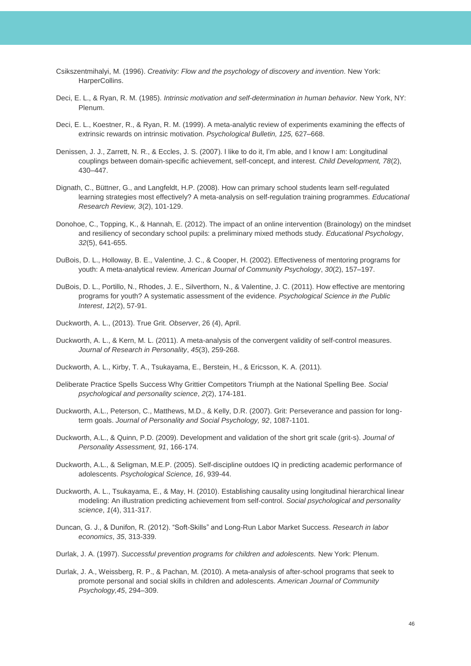- Csikszentmihalyi, M. (1996). *Creativity: Flow and the psychology of discovery and invention*. New York: HarperCollins.
- Deci, E. L., & Ryan, R. M. (1985). *Intrinsic motivation and self-determination in human behavior*. New York, NY: Plenum.
- Deci, E. L., Koestner, R., & Ryan, R. M. (1999). A meta-analytic review of experiments examining the effects of extrinsic rewards on intrinsic motivation. *Psychological Bulletin, 125,* 627–668.
- Denissen, J. J., Zarrett, N. R., & Eccles, J. S. (2007). I like to do it, I'm able, and I know I am: Longitudinal couplings between domain-specific achievement, self-concept, and interest. *Child Development, 78*(2), 430–447.
- Dignath, C., Büttner, G., and Langfeldt, H.P. (2008). How can primary school students learn self-regulated learning strategies most effectively? A meta-analysis on self-regulation training programmes. *Educational Research Review, 3*(2), 101-129.
- Donohoe, C., Topping, K., & Hannah, E. (2012). The impact of an online intervention (Brainology) on the mindset and resiliency of secondary school pupils: a preliminary mixed methods study. *Educational Psychology*, *32*(5), 641-655.
- DuBois, D. L., Holloway, B. E., Valentine, J. C., & Cooper, H. (2002). Effectiveness of mentoring programs for youth: A meta-analytical review. *American Journal of Community Psychology*, *30*(2), 157–197.
- DuBois, D. L., Portillo, N., Rhodes, J. E., Silverthorn, N., & Valentine, J. C. (2011). How effective are mentoring programs for youth? A systematic assessment of the evidence. *Psychological Science in the Public Interest*, *12*(2), 57-91.
- Duckworth, A. L., (2013). True Grit. *Observer*, 26 (4), April.
- Duckworth, A. L., & Kern, M. L. (2011). A meta-analysis of the convergent validity of self-control measures. *Journal of Research in Personality*, *45*(3), 259-268.
- Duckworth, A. L., Kirby, T. A., Tsukayama, E., Berstein, H., & Ericsson, K. A. (2011).
- Deliberate Practice Spells Success Why Grittier Competitors Triumph at the National Spelling Bee. *Social psychological and personality science*, *2*(2), 174-181.
- Duckworth, A.L., Peterson, C., Matthews, M.D., & Kelly, D.R. (2007). Grit: Perseverance and passion for longterm goals. *Journal of Personality and Social Psychology, 92*, 1087-1101.
- Duckworth, A.L., & Quinn, P.D. (2009). Development and validation of the short grit scale (grit-s). *Journal of Personality Assessment, 91*, 166-174.
- Duckworth, A.L., & Seligman, M.E.P. (2005). Self-discipline outdoes IQ in predicting academic performance of adolescents. *Psychological Science, 16*, 939-44.
- Duckworth, A. L., Tsukayama, E., & May, H. (2010). Establishing causality using longitudinal hierarchical linear modeling: An illustration predicting achievement from self-control. *Social psychological and personality science*, *1*(4), 311-317.
- Duncan, G. J., & Dunifon, R. (2012). "Soft-Skills" and Long-Run Labor Market Success. *Research in labor economics*, *35*, 313-339.
- Durlak, J. A. (1997). *Successful prevention programs for children and adolescents.* New York: Plenum.
- Durlak, J. A., Weissberg, R. P., & Pachan, M. (2010). A meta-analysis of after-school programs that seek to promote personal and social skills in children and adolescents. *American Journal of Community Psychology,45*, 294–309.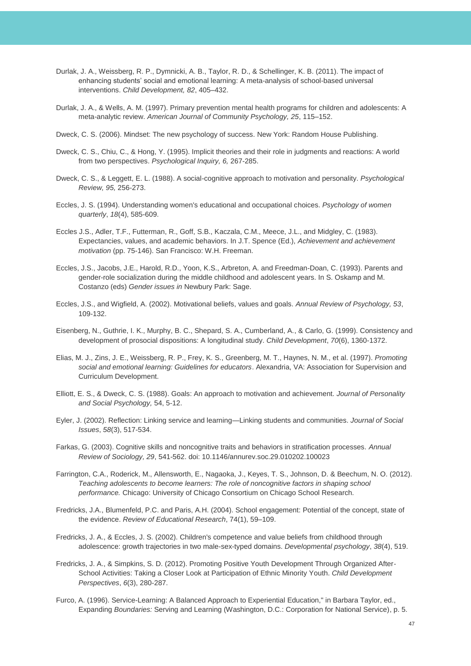- Durlak, J. A., Weissberg, R. P., Dymnicki, A. B., Taylor, R. D., & Schellinger, K. B. (2011). The impact of enhancing students' social and emotional learning: A meta-analysis of school-based universal interventions. *Child Development, 82*, 405–432.
- Durlak, J. A., & Wells, A. M. (1997). Primary prevention mental health programs for children and adolescents: A meta-analytic review. *American Journal of Community Psychology, 25*, 115–152.
- Dweck, C. S. (2006). Mindset: The new psychology of success. New York: Random House Publishing.
- Dweck, C. S., Chiu, C., & Hong, Y. (1995). Implicit theories and their role in judgments and reactions: A world from two perspectives. *Psychological Inquiry, 6,* 267-285.
- Dweck, C. S., & Leggett, E. L. (1988). A social-cognitive approach to motivation and personality. *Psychological Review, 95,* 256-273.
- Eccles, J. S. (1994). Understanding women's educational and occupational choices. *Psychology of women quarterly*, *18*(4), 585-609.
- Eccles J.S., Adler, T.F., Futterman, R., Goff, S.B., Kaczala, C.M., Meece, J.L., and Midgley, C. (1983). Expectancies, values, and academic behaviors. In J.T. Spence (Ed.), *Achievement and achievement motivation* (pp. 75-146). San Francisco: W.H. Freeman.
- Eccles, J.S., Jacobs, J.E., Harold, R.D., Yoon, K.S., Arbreton, A. and Freedman-Doan, C. (1993). Parents and gender-role socialization during the middle childhood and adolescent years. In S. Oskamp and M. Costanzo (eds) *Gender issues in* Newbury Park: Sage.
- Eccles, J.S., and Wigfield, A. (2002). Motivational beliefs, values and goals. *Annual Review of Psychology, 53*, 109-132.
- Eisenberg, N., Guthrie, I. K., Murphy, B. C., Shepard, S. A., Cumberland, A., & Carlo, G. (1999). Consistency and development of prosocial dispositions: A longitudinal study. *Child Development*, *70*(6), 1360-1372.
- Elias, M. J., Zins, J. E., Weissberg, R. P., Frey, K. S., Greenberg, M. T., Haynes, N. M., et al. (1997). *Promoting social and emotional learning: Guidelines for educators*. Alexandria, VA: Association for Supervision and Curriculum Development.
- Elliott, E. S., & Dweck, C. S. (1988). Goals: An approach to motivation and achievement. *Journal of Personality and Social Psychology,* 54, 5-12.
- Eyler, J. (2002). Reflection: Linking service and learning—Linking students and communities. *Journal of Social Issues*, *58*(3), 517-534.
- Farkas, G. (2003). Cognitive skills and noncognitive traits and behaviors in stratification processes. *Annual Review of Sociology, 29*, 541-562. doi: 10.1146/annurev.soc.29.010202.100023
- Farrington, C.A., Roderick, M., Allensworth, E., Nagaoka, J., Keyes, T. S., Johnson, D. & Beechum, N. O. (2012). *Teaching adolescents to become learners: The role of noncognitive factors in shaping school performance.* Chicago: University of Chicago Consortium on Chicago School Research.
- Fredricks, J.A., Blumenfeld, P.C. and Paris, A.H. (2004). School engagement: Potential of the concept, state of the evidence. *Review of Educational Research*, 74(1), 59–109.
- Fredricks, J. A., & Eccles, J. S. (2002). Children's competence and value beliefs from childhood through adolescence: growth trajectories in two male-sex-typed domains. *Developmental psychology*, *38*(4), 519.
- Fredricks, J. A., & Simpkins, S. D. (2012). Promoting Positive Youth Development Through Organized After‐ School Activities: Taking a Closer Look at Participation of Ethnic Minority Youth. *Child Development Perspectives*, *6*(3), 280-287.
- Furco, A. (1996). Service-Learning: A Balanced Approach to Experiential Education," in Barbara Taylor, ed., Expanding *Boundaries:* Serving and Learning (Washington, D.C.: Corporation for National Service), p. 5.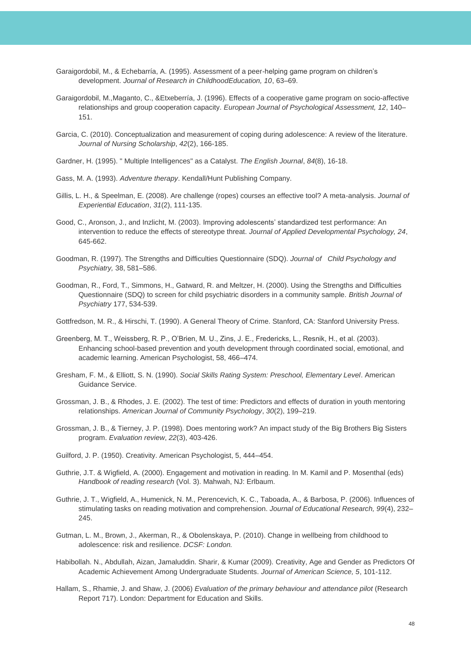- Garaigordobil, M., & Echebarría, A. (1995). Assessment of a peer-helping game program on children's development. *Journal of Research in ChildhoodEducation, 10*, 63–69.
- Garaigordobil, M.,Maganto, C., &Etxeberría, J. (1996). Effects of a cooperative game program on socio-affective relationships and group cooperation capacity. *European Journal of Psychological Assessment, 12*, 140– 151.
- Garcia, C. (2010). Conceptualization and measurement of coping during adolescence: A review of the literature. *Journal of Nursing Scholarship*, *42*(2), 166-185.
- Gardner, H. (1995). " Multiple Intelligences" as a Catalyst. *The English Journal*, *84*(8), 16-18.
- Gass, M. A. (1993). *Adventure therapy*. Kendall/Hunt Publishing Company.
- Gillis, L. H., & Speelman, E. (2008). Are challenge (ropes) courses an effective tool? A meta-analysis. *Journal of Experiential Education*, *31*(2), 111-135.
- Good, C., Aronson, J., and Inzlicht, M. (2003). Improving adolescents' standardized test performance: An intervention to reduce the effects of stereotype threat. *Journal of Applied Developmental Psychology, 24*, 645-662.
- Goodman, R. (1997). The Strengths and Difficulties Questionnaire (SDQ). *Journal of Child Psychology and Psychiatry,* 38, 581–586.
- Goodman, R., Ford, T., Simmons, H., Gatward, R. and Meltzer, H. (2000). Using the Strengths and Difficulties Questionnaire (SDQ) to screen for child psychiatric disorders in a community sample*. British Journal of Psychiatry* 177, 534-539.

Gottfredson, M. R., & Hirschi, T. (1990). A General Theory of Crime. Stanford, CA: Stanford University Press.

- Greenberg, M. T., Weissberg, R. P., O'Brien, M. U., Zins, J. E., Fredericks, L., Resnik, H., et al. (2003). Enhancing school-based prevention and youth development through coordinated social, emotional, and academic learning. American Psychologist, 58, 466–474.
- Gresham, F. M., & Elliott, S. N. (1990). *Social Skills Rating System: Preschool, Elementary Level*. American Guidance Service.
- Grossman, J. B., & Rhodes, J. E. (2002). The test of time: Predictors and effects of duration in youth mentoring relationships. *American Journal of Community Psychology*, *30*(2), 199–219.
- Grossman, J. B., & Tierney, J. P. (1998). Does mentoring work? An impact study of the Big Brothers Big Sisters program. *Evaluation review*, *22*(3), 403-426.
- Guilford, J. P. (1950). Creativity. American Psychologist, 5, 444–454.
- Guthrie, J.T. & Wigfield, A. (2000). Engagement and motivation in reading. In M. Kamil and P. Mosenthal (eds) *Handbook of reading research* (Vol. 3). Mahwah, NJ: Erlbaum.
- Guthrie, J. T., Wigfield, A., Humenick, N. M., Perencevich, K. C., Taboada, A., & Barbosa, P. (2006). Influences of stimulating tasks on reading motivation and comprehension. *Journal of Educational Research, 99*(4), 232– 245.
- Gutman, L. M., Brown, J., Akerman, R., & Obolenskaya, P. (2010). Change in wellbeing from childhood to adolescence: risk and resilience. *DCSF: London.*
- Habibollah. N., Abdullah, Aizan, Jamaluddin. Sharir, & Kumar (2009). Creativity, Age and Gender as Predictors Of Academic Achievement Among Undergraduate Students. *Journal of American Science, 5*, 101-112.
- Hallam, S., Rhamie, J. and Shaw, J. (2006) *Evaluation of the primary behaviour and attendance pilot* (Research Report 717). London: Department for Education and Skills.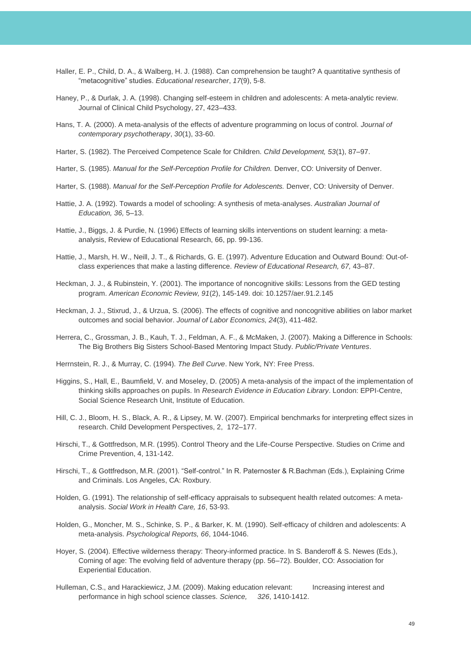- Haller, E. P., Child, D. A., & Walberg, H. J. (1988). Can comprehension be taught? A quantitative synthesis of "metacognitive" studies. *Educational researcher*, *17*(9), 5-8.
- Haney, P., & Durlak, J. A. (1998). Changing self-esteem in children and adolescents: A meta-analytic review. Journal of Clinical Child Psychology, 27, 423–433.
- Hans, T. A. (2000). A meta-analysis of the effects of adventure programming on locus of control. *Journal of contemporary psychotherapy*, *30*(1), 33-60.
- Harter, S. (1982). The Perceived Competence Scale for Children. *Child Development, 53*(1), 87–97.
- Harter, S. (1985). *Manual for the Self-Perception Profile for Children.* Denver, CO: University of Denver.
- Harter, S. (1988). *Manual for the Self-Perception Profile for Adolescents.* Denver, CO: University of Denver.
- Hattie, J. A. (1992). Towards a model of schooling: A synthesis of meta-analyses. *Australian Journal of Education, 36,* 5–13.
- Hattie, J., Biggs, J. & Purdie, N. (1996) Effects of learning skills interventions on student learning: a metaanalysis, Review of Educational Research, 66, pp. 99-136.
- Hattie, J., Marsh, H. W., Neill, J. T., & Richards, G. E. (1997). Adventure Education and Outward Bound: Out-ofclass experiences that make a lasting difference. *Review of Educational Research, 67,* 43–87.
- Heckman, J. J., & Rubinstein, Y. (2001). The importance of noncognitive skills: Lessons from the GED testing program. *American Economic Review, 91*(2), 145-149. doi: 10.1257/aer.91.2.145
- Heckman, J. J., Stixrud, J., & Urzua, S. (2006). The effects of cognitive and noncognitive abilities on labor market outcomes and social behavior. *Journal of Labor Economics, 24*(3), 411-482.
- Herrera, C., Grossman, J. B., Kauh, T. J., Feldman, A. F., & McMaken, J. (2007). Making a Difference in Schools: The Big Brothers Big Sisters School-Based Mentoring Impact Study. *Public/Private Ventures*.
- Herrnstein, R. J., & Murray, C. (1994). *The Bell Curve*. New York, NY: Free Press.
- Higgins, S., Hall, E., Baumfield, V. and Moseley, D. (2005) A meta-analysis of the impact of the implementation of thinking skills approaches on pupils. In *Research Evidence in Education Library*. London: EPPI-Centre, Social Science Research Unit, Institute of Education.
- Hill, C. J., Bloom, H. S., Black, A. R., & Lipsey, M. W. (2007). Empirical benchmarks for interpreting effect sizes in research. Child Development Perspectives, 2, 172–177.
- Hirschi, T., & Gottfredson, M.R. (1995). Control Theory and the Life-Course Perspective. Studies on Crime and Crime Prevention, 4, 131-142.
- Hirschi, T., & Gottfredson, M.R. (2001). "Self-control." In R. Paternoster & R.Bachman (Eds.), Explaining Crime and Criminals. Los Angeles, CA: Roxbury.
- Holden, G. (1991). The relationship of self-efficacy appraisals to subsequent health related outcomes: A metaanalysis. *Social Work in Health Care, 16*, 53-93.
- Holden, G., Moncher, M. S., Schinke, S. P., & Barker, K. M. (1990). Self-efficacy of children and adolescents: A meta-analysis. *Psychological Reports, 66*, 1044-1046.
- Hoyer, S. (2004). Effective wilderness therapy: Theory-informed practice. In S. Banderoff & S. Newes (Eds.), Coming of age: The evolving field of adventure therapy (pp. 56–72). Boulder, CO: Association for Experiential Education.
- Hulleman, C.S., and Harackiewicz, J.M. (2009). Making education relevant: Increasing interest and performance in high school science classes. *Science, 326*, 1410-1412.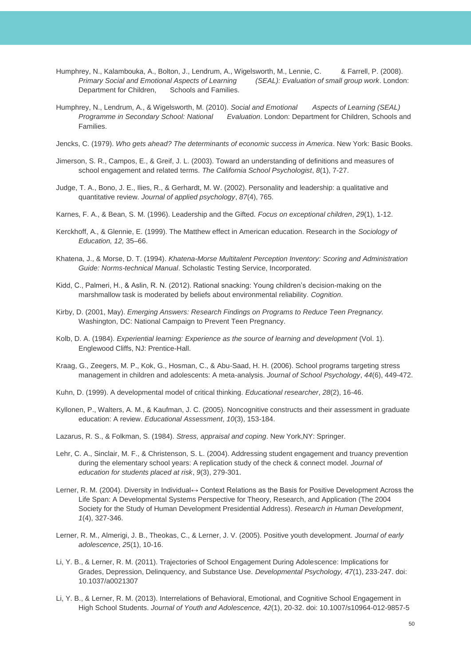- Humphrey, N., Kalambouka, A., Bolton, J., Lendrum, A., Wigelsworth, M., Lennie, C. & Farrell, P. (2008). *Primary Social and Emotional Aspects of Learning (SEAL): Evaluation of small group work*. London: Department for Children, Schools and Families.
- Humphrey, N., Lendrum, A., & Wigelsworth, M. (2010). *Social and Emotional* Aspects of Learning (SEAL) *Programme in Secondary School: National Evaluation*. London: Department for Children, Schools and Families.
- Jencks, C. (1979). *Who gets ahead? The determinants of economic success in America*. New York: Basic Books.
- Jimerson, S. R., Campos, E., & Greif, J. L. (2003). Toward an understanding of definitions and measures of school engagement and related terms. *The California School Psychologist*, *8*(1), 7-27.
- Judge, T. A., Bono, J. E., Ilies, R., & Gerhardt, M. W. (2002). Personality and leadership: a qualitative and quantitative review. *Journal of applied psychology*, *87*(4), 765.
- Karnes, F. A., & Bean, S. M. (1996). Leadership and the Gifted. *Focus on exceptional children*, *29*(1), 1-12.
- Kerckhoff, A., & Glennie, E. (1999). The Matthew effect in American education. Research in the *Sociology of Education, 12,* 35–66.
- Khatena, J., & Morse, D. T. (1994). *Khatena-Morse Multitalent Perception Inventory: Scoring and Administration Guide: Norms-technical Manual*. Scholastic Testing Service, Incorporated.
- Kidd, C., Palmeri, H., & Aslin, R. N. (2012). Rational snacking: Young children's decision-making on the marshmallow task is moderated by beliefs about environmental reliability. *Cognition*.
- Kirby, D. (2001, May). *Emerging Answers: Research Findings on Programs to Reduce Teen Pregnancy.*  Washington, DC: National Campaign to Prevent Teen Pregnancy.
- Kolb, D. A. (1984). *Experiential learning: Experience as the source of learning and development* (Vol. 1). Englewood Cliffs, NJ: Prentice-Hall.
- Kraag, G., Zeegers, M. P., Kok, G., Hosman, C., & Abu-Saad, H. H. (2006). School programs targeting stress management in children and adolescents: A meta-analysis. *Journal of School Psychology*, *44*(6), 449-472.
- Kuhn, D. (1999). A developmental model of critical thinking. *Educational researcher*, *28*(2), 16-46.
- Kyllonen, P., Walters, A. M., & Kaufman, J. C. (2005). Noncognitive constructs and their assessment in graduate education: A review. *Educational Assessment*, *10*(3), 153-184.
- Lazarus, R. S., & Folkman, S. (1984). *Stress, appraisal and coping*. New York,NY: Springer.
- Lehr, C. A., Sinclair, M. F., & Christenson, S. L. (2004). Addressing student engagement and truancy prevention during the elementary school years: A replication study of the check & connect model. *Journal of education for students placed at risk*, *9*(3), 279-301.
- Lerner, R. M. (2004). Diversity in Individual↔ Context Relations as the Basis for Positive Development Across the Life Span: A Developmental Systems Perspective for Theory, Research, and Application (The 2004 Society for the Study of Human Development Presidential Address). *Research in Human Development*, *1*(4), 327-346.
- Lerner, R. M., Almerigi, J. B., Theokas, C., & Lerner, J. V. (2005). Positive youth development. *Journal of early adolescence*, *25*(1), 10-16.
- Li, Y. B., & Lerner, R. M. (2011). Trajectories of School Engagement During Adolescence: Implications for Grades, Depression, Delinquency, and Substance Use. *Developmental Psychology, 47*(1), 233-247. doi: 10.1037/a0021307
- Li, Y. B., & Lerner, R. M. (2013). Interrelations of Behavioral, Emotional, and Cognitive School Engagement in High School Students. *Journal of Youth and Adolescence, 42*(1), 20-32. doi: 10.1007/s10964-012-9857-5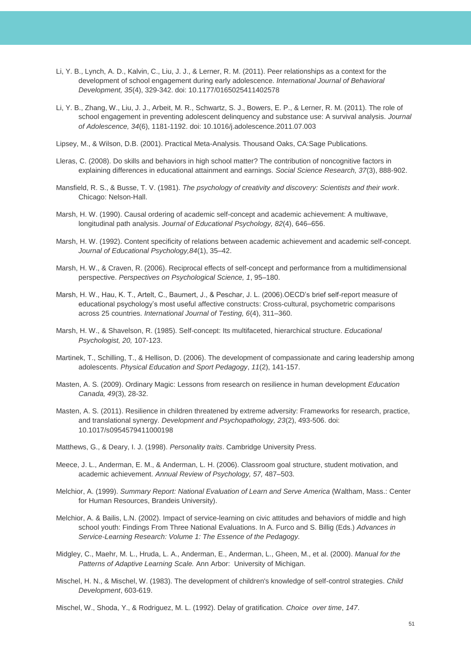- Li, Y. B., Lynch, A. D., Kalvin, C., Liu, J. J., & Lerner, R. M. (2011). Peer relationships as a context for the development of school engagement during early adolescence. *International Journal of Behavioral Development, 35*(4), 329-342. doi: 10.1177/0165025411402578
- Li, Y. B., Zhang, W., Liu, J. J., Arbeit, M. R., Schwartz, S. J., Bowers, E. P., & Lerner, R. M. (2011). The role of school engagement in preventing adolescent delinquency and substance use: A survival analysis. *Journal of Adolescence, 34*(6), 1181-1192. doi: 10.1016/j.adolescence.2011.07.003

Lipsey, M., & Wilson, D.B. (2001). Practical Meta-Analysis. Thousand Oaks, CA:Sage Publications.

- Lleras, C. (2008). Do skills and behaviors in high school matter? The contribution of noncognitive factors in explaining differences in educational attainment and earnings. *Social Science Research, 37*(3), 888-902.
- Mansfield, R. S., & Busse, T. V. (1981). *The psychology of creativity and discovery: Scientists and their work*. Chicago: Nelson-Hall.
- Marsh, H. W. (1990). Causal ordering of academic self-concept and academic achievement: A multiwave, longitudinal path analysis. *Journal of Educational Psychology, 82*(4), 646–656.
- Marsh, H. W. (1992). Content specificity of relations between academic achievement and academic self-concept. *Journal of Educational Psychology,84*(1), 35–42.
- Marsh, H. W., & Craven, R. (2006). Reciprocal effects of self-concept and performance from a multidimensional perspective. *Perspectives on Psychological Science, 1*, 95–180.
- Marsh, H. W., Hau, K. T., Artelt, C., Baumert, J., & Peschar, J. L. (2006).OECD's brief self-report measure of educational psychology's most useful affective constructs: Cross-cultural, psychometric comparisons across 25 countries. *International Journal of Testing, 6*(4), 311–360.
- Marsh, H. W., & Shavelson, R. (1985). Self-concept: Its multifaceted, hierarchical structure. *Educational Psychologist, 20,* 107-123.
- Martinek, T., Schilling, T., & Hellison, D. (2006). The development of compassionate and caring leadership among adolescents. *Physical Education and Sport Pedagogy*, *11*(2), 141-157.
- Masten, A. S. (2009). Ordinary Magic: Lessons from research on resilience in human development *Education Canada, 49*(3), 28-32.
- Masten, A. S. (2011). Resilience in children threatened by extreme adversity: Frameworks for research, practice, and translational synergy. *Development and Psychopathology, 23*(2), 493-506. doi: 10.1017/s0954579411000198
- Matthews, G., & Deary, I. J. (1998). *Personality traits*. Cambridge University Press.
- Meece, J. L., Anderman, E. M., & Anderman, L. H. (2006). Classroom goal structure, student motivation, and academic achievement. *Annual Review of Psychology, 57,* 487–503.
- Melchior, A. (1999). *Summary Report: National Evaluation of Learn and Serve America* (Waltham, Mass.: Center for Human Resources, Brandeis University).
- Melchior, A. & Bailis, L.N. (2002). Impact of service-learning on civic attitudes and behaviors of middle and high school youth: Findings From Three National Evaluations. In A. Furco and S. Billig (Eds.) *Advances in Service-Learning Research: Volume 1: The Essence of the Pedagogy.*
- Midgley, C., Maehr, M. L., Hruda, L. A., Anderman, E., Anderman, L., Gheen, M., et al. (2000). *Manual for the Patterns of Adaptive Learning Scale.* Ann Arbor: University of Michigan.
- Mischel, H. N., & Mischel, W. (1983). The development of children's knowledge of self-control strategies. *Child Development*, 603-619.

Mischel, W., Shoda, Y., & Rodriguez, M. L. (1992). Delay of gratification. *Choice over time*, *147*.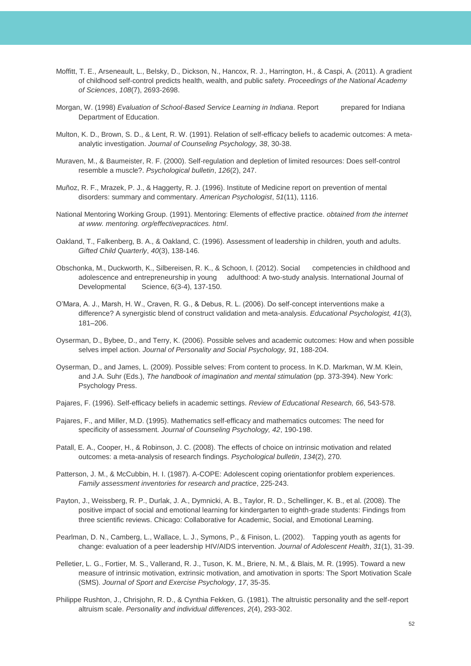- Moffitt, T. E., Arseneault, L., Belsky, D., Dickson, N., Hancox, R. J., Harrington, H., & Caspi, A. (2011). A gradient of childhood self-control predicts health, wealth, and public safety. *Proceedings of the National Academy of Sciences*, *108*(7), 2693-2698.
- Morgan, W. (1998) *Evaluation of School-Based Service Learning in Indiana*. Report prepared for Indiana Department of Education.
- Multon, K. D., Brown, S. D., & Lent, R. W. (1991). Relation of self-efficacy beliefs to academic outcomes: A metaanalytic investigation. *Journal of Counseling Psychology, 38*, 30-38.
- Muraven, M., & Baumeister, R. F. (2000). Self-regulation and depletion of limited resources: Does self-control resemble a muscle?. *Psychological bulletin*, *126*(2), 247.
- Muñoz, R. F., Mrazek, P. J., & Haggerty, R. J. (1996). Institute of Medicine report on prevention of mental disorders: summary and commentary. *American Psychologist*, *51*(11), 1116.
- National Mentoring Working Group. (1991). Mentoring: Elements of effective practice. *obtained from the internet at www. mentoring. org/effectivepractices. html*.
- Oakland, T., Falkenberg, B. A., & Oakland, C. (1996). Assessment of leadership in children, youth and adults. *Gifted Child Quarterly*, *40*(3), 138-146.
- Obschonka, M., Duckworth, K., Silbereisen, R. K., & Schoon, I. (2012). Social competencies in childhood and adolescence and entrepreneurship in young adulthood: A two-study analysis. International Journal of Developmental Science, 6(3-4), 137-150.
- O'Mara, A. J., Marsh, H. W., Craven, R. G., & Debus, R. L. (2006). Do self-concept interventions make a difference? A synergistic blend of construct validation and meta-analysis. *Educational Psychologist, 41*(3), 181–206.
- Oyserman, D., Bybee, D., and Terry, K. (2006). Possible selves and academic outcomes: How and when possible selves impel action. *Journal of Personality and Social Psychology, 91*, 188-204.
- Oyserman, D., and James, L. (2009). Possible selves: From content to process. In K.D. Markman, W.M. Klein, and J.A. Suhr (Eds.), *The handbook of imagination and mental stimulation* (pp. 373-394). New York: Psychology Press.
- Pajares, F. (1996). Self-efficacy beliefs in academic settings. *Review of Educational Research, 66*, 543-578.
- Pajares, F., and Miller, M.D. (1995). Mathematics self-efficacy and mathematics outcomes: The need for specificity of assessment. *Journal of Counseling Psychology, 42*, 190-198.
- Patall, E. A., Cooper, H., & Robinson, J. C. (2008). The effects of choice on intrinsic motivation and related outcomes: a meta-analysis of research findings. *Psychological bulletin*, *134*(2), 270.
- Patterson, J. M., & McCubbin, H. I. (1987). A-COPE: Adolescent coping orientationfor problem experiences. *Family assessment inventories for research and practice*, 225-243.
- Payton, J., Weissberg, R. P., Durlak, J. A., Dymnicki, A. B., Taylor, R. D., Schellinger, K. B., et al. (2008). The positive impact of social and emotional learning for kindergarten to eighth-grade students: Findings from three scientific reviews. Chicago: Collaborative for Academic, Social, and Emotional Learning.
- Pearlman, D. N., Camberg, L., Wallace, L. J., Symons, P., & Finison, L. (2002). Tapping youth as agents for change: evaluation of a peer leadership HIV/AIDS intervention. *Journal of Adolescent Health*, *31*(1), 31-39.
- Pelletier, L. G., Fortier, M. S., Vallerand, R. J., Tuson, K. M., Briere, N. M., & Blais, M. R. (1995). Toward a new measure of intrinsic motivation, extrinsic motivation, and amotivation in sports: The Sport Motivation Scale (SMS). *Journal of Sport and Exercise Psychology*, *17*, 35-35.
- Philippe Rushton, J., Chrisjohn, R. D., & Cynthia Fekken, G. (1981). The altruistic personality and the self-report altruism scale. *Personality and individual differences*, *2*(4), 293-302.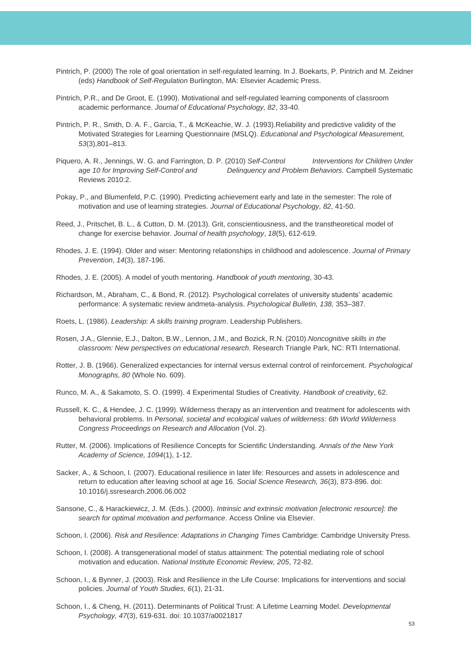- Pintrich, P. (2000) The role of goal orientation in self-regulated learning. In J. Boekarts, P. Pintrich and M. Zeidner (eds) *Handbook of Self-Regulation* Burlington, MA: Elsevier Academic Press.
- Pintrich, P.R., and De Groot, E. (1990). Motivational and self-regulated learning components of classroom academic performance. *Journal of Educational Psychology, 82*, 33-40.
- Pintrich, P. R., Smith, D. A. F., Garcia, T., & McKeachie, W. J. (1993).Reliability and predictive validity of the Motivated Strategies for Learning Questionnaire (MSLQ). *Educational and Psychological Measurement, 53*(3),801–813.
- Piquero, A. R., Jennings, W. G. and Farrington, D. P. (2010) *Self-Control Interventions for Children Under age 10 for Improving Self-Control and Delinquency and Problem Behaviors.* Campbell Systematic Reviews 2010:2.
- Pokay, P., and Blumenfeld, P.C. (1990). Predicting achievement early and late in the semester: The role of motivation and use of learning strategies. *Journal of Educational Psychology, 82*, 41-50.
- Reed, J., Pritschet, B. L., & Cutton, D. M. (2013). Grit, conscientiousness, and the transtheoretical model of change for exercise behavior. *Journal of health psychology*, *18*(5), 612-619.
- Rhodes, J. E. (1994). Older and wiser: Mentoring relationships in childhood and adolescence. *Journal of Primary Prevention*, *14*(3), 187-196.
- Rhodes, J. E. (2005). A model of youth mentoring. *Handbook of youth mentoring*, 30-43.
- Richardson, M., Abraham, C., & Bond, R. (2012). Psychological correlates of university students' academic performance: A systematic review andmeta-analysis. *Psychological Bulletin, 138,* 353–387.
- Roets, L. (1986). *Leadership: A skills training program*. Leadership Publishers.
- Rosen, J.A., Glennie, E.J., Dalton, B.W., Lennon, J.M., and Bozick, R.N. (2010).*Noncognitive skills in the classroom: New perspectives on educational research.* Research Triangle Park, NC: RTI International.
- Rotter, J. B. (1966). Generalized expectancies for internal versus external control of reinforcement. *Psychological Monographs, 80* (Whole No. 609).
- Runco, M. A., & Sakamoto, S. O. (1999). 4 Experimental Studies of Creativity. *Handbook of creativity*, 62.
- Russell, K. C., & Hendee, J. C. (1999). Wilderness therapy as an intervention and treatment for adolescents with behavioral problems. In *Personal, societal and ecological values of wilderness: 6th World Wilderness Congress Proceedings on Research and Allocation* (Vol. 2).
- Rutter, M. (2006). Implications of Resilience Concepts for Scientific Understanding. *Annals of the New York Academy of Science, 1094*(1), 1-12.
- Sacker, A., & Schoon, I. (2007). Educational resilience in later life: Resources and assets in adolescence and return to education after leaving school at age 16. *Social Science Research, 36*(3), 873-896. doi: 10.1016/j.ssresearch.2006.06.002
- Sansone, C., & Harackiewicz, J. M. (Eds.). (2000). *Intrinsic and extrinsic motivation [electronic resource]: the search for optimal motivation and performance*. Access Online via Elsevier.
- Schoon, I. (2006). *Risk and Resilience: Adaptations in Changing Times* Cambridge: Cambridge University Press.
- Schoon, I. (2008). A transgenerational model of status attainment: The potential mediating role of school motivation and education. *National Institute Economic Review, 205*, 72-82.
- Schoon, I., & Bynner, J. (2003). Risk and Resilience in the Life Course: Implications for interventions and social policies. *Journal of Youth Studies, 6*(1), 21-31.
- Schoon, I., & Cheng, H. (2011). Determinants of Political Trust: A Lifetime Learning Model. *Developmental Psychology, 47*(3), 619-631. doi: 10.1037/a0021817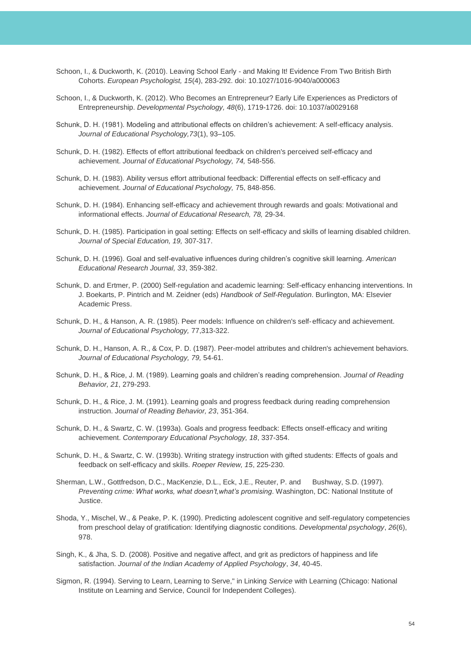- Schoon, I., & Duckworth, K. (2010). Leaving School Early and Making It! Evidence From Two British Birth Cohorts. *European Psychologist, 15*(4), 283-292. doi: 10.1027/1016-9040/a000063
- Schoon, I., & Duckworth, K. (2012). Who Becomes an Entrepreneur? Early Life Experiences as Predictors of Entrepreneurship. *Developmental Psychology, 48*(6), 1719-1726. doi: 10.1037/a0029168
- Schunk, D. H. (1981). Modeling and attributional effects on children's achievement: A self-efficacy analysis. *Journal of Educational Psychology,73*(1), 93–105.
- Schunk, D. H. (1982). Effects of effort attributional feedback on children's perceived self-efficacy and achievement. *Journal of Educational Psychology, 74,* 548-556.
- Schunk, D. H. (1983). Ability versus effort attributional feedback: Differential effects on self-efficacy and achievement. *Journal of Educational Psychology,* 75, 848-856.
- Schunk, D. H. (1984). Enhancing self-efficacy and achievement through rewards and goals: Motivational and informational effects. *Journal of Educational Research, 78,* 29-34.
- Schunk, D. H. (1985). Participation in goal setting: Effects on self-efficacy and skills of learning disabled children. *Journal of Special Education, 19,* 307-317.
- Schunk, D. H. (1996). Goal and self-evaluative influences during children's cognitive skill learning. *American Educational Research Journal, 33*, 359-382.
- Schunk, D. and Ertmer, P. (2000) Self-regulation and academic learning: Self-efficacy enhancing interventions. In J. Boekarts, P. Pintrich and M. Zeidner (eds) *Handbook of Self-Regulation*. Burlington, MA: Elsevier Academic Press.
- Schunk, D. H., & Hanson, A. R. (1985). Peer models: Influence on children's self-efficacy and achievement. *Journal of Educational Psychology,* 77,313-322.
- Schunk, D. H., Hanson, A. R., & Cox, P. D. (1987). Peer-model attributes and children's achievement behaviors. *Journal of Educational Psychology, 79,* 54-61.
- Schunk, D. H., & Rice, J. M. (1989). Learning goals and children's reading comprehension. *Journal of Reading Behavior, 21*, 279-293.
- Schunk, D. H., & Rice, J. M. (1991). Learning goals and progress feedback during reading comprehension instruction. J*ournal of Reading Behavior, 23*, 351-364.
- Schunk, D. H., & Swartz, C. W. (1993a). Goals and progress feedback: Effects onself-efficacy and writing achievement. *Contemporary Educational Psychology, 18*, 337-354.
- Schunk, D. H., & Swartz, C. W. (1993b). Writing strategy instruction with gifted students: Effects of goals and feedback on self-efficacy and skills. *Roeper Review, 15*, 225-230.
- Sherman, L.W., Gottfredson, D.C., MacKenzie, D.L., Eck, J.E., Reuter, P. and Bushway, S.D. (1997). *Preventing crime: What works, what doesn't,what's promising*. Washington, DC: National Institute of Justice.
- Shoda, Y., Mischel, W., & Peake, P. K. (1990). Predicting adolescent cognitive and self-regulatory competencies from preschool delay of gratification: Identifying diagnostic conditions. *Developmental psychology*, *26*(6), 978.
- Singh, K., & Jha, S. D. (2008). Positive and negative affect, and grit as predictors of happiness and life satisfaction. *Journal of the Indian Academy of Applied Psychology*, *34*, 40-45.
- Sigmon, R. (1994). Serving to Learn, Learning to Serve," in Linking *Service* with Learning (Chicago: National Institute on Learning and Service, Council for Independent Colleges).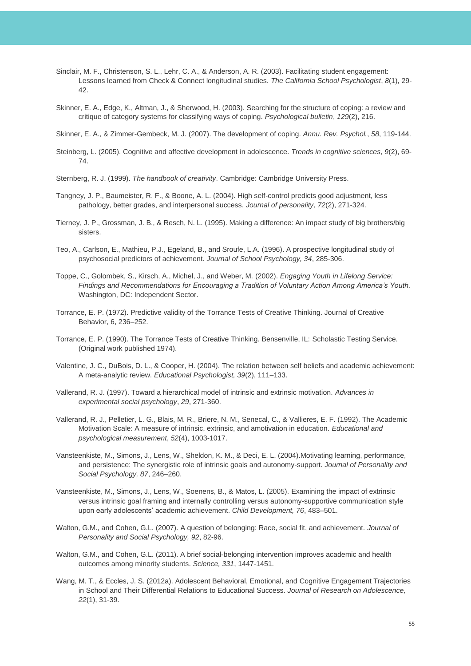- Sinclair, M. F., Christenson, S. L., Lehr, C. A., & Anderson, A. R. (2003). Facilitating student engagement: Lessons learned from Check & Connect longitudinal studies. *The California School Psychologist*, *8*(1), 29- 42.
- Skinner, E. A., Edge, K., Altman, J., & Sherwood, H. (2003). Searching for the structure of coping: a review and critique of category systems for classifying ways of coping. *Psychological bulletin*, *129*(2), 216.

Skinner, E. A., & Zimmer-Gembeck, M. J. (2007). The development of coping. *Annu. Rev. Psychol.*, *58*, 119-144.

- Steinberg, L. (2005). Cognitive and affective development in adolescence. *Trends in cognitive sciences*, *9*(2), 69- 74.
- Sternberg, R. J. (1999). *The handbook of creativity*. Cambridge: Cambridge University Press.
- Tangney, J. P., Baumeister, R. F., & Boone, A. L. (2004). High self‐control predicts good adjustment, less pathology, better grades, and interpersonal success. *Journal of personality*, *72*(2), 271-324.
- Tierney, J. P., Grossman, J. B., & Resch, N. L. (1995). Making a difference: An impact study of big brothers/big sisters.
- Teo, A., Carlson, E., Mathieu, P.J., Egeland, B., and Sroufe, L.A. (1996). A prospective longitudinal study of psychosocial predictors of achievement. *Journal of School Psychology, 34*, 285-306.
- Toppe, C., Golombek, S., Kirsch, A., Michel, J., and Weber, M. (2002). *Engaging Youth in Lifelong Service: Findings and Recommendations for Encouraging a Tradition of Voluntary Action Among America's Youth.*  Washington, DC: Independent Sector.
- Torrance, E. P. (1972). Predictive validity of the Torrance Tests of Creative Thinking. Journal of Creative Behavior, 6, 236–252.
- Torrance, E. P. (1990). The Torrance Tests of Creative Thinking. Bensenville, IL: Scholastic Testing Service. (Original work published 1974).
- Valentine, J. C., DuBois, D. L., & Cooper, H. (2004). The relation between self beliefs and academic achievement: A meta-analytic review. *Educational Psychologist, 39*(2), 111–133.
- Vallerand, R. J. (1997). Toward a hierarchical model of intrinsic and extrinsic motivation. *Advances in experimental social psychology*, *29*, 271-360.
- Vallerand, R. J., Pelletier, L. G., Blais, M. R., Briere, N. M., Senecal, C., & Vallieres, E. F. (1992). The Academic Motivation Scale: A measure of intrinsic, extrinsic, and amotivation in education. *Educational and psychological measurement*, *52*(4), 1003-1017.
- Vansteenkiste, M., Simons, J., Lens, W., Sheldon, K. M., & Deci, E. L. (2004).Motivating learning, performance, and persistence: The synergistic role of intrinsic goals and autonomy-support. J*ournal of Personality and Social Psychology, 87*, 246–260.
- Vansteenkiste, M., Simons, J., Lens, W., Soenens, B., & Matos, L. (2005). Examining the impact of extrinsic versus intrinsic goal framing and internally controlling versus autonomy-supportive communication style upon early adolescents' academic achievement. *Child Development, 76*, 483–501.
- Walton, G.M., and Cohen, G.L. (2007). A question of belonging: Race, social fit, and achievement. *Journal of Personality and Social Psychology, 92*, 82-96.
- Walton, G.M., and Cohen, G.L. (2011). A brief social-belonging intervention improves academic and health outcomes among minority students. *Science, 331*, 1447-1451.
- Wang, M. T., & Eccles, J. S. (2012a). Adolescent Behavioral, Emotional, and Cognitive Engagement Trajectories in School and Their Differential Relations to Educational Success. *Journal of Research on Adolescence, 22*(1), 31-39.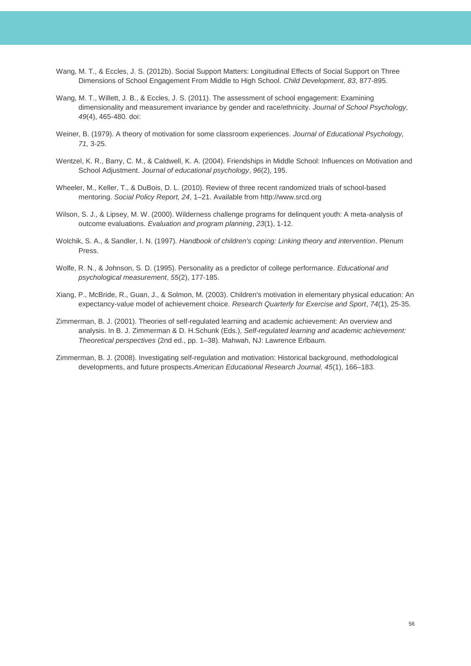- Wang, M. T., & Eccles, J. S. (2012b). Social Support Matters: Longitudinal Effects of Social Support on Three Dimensions of School Engagement From Middle to High School. *Child Development, 83*, 877-895.
- Wang, M. T., Willett, J. B., & Eccles, J. S. (2011). The assessment of school engagement: Examining dimensionality and measurement invariance by gender and race/ethnicity. *Journal of School Psychology, 49*(4), 465-480. doi:
- Weiner, B. (1979). A theory of motivation for some classroom experiences. *Journal of Educational Psychology, 71,* 3-25.
- Wentzel, K. R., Barry, C. M., & Caldwell, K. A. (2004). Friendships in Middle School: Influences on Motivation and School Adjustment. *Journal of educational psychology*, *96*(2), 195.
- Wheeler, M., Keller, T., & DuBois, D. L. (2010). Review of three recent randomized trials of school-based mentoring. *Social Policy Report, 24*, 1–21. Available from http://www.srcd.org
- Wilson, S. J., & Lipsey, M. W. (2000). Wilderness challenge programs for delinquent youth: A meta-analysis of outcome evaluations. *Evaluation and program planning*, *23*(1), 1-12.
- Wolchik, S. A., & Sandler, I. N. (1997). *Handbook of children's coping: Linking theory and intervention*. Plenum Press.
- Wolfe, R. N., & Johnson, S. D. (1995). Personality as a predictor of college performance. *Educational and psychological measurement*, *55*(2), 177-185.
- Xiang, P., McBride, R., Guan, J., & Solmon, M. (2003). Children's motivation in elementary physical education: An expectancy-value model of achievement choice. *Research Quarterly for Exercise and Sport*, *74*(1), 25-35.
- Zimmerman, B. J. (2001). Theories of self-regulated learning and academic achievement: An overview and analysis. In B. J. Zimmerman & D. H.Schunk (Eds.), *Self-regulated learning and academic achievement: Theoretical perspectives* (2nd ed., pp. 1–38). Mahwah, NJ: Lawrence Erlbaum.
- Zimmerman, B. J. (2008). Investigating self-regulation and motivation: Historical background, methodological developments, and future prospects.*American Educational Research Journal, 45*(1), 166–183.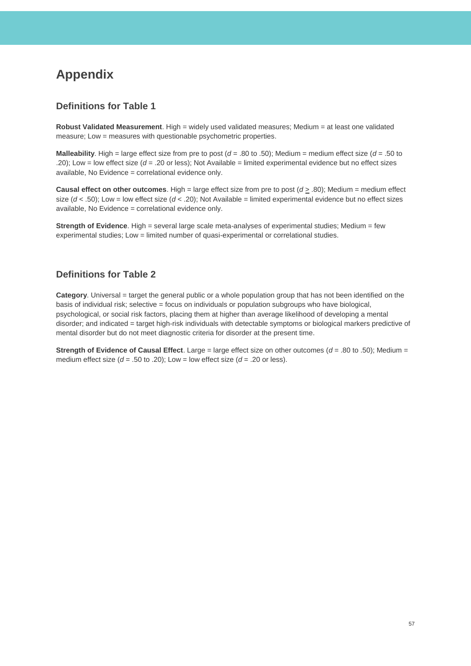## <span id="page-57-0"></span>**Appendix**

### **Definitions for Table 1**

**Robust Validated Measurement**. High = widely used validated measures; Medium = at least one validated measure; Low = measures with questionable psychometric properties.

**Malleability**. High = large effect size from pre to post  $(d = .80 \text{ to } .50)$ ; Medium = medium effect size  $(d = .50 \text{ to } )$ .20); Low = low effect size (*d* = .20 or less); Not Available = limited experimental evidence but no effect sizes available, No Evidence = correlational evidence only.

**Causal effect on other outcomes.** High = large effect size from pre to post  $(d \ge .80)$ ; Medium = medium effect size (*d* < .50); Low = low effect size (*d* < .20); Not Available = limited experimental evidence but no effect sizes available, No Evidence = correlational evidence only.

**Strength of Evidence**. High = several large scale meta-analyses of experimental studies; Medium = few experimental studies; Low = limited number of quasi-experimental or correlational studies.

### **Definitions for Table 2**

**Category**. Universal = target the general public or a whole population group that has not been identified on the basis of individual risk; selective = focus on individuals or population subgroups who have biological, psychological, or social risk factors, placing them at higher than average likelihood of developing a mental disorder; and indicated = target high-risk individuals with detectable symptoms or biological markers predictive of mental disorder but do not meet diagnostic criteria for disorder at the present time.

**Strength of Evidence of Causal Effect**. Large = large effect size on other outcomes (*d* = .80 to .50); Medium = medium effect size  $(d = .50 \text{ to } .20)$ ; Low = low effect size  $(d = .20 \text{ or } \text{less})$ .